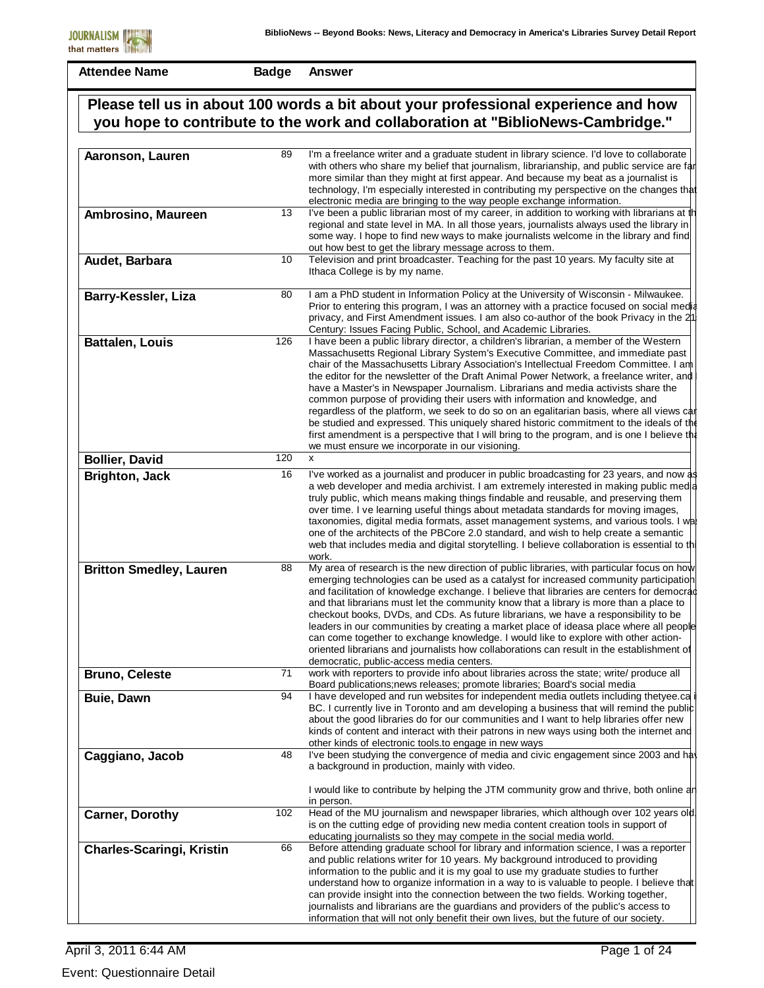| Aaronson, Lauren                 | 89  | I'm a freelance writer and a graduate student in library science. I'd love to collaborate<br>with others who share my belief that journalism, librarianship, and public service are far<br>more similar than they might at first appear. And because my beat as a journalist is<br>technology, I'm especially interested in contributing my perspective on the changes that<br>electronic media are bringing to the way people exchange information.                                                                                                                                                                                                                                                                                                                                                                                                                         |
|----------------------------------|-----|------------------------------------------------------------------------------------------------------------------------------------------------------------------------------------------------------------------------------------------------------------------------------------------------------------------------------------------------------------------------------------------------------------------------------------------------------------------------------------------------------------------------------------------------------------------------------------------------------------------------------------------------------------------------------------------------------------------------------------------------------------------------------------------------------------------------------------------------------------------------------|
| Ambrosino, Maureen               | 13  | I've been a public librarian most of my career, in addition to working with librarians at the<br>regional and state level in MA. In all those years, journalists always used the library in<br>some way. I hope to find new ways to make journalists welcome in the library and find<br>out how best to get the library message across to them.                                                                                                                                                                                                                                                                                                                                                                                                                                                                                                                              |
| Audet, Barbara                   | 10  | Television and print broadcaster. Teaching for the past 10 years. My faculty site at<br>Ithaca College is by my name.                                                                                                                                                                                                                                                                                                                                                                                                                                                                                                                                                                                                                                                                                                                                                        |
| Barry-Kessler, Liza              | 80  | I am a PhD student in Information Policy at the University of Wisconsin - Milwaukee.<br>Prior to entering this program, I was an attorney with a practice focused on social media<br>privacy, and First Amendment issues. I am also co-author of the book Privacy in the 21<br>Century: Issues Facing Public, School, and Academic Libraries.                                                                                                                                                                                                                                                                                                                                                                                                                                                                                                                                |
| <b>Battalen, Louis</b>           | 126 | I have been a public library director, a children's librarian, a member of the Western<br>Massachusetts Regional Library System's Executive Committee, and immediate past<br>chair of the Massachusetts Library Association's Intellectual Freedom Committee. I am<br>the editor for the newsletter of the Draft Animal Power Network, a freelance writer, and<br>have a Master's in Newspaper Journalism. Librarians and media activists share the<br>common purpose of providing their users with information and knowledge, and<br>regardless of the platform, we seek to do so on an egalitarian basis, where all views car<br>be studied and expressed. This uniquely shared historic commitment to the ideals of the<br>first amendment is a perspective that I will bring to the program, and is one I believe the<br>we must ensure we incorporate in our visioning. |
| <b>Bollier, David</b>            | 120 | X                                                                                                                                                                                                                                                                                                                                                                                                                                                                                                                                                                                                                                                                                                                                                                                                                                                                            |
| <b>Brighton, Jack</b>            | 16  | I've worked as a journalist and producer in public broadcasting for 23 years, and now as<br>a web developer and media archivist. I am extremely interested in making public media<br>truly public, which means making things findable and reusable, and preserving them<br>over time. I ve learning useful things about metadata standards for moving images,<br>taxonomies, digital media formats, asset management systems, and various tools. I wa<br>one of the architects of the PBCore 2.0 standard, and wish to help create a semantic<br>web that includes media and digital storytelling. I believe collaboration is essential to thi<br>work.                                                                                                                                                                                                                      |
| <b>Britton Smedley, Lauren</b>   | 88  | My area of research is the new direction of public libraries, with particular focus on how<br>emerging technologies can be used as a catalyst for increased community participation<br>and facilitation of knowledge exchange. I believe that libraries are centers for democrad<br>and that librarians must let the community know that a library is more than a place to<br>checkout books, DVDs, and CDs. As future librarians, we have a responsibility to be<br>leaders in our communities by creating a market place of ideasa place where all people<br>can come together to exchange knowledge. I would like to explore with other action-<br>oriented librarians and journalists how collaborations can result in the establishment of<br>democratic, public-access media centers.                                                                                  |
| <b>Bruno, Celeste</b>            | 71  | work with reporters to provide info about libraries across the state; write/ produce all<br>Board publications; news releases; promote libraries; Board's social media                                                                                                                                                                                                                                                                                                                                                                                                                                                                                                                                                                                                                                                                                                       |
| <b>Buie, Dawn</b>                | 94  | I have developed and run websites for independent media outlets including thetyee.ca<br>BC. I currently live in Toronto and am developing a business that will remind the public<br>about the good libraries do for our communities and I want to help libraries offer new<br>kinds of content and interact with their patrons in new ways using both the internet and<br>other kinds of electronic tools to engage in new ways                                                                                                                                                                                                                                                                                                                                                                                                                                              |
| Caggiano, Jacob                  | 48  | I've been studying the convergence of media and civic engagement since 2003 and hav<br>a background in production, mainly with video.<br>I would like to contribute by helping the JTM community grow and thrive, both online an                                                                                                                                                                                                                                                                                                                                                                                                                                                                                                                                                                                                                                             |
| <b>Carner, Dorothy</b>           | 102 | in person.<br>Head of the MU journalism and newspaper libraries, which although over 102 years old.<br>is on the cutting edge of providing new media content creation tools in support of<br>educating journalists so they may compete in the social media world.                                                                                                                                                                                                                                                                                                                                                                                                                                                                                                                                                                                                            |
| <b>Charles-Scaringi, Kristin</b> | 66  | Before attending graduate school for library and information science, I was a reporter<br>and public relations writer for 10 years. My background introduced to providing<br>information to the public and it is my goal to use my graduate studies to further<br>understand how to organize information in a way to is valuable to people. I believe that<br>can provide insight into the connection between the two fields. Working together,<br>journalists and librarians are the guardians and providers of the public's access to<br>information that will not only benefit their own lives, but the future of our society.                                                                                                                                                                                                                                            |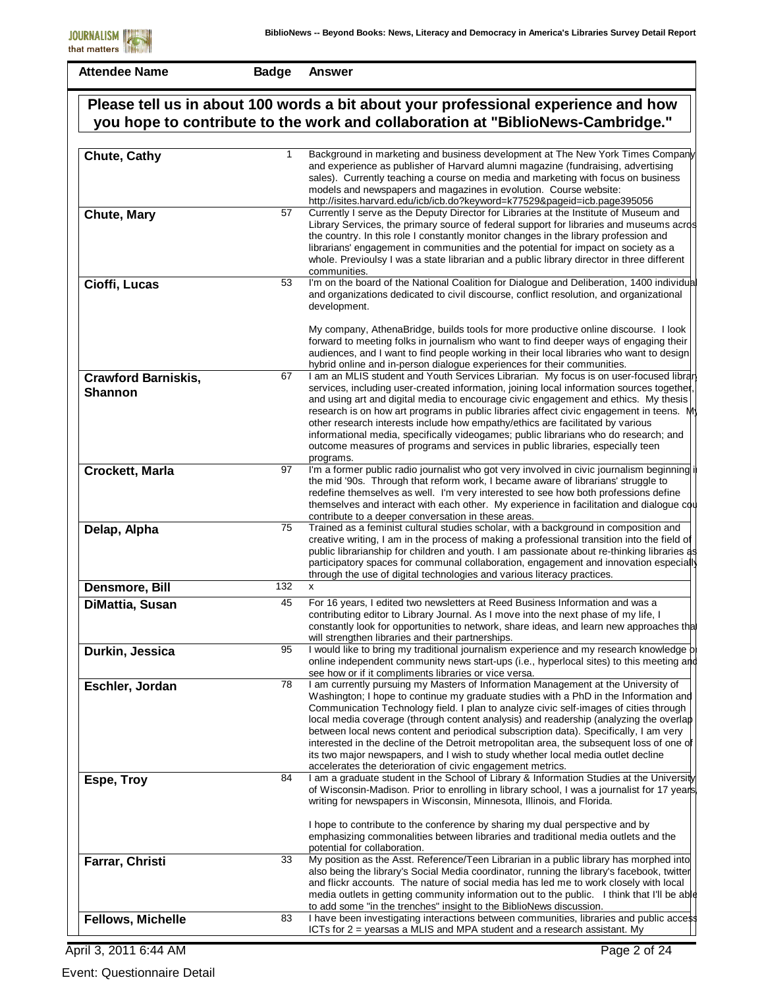**Badge Answer**

| Please tell us in about 100 words a bit about your professional experience and how<br>you hope to contribute to the work and collaboration at "BiblioNews-Cambridge." |     |                                                                                                                                                                                                                                                                                                                                                                                                                                                                                                                                                                                                                                                                                                     |
|-----------------------------------------------------------------------------------------------------------------------------------------------------------------------|-----|-----------------------------------------------------------------------------------------------------------------------------------------------------------------------------------------------------------------------------------------------------------------------------------------------------------------------------------------------------------------------------------------------------------------------------------------------------------------------------------------------------------------------------------------------------------------------------------------------------------------------------------------------------------------------------------------------------|
|                                                                                                                                                                       |     |                                                                                                                                                                                                                                                                                                                                                                                                                                                                                                                                                                                                                                                                                                     |
| <b>Chute, Cathy</b>                                                                                                                                                   | 1   | Background in marketing and business development at The New York Times Company<br>and experience as publisher of Harvard alumni magazine (fundraising, advertising<br>sales). Currently teaching a course on media and marketing with focus on business<br>models and newspapers and magazines in evolution. Course website:<br>http://isites.harvard.edu/icb/icb.do?keyword=k77529&pageid=icb.page395056                                                                                                                                                                                                                                                                                           |
| Chute, Mary                                                                                                                                                           | 57  | Currently I serve as the Deputy Director for Libraries at the Institute of Museum and<br>Library Services, the primary source of federal support for libraries and museums acros<br>the country. In this role I constantly monitor changes in the library profession and<br>librarians' engagement in communities and the potential for impact on society as a<br>whole. Previoulsy I was a state librarian and a public library director in three different<br>communities.                                                                                                                                                                                                                        |
| Cioffi, Lucas                                                                                                                                                         | 53  | I'm on the board of the National Coalition for Dialogue and Deliberation, 1400 individual<br>and organizations dedicated to civil discourse, conflict resolution, and organizational<br>development.                                                                                                                                                                                                                                                                                                                                                                                                                                                                                                |
|                                                                                                                                                                       |     | My company, AthenaBridge, builds tools for more productive online discourse. I look<br>forward to meeting folks in journalism who want to find deeper ways of engaging their<br>audiences, and I want to find people working in their local libraries who want to design<br>hybrid online and in-person dialogue experiences for their communities.                                                                                                                                                                                                                                                                                                                                                 |
| <b>Crawford Barniskis,</b><br><b>Shannon</b>                                                                                                                          | 67  | I am an MLIS student and Youth Services Librarian. My focus is on user-focused librar<br>services, including user-created information, joining local information sources together<br>and using art and digital media to encourage civic engagement and ethics. My thesis<br>research is on how art programs in public libraries affect civic engagement in teens. My<br>other research interests include how empathy/ethics are facilitated by various<br>informational media, specifically videogames; public librarians who do research; and<br>outcome measures of programs and services in public libraries, especially teen<br>programs.                                                       |
| Crockett, Marla                                                                                                                                                       | 97  | I'm a former public radio journalist who got very involved in civic journalism beginning i<br>the mid '90s. Through that reform work, I became aware of librarians' struggle to<br>redefine themselves as well. I'm very interested to see how both professions define<br>themselves and interact with each other. My experience in facilitation and dialogue cou<br>contribute to a deeper conversation in these areas.                                                                                                                                                                                                                                                                            |
| Delap, Alpha                                                                                                                                                          | 75  | Trained as a feminist cultural studies scholar, with a background in composition and<br>creative writing, I am in the process of making a professional transition into the field of<br>public librarianship for children and youth. I am passionate about re-thinking libraries as<br>participatory spaces for communal collaboration, engagement and innovation especially<br>through the use of digital technologies and various literacy practices.                                                                                                                                                                                                                                              |
| Densmore, Bill                                                                                                                                                        | 132 | x                                                                                                                                                                                                                                                                                                                                                                                                                                                                                                                                                                                                                                                                                                   |
| DiMattia, Susan                                                                                                                                                       | 45  | For 16 years, I edited two newsletters at Reed Business Information and was a<br>contributing editor to Library Journal. As I move into the next phase of my life, I<br>constantly look for opportunities to network, share ideas, and learn new approaches that<br>will strengthen libraries and their partnerships.                                                                                                                                                                                                                                                                                                                                                                               |
| Durkin, Jessica                                                                                                                                                       | 95  | I would like to bring my traditional journalism experience and my research knowledge b<br>online independent community news start-ups (i.e., hyperlocal sites) to this meeting and<br>see how or if it compliments libraries or vice versa.                                                                                                                                                                                                                                                                                                                                                                                                                                                         |
| Eschler, Jordan                                                                                                                                                       | 78  | I am currently pursuing my Masters of Information Management at the University of<br>Washington; I hope to continue my graduate studies with a PhD in the Information and<br>Communication Technology field. I plan to analyze civic self-images of cities through<br>local media coverage (through content analysis) and readership (analyzing the overlap<br>between local news content and periodical subscription data). Specifically, I am very<br>interested in the decline of the Detroit metropolitan area, the subsequent loss of one of<br>its two major newspapers, and I wish to study whether local media outlet decline<br>accelerates the deterioration of civic engagement metrics. |
| Espe, Troy                                                                                                                                                            | 84  | I am a graduate student in the School of Library & Information Studies at the University<br>of Wisconsin-Madison. Prior to enrolling in library school, I was a journalist for 17 years<br>writing for newspapers in Wisconsin, Minnesota, Illinois, and Florida.<br>I hope to contribute to the conference by sharing my dual perspective and by                                                                                                                                                                                                                                                                                                                                                   |
|                                                                                                                                                                       |     | emphasizing commonalities between libraries and traditional media outlets and the<br>potential for collaboration.                                                                                                                                                                                                                                                                                                                                                                                                                                                                                                                                                                                   |
| Farrar, Christi                                                                                                                                                       | 33  | My position as the Asst. Reference/Teen Librarian in a public library has morphed into<br>also being the library's Social Media coordinator, running the library's facebook, twitter<br>and flickr accounts. The nature of social media has led me to work closely with local<br>media outlets in getting community information out to the public. I think that I'll be able<br>to add some "in the trenches" insight to the BiblioNews discussion.                                                                                                                                                                                                                                                 |
| <b>Fellows, Michelle</b>                                                                                                                                              | 83  | I have been investigating interactions between communities, libraries and public access<br>ICTs for $2 =$ yearsas a MLIS and MPA student and a research assistant. My                                                                                                                                                                                                                                                                                                                                                                                                                                                                                                                               |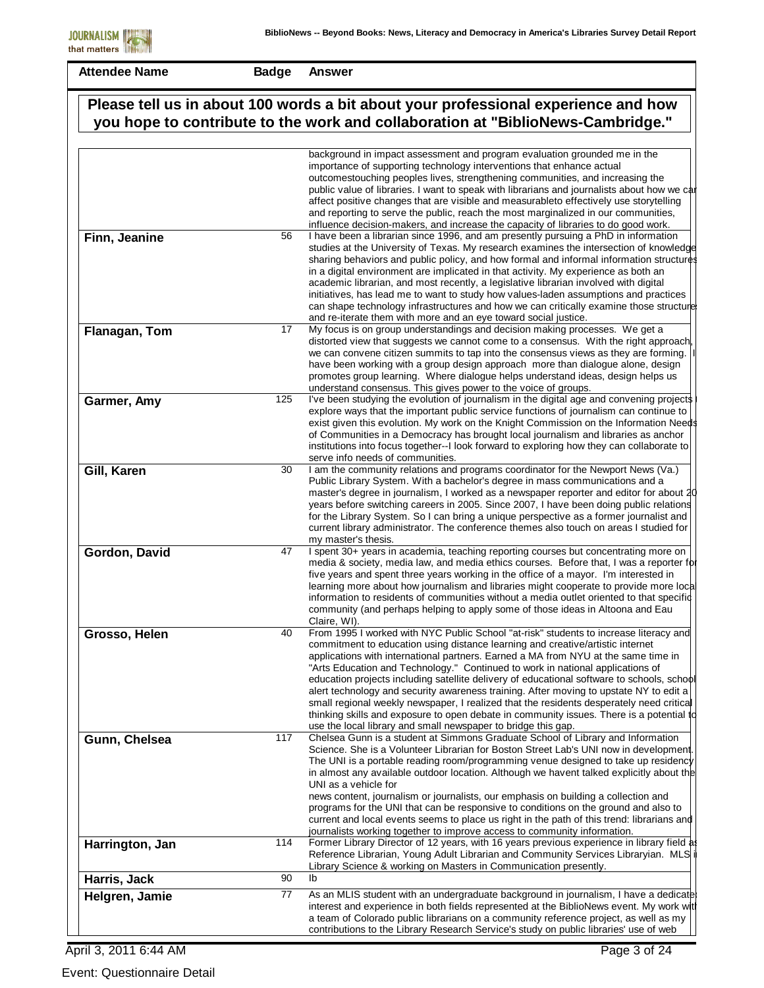**Badge Answer**

| Please tell us in about 100 words a bit about your professional experience and how |     |                                                                                                                                                                                                                                                                                                                                                                                                                                                                                                                                                                                                                                                                                                                                                                                                  |
|------------------------------------------------------------------------------------|-----|--------------------------------------------------------------------------------------------------------------------------------------------------------------------------------------------------------------------------------------------------------------------------------------------------------------------------------------------------------------------------------------------------------------------------------------------------------------------------------------------------------------------------------------------------------------------------------------------------------------------------------------------------------------------------------------------------------------------------------------------------------------------------------------------------|
|                                                                                    |     | you hope to contribute to the work and collaboration at "BiblioNews-Cambridge."                                                                                                                                                                                                                                                                                                                                                                                                                                                                                                                                                                                                                                                                                                                  |
|                                                                                    |     | background in impact assessment and program evaluation grounded me in the<br>importance of supporting technology interventions that enhance actual<br>outcomestouching peoples lives, strengthening communities, and increasing the<br>public value of libraries. I want to speak with librarians and journalists about how we car<br>affect positive changes that are visible and measurableto effectively use storytelling<br>and reporting to serve the public, reach the most marginalized in our communities,<br>influence decision-makers, and increase the capacity of libraries to do good work.                                                                                                                                                                                         |
| Finn, Jeanine                                                                      | 56  | I have been a librarian since 1996, and am presently pursuing a PhD in information<br>studies at the University of Texas. My research examines the intersection of knowledge<br>sharing behaviors and public policy, and how formal and informal information structures<br>in a digital environment are implicated in that activity. My experience as both an<br>academic librarian, and most recently, a legislative librarian involved with digital<br>initiatives, has lead me to want to study how values-laden assumptions and practices<br>can shape technology infrastructures and how we can critically examine those structure<br>and re-iterate them with more and an eye toward social justice.                                                                                       |
| Flanagan, Tom                                                                      | 17  | My focus is on group understandings and decision making processes. We get a<br>distorted view that suggests we cannot come to a consensus. With the right approach<br>we can convene citizen summits to tap into the consensus views as they are forming.<br>have been working with a group design approach more than dialogue alone, design<br>promotes group learning. Where dialogue helps understand ideas, design helps us<br>understand consensus. This gives power to the voice of groups.                                                                                                                                                                                                                                                                                                |
| Garmer, Amy                                                                        | 125 | I've been studying the evolution of journalism in the digital age and convening projects<br>explore ways that the important public service functions of journalism can continue to<br>exist given this evolution. My work on the Knight Commission on the Information Needs<br>of Communities in a Democracy has brought local journalism and libraries as anchor<br>institutions into focus together--I look forward to exploring how they can collaborate to<br>serve info needs of communities.                                                                                                                                                                                                                                                                                               |
| Gill, Karen                                                                        | 30  | I am the community relations and programs coordinator for the Newport News (Va.)<br>Public Library System. With a bachelor's degree in mass communications and a<br>master's degree in journalism, I worked as a newspaper reporter and editor for about 20<br>years before switching careers in 2005. Since 2007, I have been doing public relations<br>for the Library System. So I can bring a unique perspective as a former journalist and<br>current library administrator. The conference themes also touch on areas I studied for<br>my master's thesis.                                                                                                                                                                                                                                 |
| Gordon, David                                                                      | 47  | I spent 30+ years in academia, teaching reporting courses but concentrating more on<br>media & society, media law, and media ethics courses. Before that, I was a reporter for<br>five years and spent three years working in the office of a mayor. I'm interested in<br>learning more about how journalism and libraries might cooperate to provide more local<br>information to residents of communities without a media outlet oriented to that specific<br>community (and perhaps helping to apply some of those ideas in Altoona and Eau<br>Claire, WI).                                                                                                                                                                                                                                   |
| Grosso, Helen                                                                      | 40  | From 1995 I worked with NYC Public School "at-risk" students to increase literacy and<br>commitment to education using distance learning and creative/artistic internet<br>applications with international partners. Earned a MA from NYU at the same time in<br>"Arts Education and Technology." Continued to work in national applications of<br>education projects including satellite delivery of educational software to schools, school<br>alert technology and security awareness training. After moving to upstate NY to edit a<br>small regional weekly newspaper, I realized that the residents desperately need critical<br>thinking skills and exposure to open debate in community issues. There is a potential to<br>use the local library and small newspaper to bridge this gap. |
| Gunn, Chelsea                                                                      | 117 | Chelsea Gunn is a student at Simmons Graduate School of Library and Information<br>Science. She is a Volunteer Librarian for Boston Street Lab's UNI now in development.<br>The UNI is a portable reading room/programming venue designed to take up residency<br>in almost any available outdoor location. Although we havent talked explicitly about the<br>UNI as a vehicle for<br>news content, journalism or journalists, our emphasis on building a collection and<br>programs for the UNI that can be responsive to conditions on the ground and also to<br>current and local events seems to place us right in the path of this trend: librarians and<br>journalists working together to improve access to community information.                                                        |
| Harrington, Jan                                                                    | 114 | Former Library Director of 12 years, with 16 years previous experience in library field as<br>Reference Librarian, Young Adult Librarian and Community Services Libraryian. MLS i<br>Library Science & working on Masters in Communication presently.                                                                                                                                                                                                                                                                                                                                                                                                                                                                                                                                            |
| Harris, Jack                                                                       | 90  | lb                                                                                                                                                                                                                                                                                                                                                                                                                                                                                                                                                                                                                                                                                                                                                                                               |
| Helgren, Jamie                                                                     | 77  | As an MLIS student with an undergraduate background in journalism, I have a dedicate<br>interest and experience in both fields represented at the BiblioNews event. My work wit<br>a team of Colorado public librarians on a community reference project, as well as my<br>contributions to the Library Research Service's study on public libraries' use of web                                                                                                                                                                                                                                                                                                                                                                                                                                 |

April 3, 2011 6:44 AM

Event: Questionnaire Detail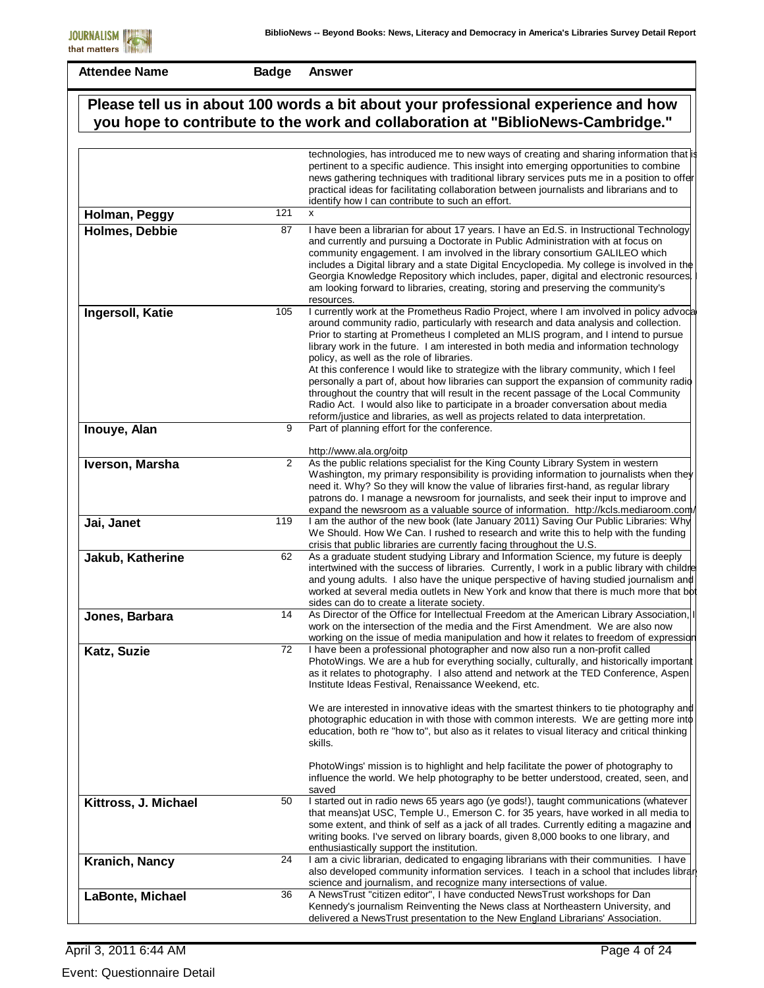|                       |     | Please tell us in about 100 words a bit about your professional experience and how<br>you hope to contribute to the work and collaboration at "BiblioNews-Cambridge."                                                                                                                                                                                                                                                                                                                                                                                                                                                                                                                                                                                                                                                                                             |
|-----------------------|-----|-------------------------------------------------------------------------------------------------------------------------------------------------------------------------------------------------------------------------------------------------------------------------------------------------------------------------------------------------------------------------------------------------------------------------------------------------------------------------------------------------------------------------------------------------------------------------------------------------------------------------------------------------------------------------------------------------------------------------------------------------------------------------------------------------------------------------------------------------------------------|
|                       |     | technologies, has introduced me to new ways of creating and sharing information that is<br>pertinent to a specific audience. This insight into emerging opportunities to combine<br>news gathering techniques with traditional library services puts me in a position to offer<br>practical ideas for facilitating collaboration between journalists and librarians and to<br>identify how I can contribute to such an effort.                                                                                                                                                                                                                                                                                                                                                                                                                                    |
| Holman, Peggy         | 121 | X                                                                                                                                                                                                                                                                                                                                                                                                                                                                                                                                                                                                                                                                                                                                                                                                                                                                 |
| <b>Holmes, Debbie</b> | 87  | I have been a librarian for about 17 years. I have an Ed.S. in Instructional Technology<br>and currently and pursuing a Doctorate in Public Administration with at focus on<br>community engagement. I am involved in the library consortium GALILEO which<br>includes a Digital library and a state Digital Encyclopedia. My college is involved in the<br>Georgia Knowledge Repository which includes, paper, digital and electronic resources.<br>am looking forward to libraries, creating, storing and preserving the community's<br>resources.                                                                                                                                                                                                                                                                                                              |
| Ingersoll, Katie      | 105 | I currently work at the Prometheus Radio Project, where I am involved in policy advocal<br>around community radio, particularly with research and data analysis and collection.<br>Prior to starting at Prometheus I completed an MLIS program, and I intend to pursue<br>library work in the future. I am interested in both media and information technology<br>policy, as well as the role of libraries.<br>At this conference I would like to strategize with the library community, which I feel<br>personally a part of, about how libraries can support the expansion of community radio<br>throughout the country that will result in the recent passage of the Local Community<br>Radio Act. I would also like to participate in a broader conversation about media<br>reform/justice and libraries, as well as projects related to data interpretation. |
| Inouye, Alan          | 9   | Part of planning effort for the conference.                                                                                                                                                                                                                                                                                                                                                                                                                                                                                                                                                                                                                                                                                                                                                                                                                       |
| Iverson, Marsha       | 2   | http://www.ala.org/oitp<br>As the public relations specialist for the King County Library System in western<br>Washington, my primary responsibility is providing information to journalists when they<br>need it. Why? So they will know the value of libraries first-hand, as regular library<br>patrons do. I manage a newsroom for journalists, and seek their input to improve and<br>expand the newsroom as a valuable source of information. http://kcls.mediaroom.com/                                                                                                                                                                                                                                                                                                                                                                                    |
| Jai, Janet            | 119 | I am the author of the new book (late January 2011) Saving Our Public Libraries: Why<br>We Should. How We Can. I rushed to research and write this to help with the funding<br>crisis that public libraries are currently facing throughout the U.S.                                                                                                                                                                                                                                                                                                                                                                                                                                                                                                                                                                                                              |
| Jakub, Katherine      | 62  | As a graduate student studying Library and Information Science, my future is deeply<br>intertwined with the success of libraries. Currently, I work in a public library with childre<br>and young adults. I also have the unique perspective of having studied journalism and<br>worked at several media outlets in New York and know that there is much more that bot<br>sides can do to create a literate society.                                                                                                                                                                                                                                                                                                                                                                                                                                              |
| Jones, Barbara        | 14  | As Director of the Office for Intellectual Freedom at the American Library Association,<br>work on the intersection of the media and the First Amendment. We are also now<br>working on the issue of media manipulation and how it relates to freedom of expression                                                                                                                                                                                                                                                                                                                                                                                                                                                                                                                                                                                               |
| Katz, Suzie           | 72  | I have been a professional photographer and now also run a non-profit called<br>PhotoWings. We are a hub for everything socially, culturally, and historically important<br>as it relates to photography. I also attend and network at the TED Conference, Aspen<br>Institute Ideas Festival, Renaissance Weekend, etc.                                                                                                                                                                                                                                                                                                                                                                                                                                                                                                                                           |
|                       |     | We are interested in innovative ideas with the smartest thinkers to tie photography and<br>photographic education in with those with common interests. We are getting more into<br>education, both re "how to", but also as it relates to visual literacy and critical thinking<br>skills.                                                                                                                                                                                                                                                                                                                                                                                                                                                                                                                                                                        |
|                       |     | PhotoWings' mission is to highlight and help facilitate the power of photography to<br>influence the world. We help photography to be better understood, created, seen, and<br>saved                                                                                                                                                                                                                                                                                                                                                                                                                                                                                                                                                                                                                                                                              |
| Kittross, J. Michael  | 50  | I started out in radio news 65 years ago (ye gods!), taught communications (whatever<br>that means) at USC, Temple U., Emerson C. for 35 years, have worked in all media to<br>some extent, and think of self as a jack of all trades. Currently editing a magazine and<br>writing books. I've served on library boards, given 8,000 books to one library, and<br>enthusiastically support the institution.                                                                                                                                                                                                                                                                                                                                                                                                                                                       |
| Kranich, Nancy        | 24  | I am a civic librarian, dedicated to engaging librarians with their communities. I have<br>also developed community information services. I teach in a school that includes librar<br>science and journalism, and recognize many intersections of value.                                                                                                                                                                                                                                                                                                                                                                                                                                                                                                                                                                                                          |
| LaBonte, Michael      | 36  | A NewsTrust "citizen editor", I have conducted NewsTrust workshops for Dan<br>Kennedy's journalism Reinventing the News class at Northeastern University, and<br>delivered a NewsTrust presentation to the New England Librarians' Association.                                                                                                                                                                                                                                                                                                                                                                                                                                                                                                                                                                                                                   |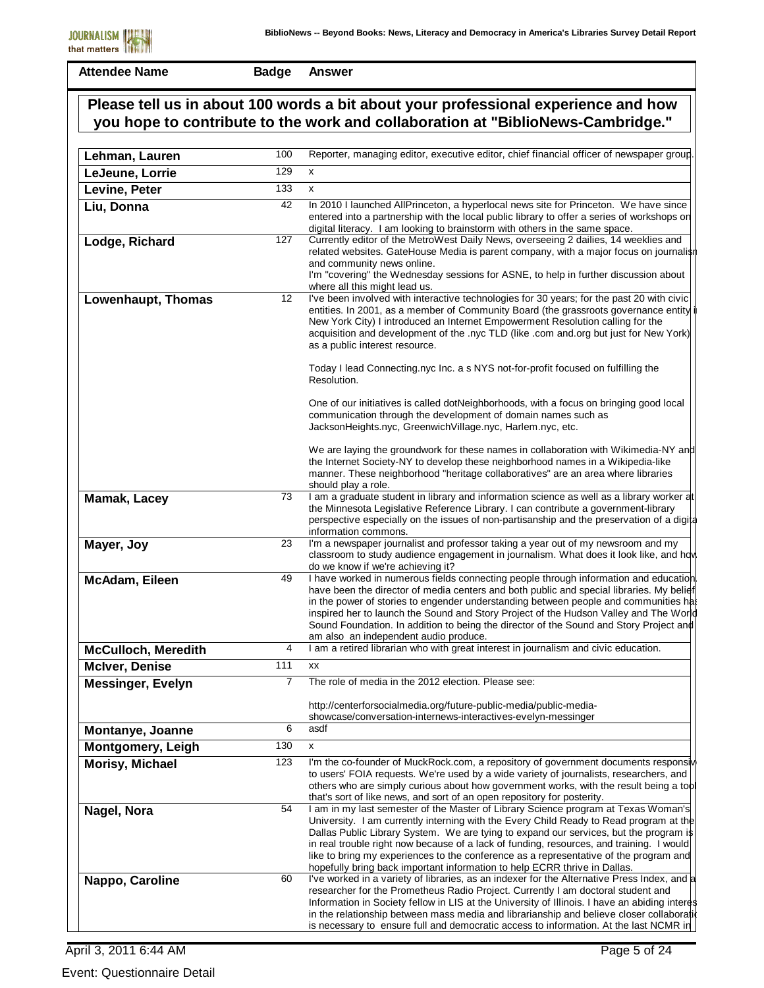| Lehman, Lauren             | 100               | Reporter, managing editor, executive editor, chief financial officer of newspaper group                                                                                                                                                                                                                                                                                                                                                                                                                                                 |
|----------------------------|-------------------|-----------------------------------------------------------------------------------------------------------------------------------------------------------------------------------------------------------------------------------------------------------------------------------------------------------------------------------------------------------------------------------------------------------------------------------------------------------------------------------------------------------------------------------------|
| LeJeune, Lorrie            | 129               | X                                                                                                                                                                                                                                                                                                                                                                                                                                                                                                                                       |
| Levine, Peter              | 133               | x                                                                                                                                                                                                                                                                                                                                                                                                                                                                                                                                       |
| Liu, Donna                 | 42                | In 2010 I launched AllPrinceton, a hyperlocal news site for Princeton. We have since<br>entered into a partnership with the local public library to offer a series of workshops on<br>digital literacy. I am looking to brainstorm with others in the same space.                                                                                                                                                                                                                                                                       |
| Lodge, Richard             | 127               | Currently editor of the MetroWest Daily News, overseeing 2 dailies, 14 weeklies and<br>related websites. GateHouse Media is parent company, with a major focus on journalish<br>and community news online.<br>I'm "covering" the Wednesday sessions for ASNE, to help in further discussion about<br>where all this might lead us.                                                                                                                                                                                                      |
| Lowenhaupt, Thomas         | $12 \overline{ }$ | I've been involved with interactive technologies for 30 years; for the past 20 with civic<br>entities. In 2001, as a member of Community Board (the grassroots governance entity i<br>New York City) I introduced an Internet Empowerment Resolution calling for the<br>acquisition and development of the .nyc TLD (like .com and.org but just for New York)<br>as a public interest resource.                                                                                                                                         |
|                            |                   | Today I lead Connecting.nyc Inc. a s NYS not-for-profit focused on fulfilling the<br>Resolution.                                                                                                                                                                                                                                                                                                                                                                                                                                        |
|                            |                   | One of our initiatives is called dotNeighborhoods, with a focus on bringing good local<br>communication through the development of domain names such as<br>JacksonHeights.nyc, GreenwichVillage.nyc, Harlem.nyc, etc.                                                                                                                                                                                                                                                                                                                   |
|                            |                   | We are laying the groundwork for these names in collaboration with Wikimedia-NY and<br>the Internet Society-NY to develop these neighborhood names in a Wikipedia-like<br>manner. These neighborhood "heritage collaboratives" are an area where libraries<br>should play a role.                                                                                                                                                                                                                                                       |
| <b>Mamak, Lacey</b>        | 73                | I am a graduate student in library and information science as well as a library worker at<br>the Minnesota Legislative Reference Library. I can contribute a government-library<br>perspective especially on the issues of non-partisanship and the preservation of a digital<br>information commons.                                                                                                                                                                                                                                   |
| Mayer, Joy                 | 23                | I'm a newspaper journalist and professor taking a year out of my newsroom and my<br>classroom to study audience engagement in journalism. What does it look like, and how<br>do we know if we're achieving it?                                                                                                                                                                                                                                                                                                                          |
| McAdam, Eileen             | 49                | I have worked in numerous fields connecting people through information and education<br>have been the director of media centers and both public and special libraries. My belief<br>in the power of stories to engender understanding between people and communities has<br>inspired her to launch the Sound and Story Project of the Hudson Valley and The World<br>Sound Foundation. In addition to being the director of the Sound and Story Project and<br>am also an independent audio produce.                                    |
| <b>McCulloch, Meredith</b> | 4                 | I am a retired librarian who with great interest in journalism and civic education.                                                                                                                                                                                                                                                                                                                                                                                                                                                     |
| <b>McIver, Denise</b>      | 111               | XX                                                                                                                                                                                                                                                                                                                                                                                                                                                                                                                                      |
| <b>Messinger, Evelyn</b>   | 7                 | The role of media in the 2012 election. Please see:                                                                                                                                                                                                                                                                                                                                                                                                                                                                                     |
|                            |                   | http://centerforsocialmedia.org/future-public-media/public-media-<br>showcase/conversation-internews-interactives-evelyn-messinger                                                                                                                                                                                                                                                                                                                                                                                                      |
| Montanye, Joanne           | 6                 | asdf                                                                                                                                                                                                                                                                                                                                                                                                                                                                                                                                    |
| <b>Montgomery, Leigh</b>   | 130               | x                                                                                                                                                                                                                                                                                                                                                                                                                                                                                                                                       |
| Morisy, Michael            | 123               | I'm the co-founder of MuckRock.com, a repository of government documents responsive<br>to users' FOIA requests. We're used by a wide variety of journalists, researchers, and<br>others who are simply curious about how government works, with the result being a tool<br>that's sort of like news, and sort of an open repository for posterity.                                                                                                                                                                                      |
| Nagel, Nora                | 54                | I am in my last semester of the Master of Library Science program at Texas Woman's<br>University. I am currently interning with the Every Child Ready to Read program at the<br>Dallas Public Library System. We are tying to expand our services, but the program is<br>in real trouble right now because of a lack of funding, resources, and training. I would<br>like to bring my experiences to the conference as a representative of the program and<br>hopefully bring back important information to help ECRR thrive in Dallas. |
| Nappo, Caroline            | 60                | I've worked in a variety of libraries, as an indexer for the Alternative Press Index, and a<br>researcher for the Prometheus Radio Project. Currently I am doctoral student and<br>Information in Society fellow in LIS at the University of Illinois. I have an abiding interest<br>in the relationship between mass media and librarianship and believe closer collaboration<br>is necessary to ensure full and democratic access to information. At the last NCMR in                                                                 |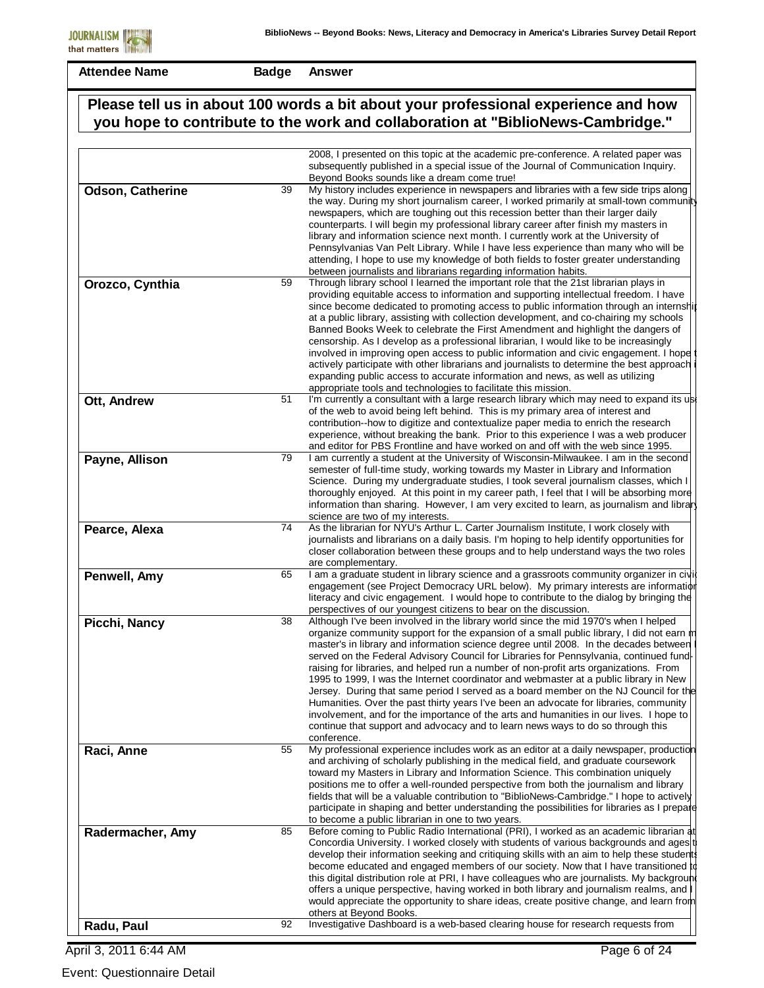**Badge Answer**

|                  |    | Please tell us in about 100 words a bit about your professional experience and how                                                                                                                                                                                                                                                                                                                                                                                                                                                                                                                                                                                                                                                                                                                                                                                                                                               |
|------------------|----|----------------------------------------------------------------------------------------------------------------------------------------------------------------------------------------------------------------------------------------------------------------------------------------------------------------------------------------------------------------------------------------------------------------------------------------------------------------------------------------------------------------------------------------------------------------------------------------------------------------------------------------------------------------------------------------------------------------------------------------------------------------------------------------------------------------------------------------------------------------------------------------------------------------------------------|
|                  |    | you hope to contribute to the work and collaboration at "BiblioNews-Cambridge."                                                                                                                                                                                                                                                                                                                                                                                                                                                                                                                                                                                                                                                                                                                                                                                                                                                  |
|                  |    | 2008, I presented on this topic at the academic pre-conference. A related paper was                                                                                                                                                                                                                                                                                                                                                                                                                                                                                                                                                                                                                                                                                                                                                                                                                                              |
|                  |    | subsequently published in a special issue of the Journal of Communication Inquiry.<br>Beyond Books sounds like a dream come true!                                                                                                                                                                                                                                                                                                                                                                                                                                                                                                                                                                                                                                                                                                                                                                                                |
| Odson, Catherine | 39 | My history includes experience in newspapers and libraries with a few side trips along<br>the way. During my short journalism career, I worked primarily at small-town community<br>newspapers, which are toughing out this recession better than their larger daily<br>counterparts. I will begin my professional library career after finish my masters in<br>library and information science next month. I currently work at the University of<br>Pennsylvanias Van Pelt Library. While I have less experience than many who will be<br>attending, I hope to use my knowledge of both fields to foster greater understanding<br>between journalists and librarians regarding information habits.                                                                                                                                                                                                                              |
| Orozco, Cynthia  | 59 | Through library school I learned the important role that the 21st librarian plays in<br>providing equitable access to information and supporting intellectual freedom. I have<br>since become dedicated to promoting access to public information through an internshil<br>at a public library, assisting with collection development, and co-chairing my schools<br>Banned Books Week to celebrate the First Amendment and highlight the dangers of<br>censorship. As I develop as a professional librarian, I would like to be increasingly<br>involved in improving open access to public information and civic engagement. I hope<br>actively participate with other librarians and journalists to determine the best approach<br>expanding public access to accurate information and news, as well as utilizing<br>appropriate tools and technologies to facilitate this mission.                                           |
| Ott, Andrew      | 51 | I'm currently a consultant with a large research library which may need to expand its use<br>of the web to avoid being left behind. This is my primary area of interest and<br>contribution--how to digitize and contextualize paper media to enrich the research<br>experience, without breaking the bank. Prior to this experience I was a web producer<br>and editor for PBS Frontline and have worked on and off with the web since 1995.                                                                                                                                                                                                                                                                                                                                                                                                                                                                                    |
| Payne, Allison   | 79 | I am currently a student at the University of Wisconsin-Milwaukee. I am in the second<br>semester of full-time study, working towards my Master in Library and Information<br>Science. During my undergraduate studies, I took several journalism classes, which I<br>thoroughly enjoyed. At this point in my career path, I feel that I will be absorbing more<br>information than sharing. However, I am very excited to learn, as journalism and library<br>science are two of my interests.                                                                                                                                                                                                                                                                                                                                                                                                                                  |
| Pearce, Alexa    | 74 | As the librarian for NYU's Arthur L. Carter Journalism Institute, I work closely with<br>journalists and librarians on a daily basis. I'm hoping to help identify opportunities for<br>closer collaboration between these groups and to help understand ways the two roles<br>are complementary.                                                                                                                                                                                                                                                                                                                                                                                                                                                                                                                                                                                                                                 |
| Penwell, Amy     | 65 | I am a graduate student in library science and a grassroots community organizer in civi<br>engagement (see Project Democracy URL below). My primary interests are information<br>literacy and civic engagement. I would hope to contribute to the dialog by bringing the<br>perspectives of our youngest citizens to bear on the discussion.                                                                                                                                                                                                                                                                                                                                                                                                                                                                                                                                                                                     |
| Picchi, Nancy    | 38 | Although I've been involved in the library world since the mid 1970's when I helped<br>organize community support for the expansion of a small public library, I did not earn m<br>master's in library and information science degree until 2008. In the decades between<br>served on the Federal Advisory Council for Libraries for Pennsylvania, continued fund<br>raising for libraries, and helped run a number of non-profit arts organizations. From<br>1995 to 1999, I was the Internet coordinator and webmaster at a public library in New<br>Jersey. During that same period I served as a board member on the NJ Council for the<br>Humanities. Over the past thirty years I've been an advocate for libraries, community<br>involvement, and for the importance of the arts and humanities in our lives. I hope to<br>continue that support and advocacy and to learn news ways to do so through this<br>conference. |
| Raci, Anne       | 55 | My professional experience includes work as an editor at a daily newspaper, production<br>and archiving of scholarly publishing in the medical field, and graduate coursework<br>toward my Masters in Library and Information Science. This combination uniquely<br>positions me to offer a well-rounded perspective from both the journalism and library<br>fields that will be a valuable contribution to "BiblioNews-Cambridge." I hope to actively<br>participate in shaping and better understanding the possibilities for libraries as I prepare<br>to become a public librarian in one to two years.                                                                                                                                                                                                                                                                                                                      |
| Radermacher, Amy | 85 | Before coming to Public Radio International (PRI), I worked as an academic librarian at<br>Concordia University. I worked closely with students of various backgrounds and ages t<br>develop their information seeking and critiquing skills with an aim to help these students<br>become educated and engaged members of our society. Now that I have transitioned to<br>this digital distribution role at PRI, I have colleagues who are journalists. My backgroun<br>offers a unique perspective, having worked in both library and journalism realms, and<br>would appreciate the opportunity to share ideas, create positive change, and learn from<br>others at Beyond Books.                                                                                                                                                                                                                                              |
| Radu, Paul       | 92 | Investigative Dashboard is a web-based clearing house for research requests from                                                                                                                                                                                                                                                                                                                                                                                                                                                                                                                                                                                                                                                                                                                                                                                                                                                 |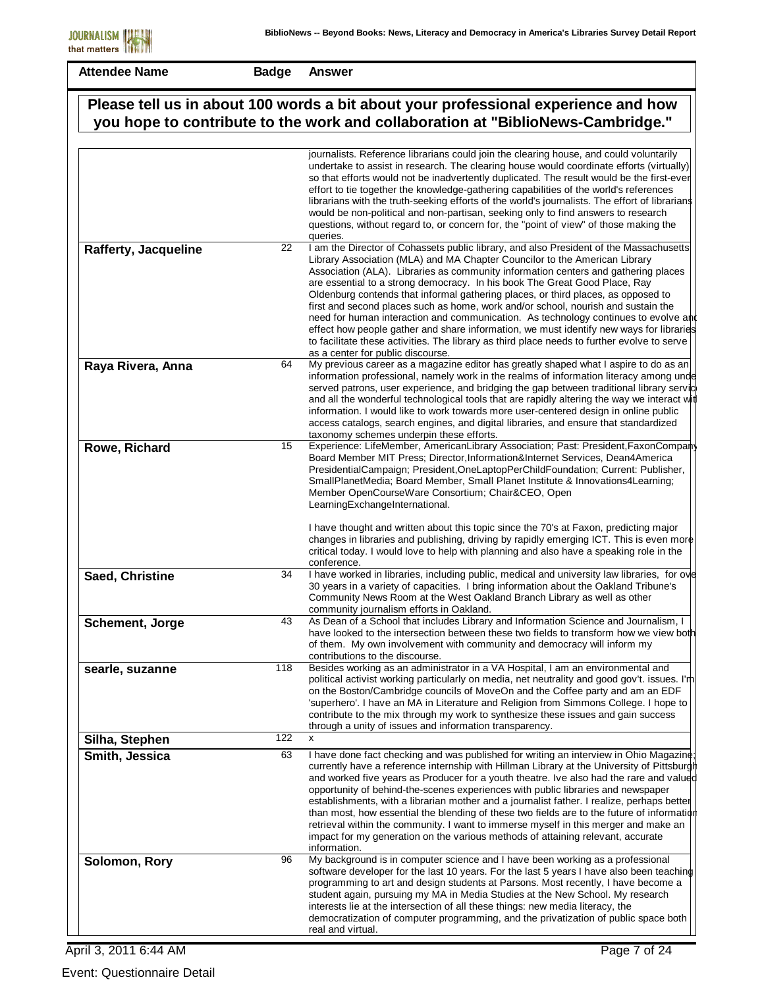**Badge Answer**

| Please tell us in about 100 words a bit about your professional experience and how |     |                                                                                                                                                                                                                                                                                                                                                                                                                                                                                                                                                                                                                                                                                                                                                                                                                                                                                                                                                                                                                                                                                                                                                                                                                                                                                                                                                                              |
|------------------------------------------------------------------------------------|-----|------------------------------------------------------------------------------------------------------------------------------------------------------------------------------------------------------------------------------------------------------------------------------------------------------------------------------------------------------------------------------------------------------------------------------------------------------------------------------------------------------------------------------------------------------------------------------------------------------------------------------------------------------------------------------------------------------------------------------------------------------------------------------------------------------------------------------------------------------------------------------------------------------------------------------------------------------------------------------------------------------------------------------------------------------------------------------------------------------------------------------------------------------------------------------------------------------------------------------------------------------------------------------------------------------------------------------------------------------------------------------|
|                                                                                    |     | you hope to contribute to the work and collaboration at "BiblioNews-Cambridge."                                                                                                                                                                                                                                                                                                                                                                                                                                                                                                                                                                                                                                                                                                                                                                                                                                                                                                                                                                                                                                                                                                                                                                                                                                                                                              |
|                                                                                    |     |                                                                                                                                                                                                                                                                                                                                                                                                                                                                                                                                                                                                                                                                                                                                                                                                                                                                                                                                                                                                                                                                                                                                                                                                                                                                                                                                                                              |
| <b>Rafferty, Jacqueline</b>                                                        | 22  | journalists. Reference librarians could join the clearing house, and could voluntarily<br>undertake to assist in research. The clearing house would coordinate efforts (virtually)<br>so that efforts would not be inadvertently duplicated. The result would be the first-ever<br>effort to tie together the knowledge-gathering capabilities of the world's references<br>librarians with the truth-seeking efforts of the world's journalists. The effort of librarians<br>would be non-political and non-partisan, seeking only to find answers to research<br>questions, without regard to, or concern for, the "point of view" of those making the<br>queries.<br>I am the Director of Cohassets public library, and also President of the Massachusetts<br>Library Association (MLA) and MA Chapter Councilor to the American Library<br>Association (ALA). Libraries as community information centers and gathering places<br>are essential to a strong democracy. In his book The Great Good Place, Ray<br>Oldenburg contends that informal gathering places, or third places, as opposed to<br>first and second places such as home, work and/or school, nourish and sustain the<br>need for human interaction and communication. As technology continues to evolve and<br>effect how people gather and share information, we must identify new ways for libraries |
|                                                                                    |     | to facilitate these activities. The library as third place needs to further evolve to serve                                                                                                                                                                                                                                                                                                                                                                                                                                                                                                                                                                                                                                                                                                                                                                                                                                                                                                                                                                                                                                                                                                                                                                                                                                                                                  |
| Raya Rivera, Anna                                                                  | 64  | as a center for public discourse.<br>My previous career as a magazine editor has greatly shaped what I aspire to do as an<br>information professional, namely work in the realms of information literacy among unde<br>served patrons, user experience, and bridging the gap between traditional library servic<br>and all the wonderful technological tools that are rapidly altering the way we interact wit<br>information. I would like to work towards more user-centered design in online public<br>access catalogs, search engines, and digital libraries, and ensure that standardized<br>taxonomy schemes underpin these efforts.                                                                                                                                                                                                                                                                                                                                                                                                                                                                                                                                                                                                                                                                                                                                   |
| Rowe, Richard                                                                      | 15  | Experience: LifeMember, AmericanLibrary Association; Past: President, FaxonCompany<br>Board Member MIT Press; Director, Information&Internet Services, Dean4America<br>PresidentialCampaign; President, OneLaptopPerChildFoundation; Current: Publisher,<br>SmallPlanetMedia; Board Member, Small Planet Institute & Innovations4Learning;<br>Member OpenCourseWare Consortium; Chair&CEO, Open<br>LearningExchangeInternational.<br>I have thought and written about this topic since the 70's at Faxon, predicting major                                                                                                                                                                                                                                                                                                                                                                                                                                                                                                                                                                                                                                                                                                                                                                                                                                                   |
|                                                                                    |     | changes in libraries and publishing, driving by rapidly emerging ICT. This is even more<br>critical today. I would love to help with planning and also have a speaking role in the<br>conference.                                                                                                                                                                                                                                                                                                                                                                                                                                                                                                                                                                                                                                                                                                                                                                                                                                                                                                                                                                                                                                                                                                                                                                            |
| Saed, Christine                                                                    | 34  | I have worked in libraries, including public, medical and university law libraries, for ove<br>30 years in a variety of capacities. I bring information about the Oakland Tribune's<br>Community News Room at the West Oakland Branch Library as well as other<br>community journalism efforts in Oakland.                                                                                                                                                                                                                                                                                                                                                                                                                                                                                                                                                                                                                                                                                                                                                                                                                                                                                                                                                                                                                                                                   |
| Schement, Jorge                                                                    | 43  | As Dean of a School that includes Library and Information Science and Journalism, I<br>have looked to the intersection between these two fields to transform how we view both<br>of them. My own involvement with community and democracy will inform my<br>contributions to the discourse.                                                                                                                                                                                                                                                                                                                                                                                                                                                                                                                                                                                                                                                                                                                                                                                                                                                                                                                                                                                                                                                                                  |
| searle, suzanne                                                                    | 118 | Besides working as an administrator in a VA Hospital, I am an environmental and<br>political activist working particularly on media, net neutrality and good gov't. issues. I'm<br>on the Boston/Cambridge councils of MoveOn and the Coffee party and am an EDF<br>'superhero'. I have an MA in Literature and Religion from Simmons College. I hope to<br>contribute to the mix through my work to synthesize these issues and gain success<br>through a unity of issues and information transparency.                                                                                                                                                                                                                                                                                                                                                                                                                                                                                                                                                                                                                                                                                                                                                                                                                                                                     |
| Silha, Stephen                                                                     | 122 | X                                                                                                                                                                                                                                                                                                                                                                                                                                                                                                                                                                                                                                                                                                                                                                                                                                                                                                                                                                                                                                                                                                                                                                                                                                                                                                                                                                            |
| Smith, Jessica                                                                     | 63  | I have done fact checking and was published for writing an interview in Ohio Magazine<br>currently have a reference internship with Hillman Library at the University of Pittsburgh<br>and worked five years as Producer for a youth theatre. Ive also had the rare and valued<br>opportunity of behind-the-scenes experiences with public libraries and newspaper<br>establishments, with a librarian mother and a journalist father. I realize, perhaps better<br>than most, how essential the blending of these two fields are to the future of information<br>retrieval within the community. I want to immerse myself in this merger and make an<br>impact for my generation on the various methods of attaining relevant, accurate<br>information.                                                                                                                                                                                                                                                                                                                                                                                                                                                                                                                                                                                                                     |
| Solomon, Rory                                                                      | 96  | My background is in computer science and I have been working as a professional<br>software developer for the last 10 years. For the last 5 years I have also been teaching<br>programming to art and design students at Parsons. Most recently, I have become a<br>student again, pursuing my MA in Media Studies at the New School. My research<br>interests lie at the intersection of all these things: new media literacy, the<br>democratization of computer programming, and the privatization of public space both<br>real and virtual.                                                                                                                                                                                                                                                                                                                                                                                                                                                                                                                                                                                                                                                                                                                                                                                                                               |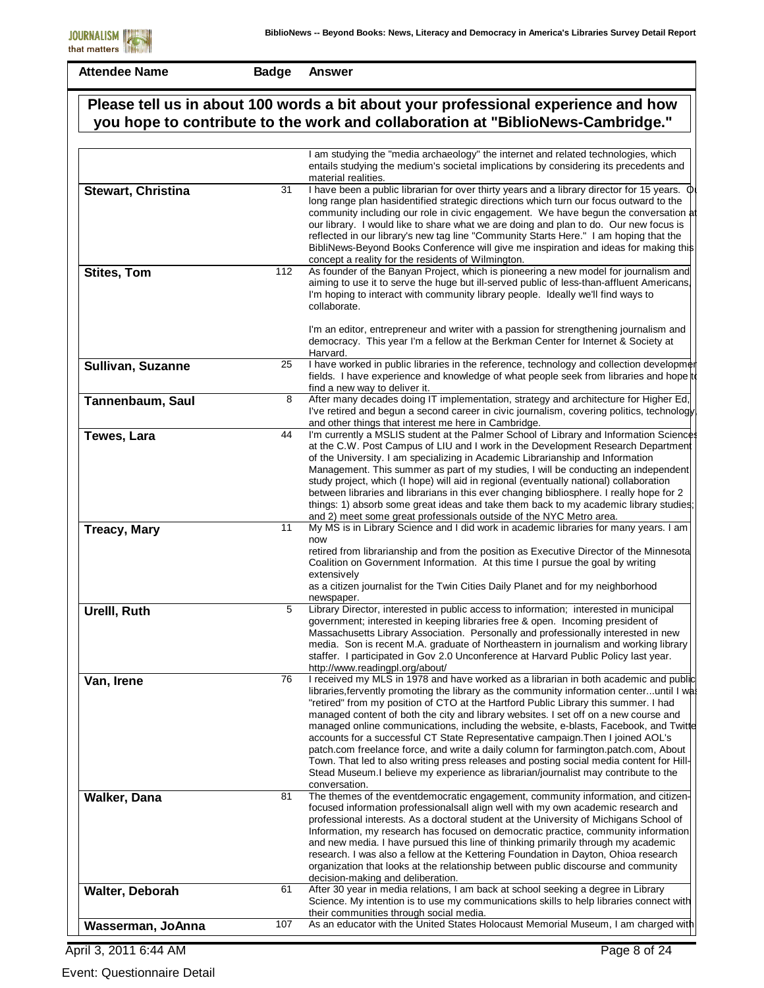**Badge Answer**

|                     |     | Please tell us in about 100 words a bit about your professional experience and how<br>you hope to contribute to the work and collaboration at "BiblioNews-Cambridge."                                                                                                                                                                                                                                                                                                                                                                                                                                                                                                                                                                                                                                                                  |
|---------------------|-----|----------------------------------------------------------------------------------------------------------------------------------------------------------------------------------------------------------------------------------------------------------------------------------------------------------------------------------------------------------------------------------------------------------------------------------------------------------------------------------------------------------------------------------------------------------------------------------------------------------------------------------------------------------------------------------------------------------------------------------------------------------------------------------------------------------------------------------------|
|                     |     | I am studying the "media archaeology" the internet and related technologies, which<br>entails studying the medium's societal implications by considering its precedents and<br>material realities.                                                                                                                                                                                                                                                                                                                                                                                                                                                                                                                                                                                                                                     |
| Stewart, Christina  | 31  | I have been a public librarian for over thirty years and a library director for 15 years. $\Phi$<br>long range plan hasidentified strategic directions which turn our focus outward to the<br>community including our role in civic engagement. We have begun the conversation at<br>our library. I would like to share what we are doing and plan to do. Our new focus is<br>reflected in our library's new tag line "Community Starts Here." I am hoping that the<br>BibliNews-Beyond Books Conference will give me inspiration and ideas for making this<br>concept a reality for the residents of Wilmington.                                                                                                                                                                                                                      |
| <b>Stites, Tom</b>  | 112 | As founder of the Banyan Project, which is pioneering a new model for journalism and<br>aiming to use it to serve the huge but ill-served public of less-than-affluent Americans,<br>I'm hoping to interact with community library people. Ideally we'll find ways to<br>collaborate.                                                                                                                                                                                                                                                                                                                                                                                                                                                                                                                                                  |
|                     |     | I'm an editor, entrepreneur and writer with a passion for strengthening journalism and<br>democracy. This year I'm a fellow at the Berkman Center for Internet & Society at<br>Harvard.                                                                                                                                                                                                                                                                                                                                                                                                                                                                                                                                                                                                                                                |
| Sullivan, Suzanne   | 25  | I have worked in public libraries in the reference, technology and collection developmer<br>fields. I have experience and knowledge of what people seek from libraries and hope to<br>find a new way to deliver it.                                                                                                                                                                                                                                                                                                                                                                                                                                                                                                                                                                                                                    |
| Tannenbaum, Saul    | 8   | After many decades doing IT implementation, strategy and architecture for Higher Ed,<br>I've retired and begun a second career in civic journalism, covering politics, technology<br>and other things that interest me here in Cambridge.                                                                                                                                                                                                                                                                                                                                                                                                                                                                                                                                                                                              |
| Tewes, Lara         | 44  | I'm currently a MSLIS student at the Palmer School of Library and Information Sciences<br>at the C.W. Post Campus of LIU and I work in the Development Research Department<br>of the University. I am specializing in Academic Librarianship and Information<br>Management. This summer as part of my studies, I will be conducting an independent<br>study project, which (I hope) will aid in regional (eventually national) collaboration<br>between libraries and librarians in this ever changing bibliosphere. I really hope for 2<br>things: 1) absorb some great ideas and take them back to my academic library studies;<br>and 2) meet some great professionals outside of the NYC Metro area.                                                                                                                               |
| <b>Treacy, Mary</b> | 11  | My MS is in Library Science and I did work in academic libraries for many years. I am<br>now<br>retired from librarianship and from the position as Executive Director of the Minnesota<br>Coalition on Government Information. At this time I pursue the goal by writing<br>extensively<br>as a citizen journalist for the Twin Cities Daily Planet and for my neighborhood<br>newspaper.                                                                                                                                                                                                                                                                                                                                                                                                                                             |
| Urelll, Ruth        | 5   | Library Director, interested in public access to information; interested in municipal<br>government; interested in keeping libraries free & open. Incoming president of<br>Massachusetts Library Association. Personally and professionally interested in new<br>media. Son is recent M.A. graduate of Northeastern in journalism and working library<br>staffer. I participated in Gov 2.0 Unconference at Harvard Public Policy last year.<br>http://www.readingpl.org/about/                                                                                                                                                                                                                                                                                                                                                        |
| Van, Irene          | 76  | I received my MLS in 1978 and have worked as a librarian in both academic and public<br>libraries, fervently promoting the library as the community information centeruntil I was<br>"retired" from my position of CTO at the Hartford Public Library this summer. I had<br>managed content of both the city and library websites. I set off on a new course and<br>managed online communications, including the website, e-blasts, Facebook, and Twitte<br>accounts for a successful CT State Representative campaign. Then I joined AOL's<br>patch.com freelance force, and write a daily column for farmington.patch.com, About<br>Town. That led to also writing press releases and posting social media content for Hill-<br>Stead Museum. I believe my experience as librarian/journalist may contribute to the<br>conversation. |
| Walker, Dana        | 81  | The themes of the eventdemocratic engagement, community information, and citizen-<br>focused information professionalsall align well with my own academic research and<br>professional interests. As a doctoral student at the University of Michigans School of<br>Information, my research has focused on democratic practice, community information<br>and new media. I have pursued this line of thinking primarily through my academic<br>research. I was also a fellow at the Kettering Foundation in Dayton, Ohioa research<br>organization that looks at the relationship between public discourse and community<br>decision-making and deliberation.                                                                                                                                                                          |
| Walter, Deborah     | 61  | After 30 year in media relations, I am back at school seeking a degree in Library<br>Science. My intention is to use my communications skills to help libraries connect with<br>their communities through social media.                                                                                                                                                                                                                                                                                                                                                                                                                                                                                                                                                                                                                |
| Wasserman, JoAnna   | 107 | As an educator with the United States Holocaust Memorial Museum, I am charged with                                                                                                                                                                                                                                                                                                                                                                                                                                                                                                                                                                                                                                                                                                                                                     |

April 3, 2011 6:44 AM

Event: Questionnaire Detail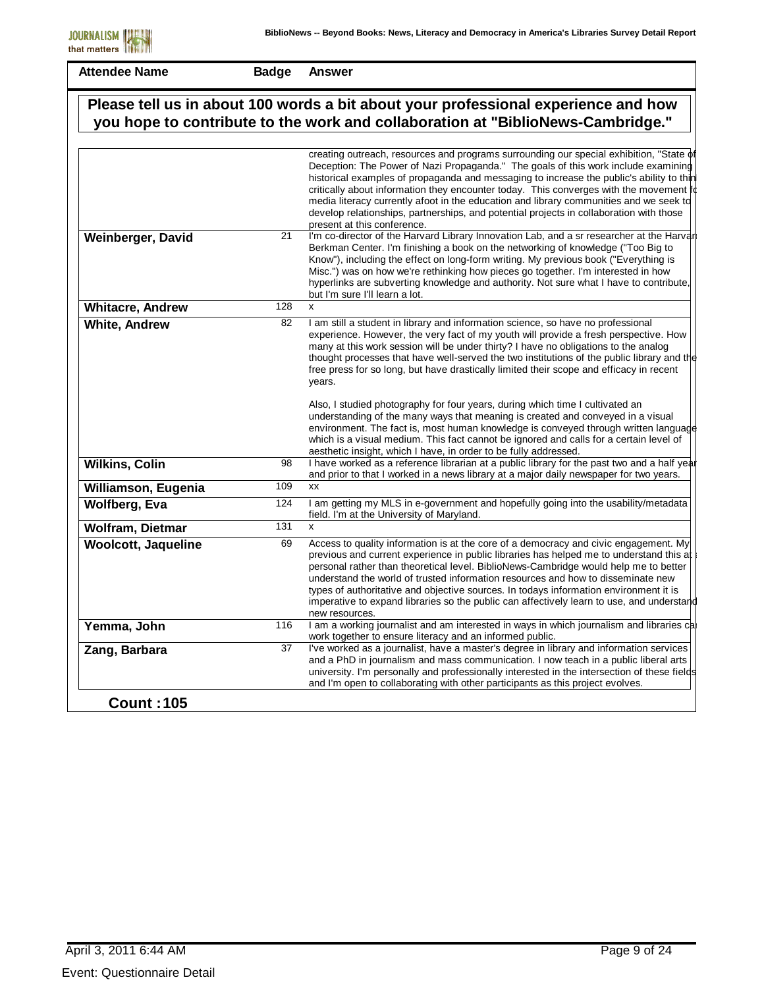|                            |     | Please tell us in about 100 words a bit about your professional experience and how<br>you hope to contribute to the work and collaboration at "BiblioNews-Cambridge."                                                                                                                                                                                                                                                                                                                                                                                                                   |
|----------------------------|-----|-----------------------------------------------------------------------------------------------------------------------------------------------------------------------------------------------------------------------------------------------------------------------------------------------------------------------------------------------------------------------------------------------------------------------------------------------------------------------------------------------------------------------------------------------------------------------------------------|
|                            |     | creating outreach, resources and programs surrounding our special exhibition, "State of<br>Deception: The Power of Nazi Propaganda." The goals of this work include examining<br>historical examples of propaganda and messaging to increase the public's ability to thin<br>critically about information they encounter today. This converges with the movement to<br>media literacy currently afoot in the education and library communities and we seek to<br>develop relationships, partnerships, and potential projects in collaboration with those<br>present at this conference. |
| Weinberger, David          | 21  | I'm co-director of the Harvard Library Innovation Lab, and a sr researcher at the Harvar<br>Berkman Center. I'm finishing a book on the networking of knowledge ("Too Big to<br>Know"), including the effect on long-form writing. My previous book ("Everything is<br>Misc.") was on how we're rethinking how pieces go together. I'm interested in how<br>hyperlinks are subverting knowledge and authority. Not sure what I have to contribute,<br>but I'm sure I'll learn a lot.                                                                                                    |
| <b>Whitacre, Andrew</b>    | 128 | $\mathsf{x}$                                                                                                                                                                                                                                                                                                                                                                                                                                                                                                                                                                            |
| <b>White, Andrew</b>       | 82  | I am still a student in library and information science, so have no professional<br>experience. However, the very fact of my youth will provide a fresh perspective. How<br>many at this work session will be under thirty? I have no obligations to the analog<br>thought processes that have well-served the two institutions of the public library and the<br>free press for so long, but have drastically limited their scope and efficacy in recent<br>years.                                                                                                                      |
|                            |     | Also, I studied photography for four years, during which time I cultivated an<br>understanding of the many ways that meaning is created and conveyed in a visual<br>environment. The fact is, most human knowledge is conveyed through written language<br>which is a visual medium. This fact cannot be ignored and calls for a certain level of<br>aesthetic insight, which I have, in order to be fully addressed.                                                                                                                                                                   |
| <b>Wilkins, Colin</b>      | 98  | I have worked as a reference librarian at a public library for the past two and a half year<br>and prior to that I worked in a news library at a major daily newspaper for two years.                                                                                                                                                                                                                                                                                                                                                                                                   |
| Williamson, Eugenia        | 109 | <b>XX</b>                                                                                                                                                                                                                                                                                                                                                                                                                                                                                                                                                                               |
| <b>Wolfberg, Eva</b>       | 124 | I am getting my MLS in e-government and hopefully going into the usability/metadata<br>field. I'm at the University of Maryland.                                                                                                                                                                                                                                                                                                                                                                                                                                                        |
| Wolfram, Dietmar           | 131 | X                                                                                                                                                                                                                                                                                                                                                                                                                                                                                                                                                                                       |
| <b>Woolcott, Jaqueline</b> | 69  | Access to quality information is at the core of a democracy and civic engagement. My<br>previous and current experience in public libraries has helped me to understand this at<br>personal rather than theoretical level. BiblioNews-Cambridge would help me to better<br>understand the world of trusted information resources and how to disseminate new<br>types of authoritative and objective sources. In todays information environment it is<br>imperative to expand libraries so the public can affectively learn to use, and understand<br>new resources.                     |
| Yemma, John                | 116 | I am a working journalist and am interested in ways in which journalism and libraries ca<br>work together to ensure literacy and an informed public.                                                                                                                                                                                                                                                                                                                                                                                                                                    |
| Zang, Barbara              | 37  | I've worked as a journalist, have a master's degree in library and information services<br>and a PhD in journalism and mass communication. I now teach in a public liberal arts<br>university. I'm personally and professionally interested in the intersection of these fields<br>and I'm open to collaborating with other participants as this project evolves.                                                                                                                                                                                                                       |
| <b>Count: 105</b>          |     |                                                                                                                                                                                                                                                                                                                                                                                                                                                                                                                                                                                         |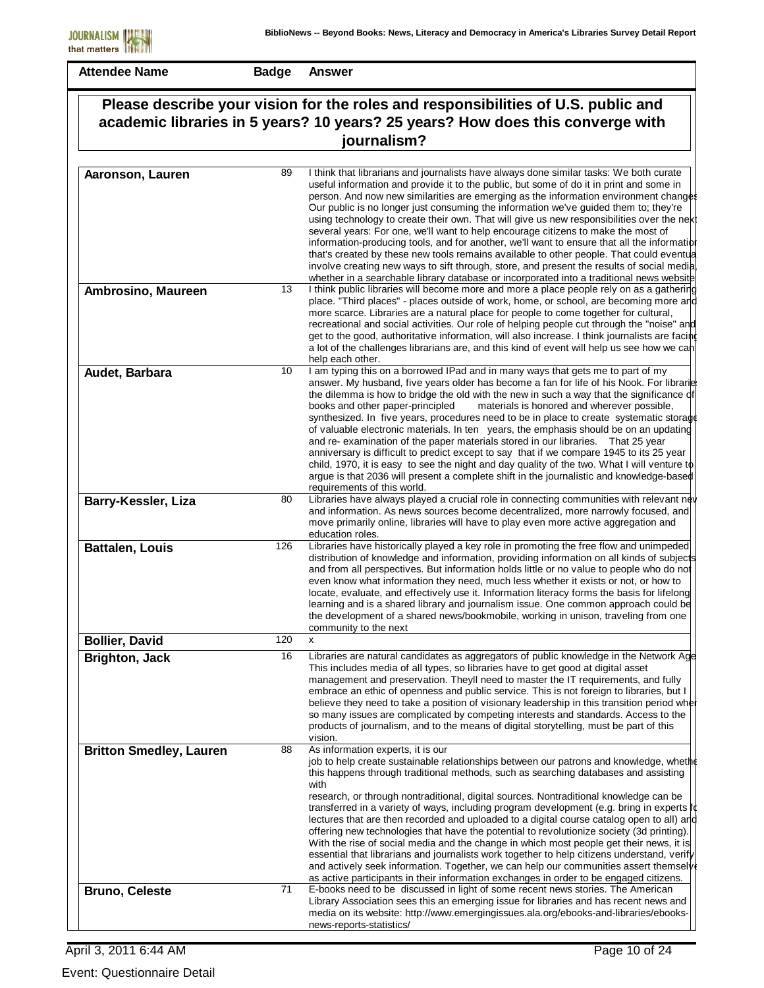| Please describe your vision for the roles and responsibilities of U.S. public and<br>academic libraries in 5 years? 10 years? 25 years? How does this converge with<br>journalism? |     |                                                                                                                                                                                                                                                                                                                                                                                                                                                                                                                                                                                                                                                                                                                                                                                                                                                                                                                                                         |
|------------------------------------------------------------------------------------------------------------------------------------------------------------------------------------|-----|---------------------------------------------------------------------------------------------------------------------------------------------------------------------------------------------------------------------------------------------------------------------------------------------------------------------------------------------------------------------------------------------------------------------------------------------------------------------------------------------------------------------------------------------------------------------------------------------------------------------------------------------------------------------------------------------------------------------------------------------------------------------------------------------------------------------------------------------------------------------------------------------------------------------------------------------------------|
|                                                                                                                                                                                    |     |                                                                                                                                                                                                                                                                                                                                                                                                                                                                                                                                                                                                                                                                                                                                                                                                                                                                                                                                                         |
| Aaronson, Lauren                                                                                                                                                                   | 89  | I think that librarians and journalists have always done similar tasks: We both curate<br>useful information and provide it to the public, but some of do it in print and some in<br>person. And now new similarities are emerging as the information environment changes<br>Our public is no longer just consuming the information we've guided them to; they're<br>using technology to create their own. That will give us new responsibilities over the next<br>several years: For one, we'll want to help encourage citizens to make the most of<br>information-producing tools, and for another, we'll want to ensure that all the information<br>that's created by these new tools remains available to other people. That could eventual<br>involve creating new ways to sift through, store, and present the results of social media<br>whether in a searchable library database or incorporated into a traditional news website                |
| Ambrosino, Maureen                                                                                                                                                                 | 13  | I think public libraries will become more and more a place people rely on as a gathering<br>place. "Third places" - places outside of work, home, or school, are becoming more and<br>more scarce. Libraries are a natural place for people to come together for cultural,<br>recreational and social activities. Our role of helping people cut through the "noise" and<br>get to the good, authoritative information, will also increase. I think journalists are facing<br>a lot of the challenges librarians are, and this kind of event will help us see how we cah<br>help each other.                                                                                                                                                                                                                                                                                                                                                            |
| Audet, Barbara                                                                                                                                                                     | 10  | I am typing this on a borrowed IPad and in many ways that gets me to part of my<br>answer. My husband, five years older has become a fan for life of his Nook. For librarie<br>the dilemma is how to bridge the old with the new in such a way that the significance of<br>materials is honored and wherever possible,<br>books and other paper-principled<br>synthesized. In five years, procedures need to be in place to create systematic storage<br>of valuable electronic materials. In ten years, the emphasis should be on an updating<br>and re-examination of the paper materials stored in our libraries. That 25 year<br>anniversary is difficult to predict except to say that if we compare 1945 to its 25 year<br>child, 1970, it is easy to see the night and day quality of the two. What I will venture to<br>argue is that 2036 will present a complete shift in the journalistic and knowledge-based<br>requirements of this world. |
| Barry-Kessler, Liza                                                                                                                                                                | 80  | Libraries have always played a crucial role in connecting communities with relevant nev<br>and information. As news sources become decentralized, more narrowly focused, and<br>move primarily online, libraries will have to play even more active aggregation and<br>education roles.                                                                                                                                                                                                                                                                                                                                                                                                                                                                                                                                                                                                                                                                 |
| <b>Battalen, Louis</b>                                                                                                                                                             | 126 | Libraries have historically played a key role in promoting the free flow and unimpeded<br>distribution of knowledge and information, providing information on all kinds of subjects<br>and from all perspectives. But information holds little or no value to people who do not<br>even know what information they need, much less whether it exists or not, or how to<br>locate, evaluate, and effectively use it. Information literacy forms the basis for lifelong<br>learning and is a shared library and journalism issue. One common approach could be<br>the development of a shared news/bookmobile, working in unison, traveling from one<br>community to the next                                                                                                                                                                                                                                                                             |
| <b>Bollier, David</b>                                                                                                                                                              | 120 | x                                                                                                                                                                                                                                                                                                                                                                                                                                                                                                                                                                                                                                                                                                                                                                                                                                                                                                                                                       |
| <b>Brighton, Jack</b>                                                                                                                                                              | 16  | Libraries are natural candidates as aggregators of public knowledge in the Network Age<br>This includes media of all types, so libraries have to get good at digital asset<br>management and preservation. Theyll need to master the IT requirements, and fully<br>embrace an ethic of openness and public service. This is not foreign to libraries, but I<br>believe they need to take a position of visionary leadership in this transition period where<br>so many issues are complicated by competing interests and standards. Access to the<br>products of journalism, and to the means of digital storytelling, must be part of this<br>vision.                                                                                                                                                                                                                                                                                                  |
| <b>Britton Smedley, Lauren</b>                                                                                                                                                     | 88  | As information experts, it is our<br>job to help create sustainable relationships between our patrons and knowledge, whether<br>this happens through traditional methods, such as searching databases and assisting<br>with<br>research, or through nontraditional, digital sources. Nontraditional knowledge can be<br>transferred in a variety of ways, including program development (e.g. bring in experts fo<br>lectures that are then recorded and uploaded to a digital course catalog open to all) and<br>offering new technologies that have the potential to revolutionize society (3d printing).<br>With the rise of social media and the change in which most people get their news, it is<br>essential that librarians and journalists work together to help citizens understand, verify<br>and actively seek information. Together, we can help our communities assert themsely                                                           |
| <b>Bruno, Celeste</b>                                                                                                                                                              | 71  | as active participants in their information exchanges in order to be engaged citizens.<br>E-books need to be discussed in light of some recent news stories. The American<br>Library Association sees this an emerging issue for libraries and has recent news and<br>media on its website: http://www.emergingissues.ala.org/ebooks-and-libraries/ebooks-<br>news-reports-statistics/                                                                                                                                                                                                                                                                                                                                                                                                                                                                                                                                                                  |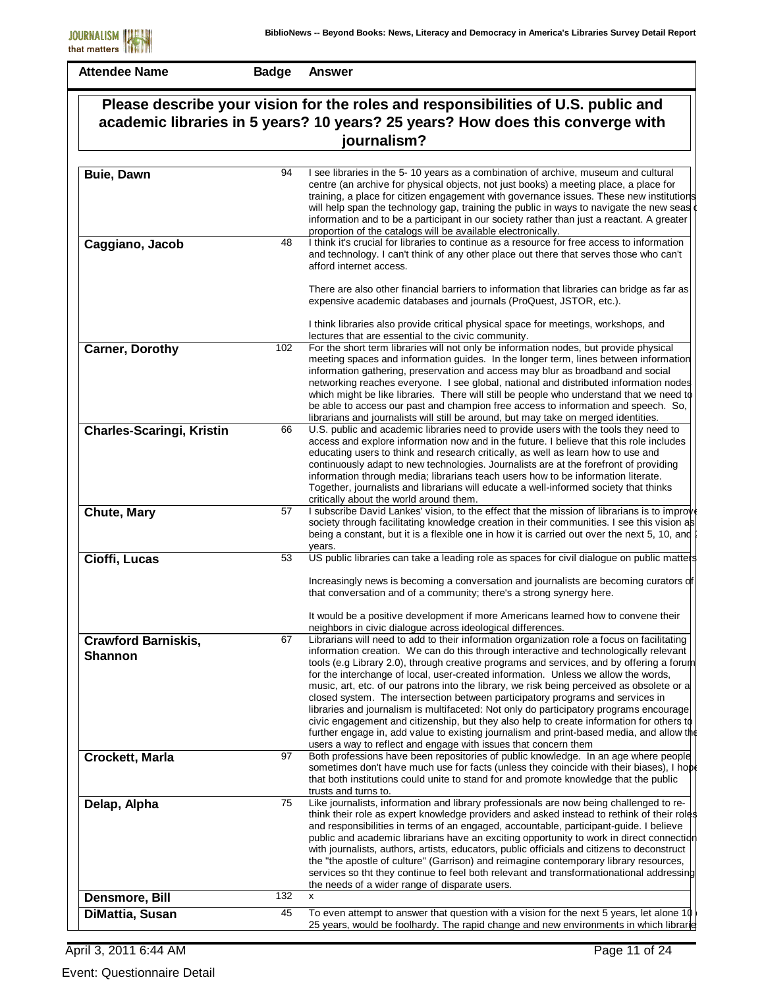**Badge Answer**

| Please describe your vision for the roles and responsibilities of U.S. public and<br>academic libraries in 5 years? 10 years? 25 years? How does this converge with |     |                                                                                                                                                                                                                                                                                                                                                                                                                                                                                                                                                                                                                                                                                                                                                                                                                                                                                                            |
|---------------------------------------------------------------------------------------------------------------------------------------------------------------------|-----|------------------------------------------------------------------------------------------------------------------------------------------------------------------------------------------------------------------------------------------------------------------------------------------------------------------------------------------------------------------------------------------------------------------------------------------------------------------------------------------------------------------------------------------------------------------------------------------------------------------------------------------------------------------------------------------------------------------------------------------------------------------------------------------------------------------------------------------------------------------------------------------------------------|
|                                                                                                                                                                     |     | journalism?                                                                                                                                                                                                                                                                                                                                                                                                                                                                                                                                                                                                                                                                                                                                                                                                                                                                                                |
|                                                                                                                                                                     |     |                                                                                                                                                                                                                                                                                                                                                                                                                                                                                                                                                                                                                                                                                                                                                                                                                                                                                                            |
| <b>Buie, Dawn</b>                                                                                                                                                   | 94  | I see libraries in the 5-10 years as a combination of archive, museum and cultural<br>centre (an archive for physical objects, not just books) a meeting place, a place for<br>training, a place for citizen engagement with governance issues. These new institutions<br>will help span the technology gap, training the public in ways to navigate the new seas<br>information and to be a participant in our society rather than just a reactant. A greater<br>proportion of the catalogs will be available electronically.                                                                                                                                                                                                                                                                                                                                                                             |
| Caggiano, Jacob                                                                                                                                                     | 48  | I think it's crucial for libraries to continue as a resource for free access to information<br>and technology. I can't think of any other place out there that serves those who can't<br>afford internet access.                                                                                                                                                                                                                                                                                                                                                                                                                                                                                                                                                                                                                                                                                           |
|                                                                                                                                                                     |     | There are also other financial barriers to information that libraries can bridge as far as<br>expensive academic databases and journals (ProQuest, JSTOR, etc.).                                                                                                                                                                                                                                                                                                                                                                                                                                                                                                                                                                                                                                                                                                                                           |
|                                                                                                                                                                     |     | I think libraries also provide critical physical space for meetings, workshops, and<br>lectures that are essential to the civic community.                                                                                                                                                                                                                                                                                                                                                                                                                                                                                                                                                                                                                                                                                                                                                                 |
| <b>Carner, Dorothy</b>                                                                                                                                              | 102 | For the short term libraries will not only be information nodes, but provide physical<br>meeting spaces and information guides. In the longer term, lines between information<br>information gathering, preservation and access may blur as broadband and social<br>networking reaches everyone. I see global, national and distributed information nodes<br>which might be like libraries. There will still be people who understand that we need to<br>be able to access our past and champion free access to information and speech. So,<br>librarians and journalists will still be around, but may take on merged identities.                                                                                                                                                                                                                                                                         |
| <b>Charles-Scaringi, Kristin</b>                                                                                                                                    | 66  | U.S. public and academic libraries need to provide users with the tools they need to<br>access and explore information now and in the future. I believe that this role includes<br>educating users to think and research critically, as well as learn how to use and<br>continuously adapt to new technologies. Journalists are at the forefront of providing<br>information through media; librarians teach users how to be information literate.<br>Together, journalists and librarians will educate a well-informed society that thinks<br>critically about the world around them.                                                                                                                                                                                                                                                                                                                     |
| Chute, Mary                                                                                                                                                         | 57  | I subscribe David Lankes' vision, to the effect that the mission of librarians is to improve<br>society through facilitating knowledge creation in their communities. I see this vision as<br>being a constant, but it is a flexible one in how it is carried out over the next 5, 10, and !<br>years.                                                                                                                                                                                                                                                                                                                                                                                                                                                                                                                                                                                                     |
| Cioffi, Lucas                                                                                                                                                       | 53  | US public libraries can take a leading role as spaces for civil dialogue on public matters                                                                                                                                                                                                                                                                                                                                                                                                                                                                                                                                                                                                                                                                                                                                                                                                                 |
|                                                                                                                                                                     |     | Increasingly news is becoming a conversation and journalists are becoming curators of<br>that conversation and of a community; there's a strong synergy here.<br>It would be a positive development if more Americans learned how to convene their                                                                                                                                                                                                                                                                                                                                                                                                                                                                                                                                                                                                                                                         |
|                                                                                                                                                                     |     | neighbors in civic dialogue across ideological differences.                                                                                                                                                                                                                                                                                                                                                                                                                                                                                                                                                                                                                                                                                                                                                                                                                                                |
| <b>Crawford Barniskis,</b><br><b>Shannon</b>                                                                                                                        | 67  | Librarians will need to add to their information organization role a focus on facilitating<br>information creation. We can do this through interactive and technologically relevant<br>tools (e.g Library 2.0), through creative programs and services, and by offering a forum<br>for the interchange of local, user-created information. Unless we allow the words,<br>music, art, etc. of our patrons into the library, we risk being perceived as obsolete or a<br>closed system. The intersection between participatory programs and services in<br>libraries and journalism is multifaceted: Not only do participatory programs encourage<br>civic engagement and citizenship, but they also help to create information for others to<br>further engage in, add value to existing journalism and print-based media, and allow the<br>users a way to reflect and engage with issues that concern them |
| <b>Crockett, Marla</b>                                                                                                                                              | 97  | Both professions have been repositories of public knowledge. In an age where people<br>sometimes don't have much use for facts (unless they coincide with their biases), I hope<br>that both institutions could unite to stand for and promote knowledge that the public<br>trusts and turns to.                                                                                                                                                                                                                                                                                                                                                                                                                                                                                                                                                                                                           |
| Delap, Alpha                                                                                                                                                        | 75  | Like journalists, information and library professionals are now being challenged to re-<br>think their role as expert knowledge providers and asked instead to rethink of their roles<br>and responsibilities in terms of an engaged, accountable, participant-guide. I believe<br>public and academic librarians have an exciting opportunity to work in direct connection<br>with journalists, authors, artists, educators, public officials and citizens to deconstruct<br>the "the apostle of culture" (Garrison) and reimagine contemporary library resources,<br>services so tht they continue to feel both relevant and transformationational addressing<br>the needs of a wider range of disparate users.                                                                                                                                                                                          |
| Densmore, Bill                                                                                                                                                      | 132 | X                                                                                                                                                                                                                                                                                                                                                                                                                                                                                                                                                                                                                                                                                                                                                                                                                                                                                                          |
| DiMattia, Susan                                                                                                                                                     | 45  | To even attempt to answer that question with a vision for the next 5 years, let alone 10                                                                                                                                                                                                                                                                                                                                                                                                                                                                                                                                                                                                                                                                                                                                                                                                                   |
|                                                                                                                                                                     |     | 25 years, would be foolhardy. The rapid change and new environments in which librarie                                                                                                                                                                                                                                                                                                                                                                                                                                                                                                                                                                                                                                                                                                                                                                                                                      |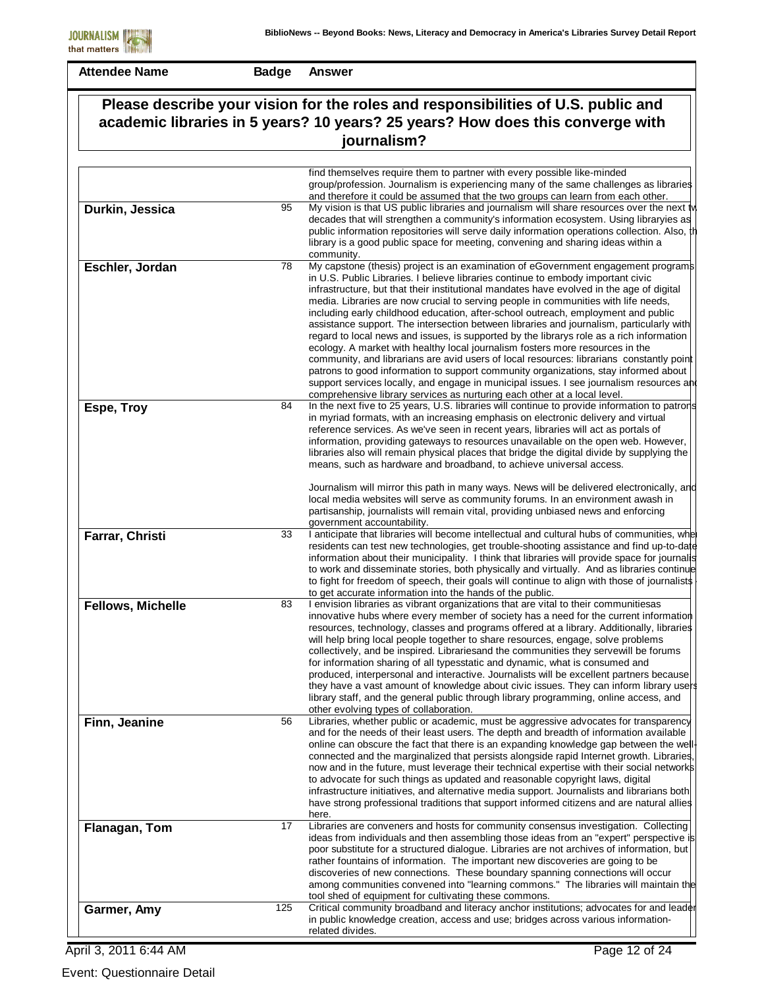**Badge Answer**

| Please describe your vision for the roles and responsibilities of U.S. public and<br>academic libraries in 5 years? 10 years? 25 years? How does this converge with<br>journalism? |     |                                                                                                                                                                                                                                                                                                                                                                                                                                                                                                                                                                                                                                                                                                                                                                                                                                                                                                                                                                                                                                                                                  |
|------------------------------------------------------------------------------------------------------------------------------------------------------------------------------------|-----|----------------------------------------------------------------------------------------------------------------------------------------------------------------------------------------------------------------------------------------------------------------------------------------------------------------------------------------------------------------------------------------------------------------------------------------------------------------------------------------------------------------------------------------------------------------------------------------------------------------------------------------------------------------------------------------------------------------------------------------------------------------------------------------------------------------------------------------------------------------------------------------------------------------------------------------------------------------------------------------------------------------------------------------------------------------------------------|
|                                                                                                                                                                                    |     |                                                                                                                                                                                                                                                                                                                                                                                                                                                                                                                                                                                                                                                                                                                                                                                                                                                                                                                                                                                                                                                                                  |
|                                                                                                                                                                                    |     | find themselves require them to partner with every possible like-minded<br>group/profession. Journalism is experiencing many of the same challenges as libraries<br>and therefore it could be assumed that the two groups can learn from each other.                                                                                                                                                                                                                                                                                                                                                                                                                                                                                                                                                                                                                                                                                                                                                                                                                             |
| Durkin, Jessica                                                                                                                                                                    | 95  | My vision is that US public libraries and journalism will share resources over the next two<br>decades that will strengthen a community's information ecosystem. Using libraryies as<br>public information repositories will serve daily information operations collection. Also, the<br>library is a good public space for meeting, convening and sharing ideas within a<br>community.                                                                                                                                                                                                                                                                                                                                                                                                                                                                                                                                                                                                                                                                                          |
| Eschler, Jordan                                                                                                                                                                    | 78  | My capstone (thesis) project is an examination of eGovernment engagement programs<br>in U.S. Public Libraries. I believe libraries continue to embody important civic<br>infrastructure, but that their institutional mandates have evolved in the age of digital<br>media. Libraries are now crucial to serving people in communities with life needs,<br>including early childhood education, after-school outreach, employment and public<br>assistance support. The intersection between libraries and journalism, particularly with<br>regard to local news and issues, is supported by the librarys role as a rich information<br>ecology. A market with healthy local journalism fosters more resources in the<br>community, and librarians are avid users of local resources: librarians constantly point<br>patrons to good information to support community organizations, stay informed about<br>support services locally, and engage in municipal issues. I see journalism resources and<br>comprehensive library services as nurturing each other at a local level. |
| Espe, Troy                                                                                                                                                                         | 84  | In the next five to 25 years, U.S. libraries will continue to provide information to patrons<br>in myriad formats, with an increasing emphasis on electronic delivery and virtual<br>reference services. As we've seen in recent years, libraries will act as portals of<br>information, providing gateways to resources unavailable on the open web. However,<br>libraries also will remain physical places that bridge the digital divide by supplying the<br>means, such as hardware and broadband, to achieve universal access.                                                                                                                                                                                                                                                                                                                                                                                                                                                                                                                                              |
|                                                                                                                                                                                    |     | Journalism will mirror this path in many ways. News will be delivered electronically, and<br>local media websites will serve as community forums. In an environment awash in<br>partisanship, journalists will remain vital, providing unbiased news and enforcing<br>government accountability.                                                                                                                                                                                                                                                                                                                                                                                                                                                                                                                                                                                                                                                                                                                                                                                 |
| Farrar, Christi                                                                                                                                                                    | 33  | I anticipate that libraries will become intellectual and cultural hubs of communities, whe<br>residents can test new technologies, get trouble-shooting assistance and find up-to-date<br>information about their municipality. I think that libraries will provide space for journal<br>to work and disseminate stories, both physically and virtually. And as libraries continue<br>to fight for freedom of speech, their goals will continue to align with those of journalists<br>to get accurate information into the hands of the public.                                                                                                                                                                                                                                                                                                                                                                                                                                                                                                                                  |
| <b>Fellows, Michelle</b>                                                                                                                                                           | 83  | I envision libraries as vibrant organizations that are vital to their communitiesas<br>innovative hubs where every member of society has a need for the current information<br>resources, technology, classes and programs offered at a library. Additionally, libraries<br>will help bring local people together to share resources, engage, solve problems<br>collectively, and be inspired. Librariesand the communities they servewill be forums<br>for information sharing of all typesstatic and dynamic, what is consumed and<br>produced, interpersonal and interactive. Journalists will be excellent partners because<br>they have a vast amount of knowledge about civic issues. They can inform library users<br>library staff, and the general public through library programming, online access, and<br>other evolving types of collaboration.                                                                                                                                                                                                                     |
| Finn, Jeanine                                                                                                                                                                      | 56  | Libraries, whether public or academic, must be aggressive advocates for transparency<br>and for the needs of their least users. The depth and breadth of information available<br>online can obscure the fact that there is an expanding knowledge gap between the well-<br>connected and the marginalized that persists alongside rapid Internet growth. Libraries,<br>now and in the future, must leverage their technical expertise with their social networks<br>to advocate for such things as updated and reasonable copyright laws, digital<br>infrastructure initiatives, and alternative media support. Journalists and librarians both<br>have strong professional traditions that support informed citizens and are natural allies<br>here.                                                                                                                                                                                                                                                                                                                           |
| Flanagan, Tom                                                                                                                                                                      | 17  | Libraries are conveners and hosts for community consensus investigation. Collecting<br>ideas from individuals and then assembling those ideas from an "expert" perspective is<br>poor substitute for a structured dialogue. Libraries are not archives of information, but<br>rather fountains of information. The important new discoveries are going to be<br>discoveries of new connections. These boundary spanning connections will occur<br>among communities convened into "learning commons." The libraries will maintain the<br>tool shed of equipment for cultivating these commons.                                                                                                                                                                                                                                                                                                                                                                                                                                                                                   |
| Garmer, Amy                                                                                                                                                                        | 125 | Critical community broadband and literacy anchor institutions; advocates for and leader<br>in public knowledge creation, access and use; bridges across various information-<br>related divides.                                                                                                                                                                                                                                                                                                                                                                                                                                                                                                                                                                                                                                                                                                                                                                                                                                                                                 |

April 3, 2011 6:44 AM

Event: Questionnaire Detail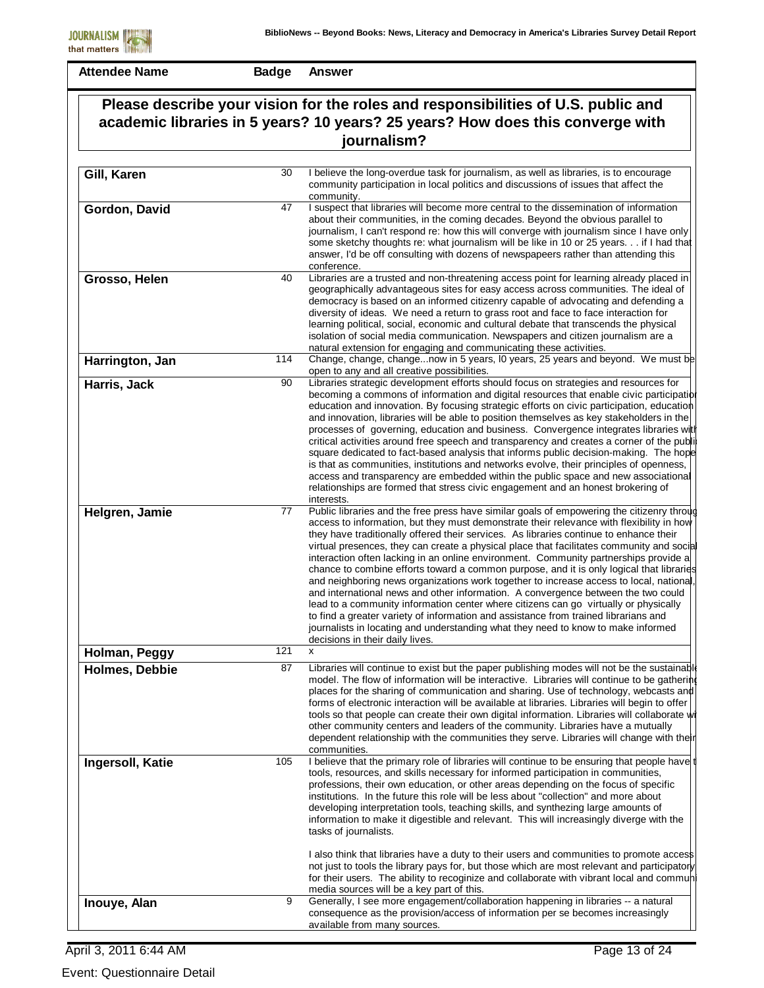| Please describe your vision for the roles and responsibilities of U.S. public and<br>academic libraries in 5 years? 10 years? 25 years? How does this converge with |     |                                                                                                                                                                                                                                                                                                                                                                                                                                                                                                                                                                                                                                                                                                                                                                                                                                                                                                                                                                                                                                                         |
|---------------------------------------------------------------------------------------------------------------------------------------------------------------------|-----|---------------------------------------------------------------------------------------------------------------------------------------------------------------------------------------------------------------------------------------------------------------------------------------------------------------------------------------------------------------------------------------------------------------------------------------------------------------------------------------------------------------------------------------------------------------------------------------------------------------------------------------------------------------------------------------------------------------------------------------------------------------------------------------------------------------------------------------------------------------------------------------------------------------------------------------------------------------------------------------------------------------------------------------------------------|
|                                                                                                                                                                     |     | journalism?                                                                                                                                                                                                                                                                                                                                                                                                                                                                                                                                                                                                                                                                                                                                                                                                                                                                                                                                                                                                                                             |
| Gill, Karen                                                                                                                                                         | 30  | I believe the long-overdue task for journalism, as well as libraries, is to encourage<br>community participation in local politics and discussions of issues that affect the<br>community.                                                                                                                                                                                                                                                                                                                                                                                                                                                                                                                                                                                                                                                                                                                                                                                                                                                              |
| Gordon, David                                                                                                                                                       | 47  | I suspect that libraries will become more central to the dissemination of information<br>about their communities, in the coming decades. Beyond the obvious parallel to<br>journalism, I can't respond re: how this will converge with journalism since I have only<br>some sketchy thoughts re: what journalism will be like in 10 or 25 years. if I had that<br>answer, I'd be off consulting with dozens of newspapeers rather than attending this<br>conference.                                                                                                                                                                                                                                                                                                                                                                                                                                                                                                                                                                                    |
| Grosso, Helen                                                                                                                                                       | 40  | Libraries are a trusted and non-threatening access point for learning already placed in<br>geographically advantageous sites for easy access across communities. The ideal of<br>democracy is based on an informed citizenry capable of advocating and defending a<br>diversity of ideas. We need a return to grass root and face to face interaction for<br>learning political, social, economic and cultural debate that transcends the physical<br>isolation of social media communication. Newspapers and citizen journalism are a<br>natural extension for engaging and communicating these activities.                                                                                                                                                                                                                                                                                                                                                                                                                                            |
| Harrington, Jan                                                                                                                                                     | 114 | Change, change, changenow in 5 years, IO years, 25 years and beyond. We must be<br>open to any and all creative possibilities.                                                                                                                                                                                                                                                                                                                                                                                                                                                                                                                                                                                                                                                                                                                                                                                                                                                                                                                          |
| Harris, Jack                                                                                                                                                        | 90  | Libraries strategic development efforts should focus on strategies and resources for<br>becoming a commons of information and digital resources that enable civic participatibl<br>education and innovation. By focusing strategic efforts on civic participation, education<br>and innovation, libraries will be able to position themselves as key stakeholders in the<br>processes of governing, education and business. Convergence integrates libraries with<br>critical activities around free speech and transparency and creates a corner of the publi<br>square dedicated to fact-based analysis that informs public decision-making. The hope<br>is that as communities, institutions and networks evolve, their principles of openness,<br>access and transparency are embedded within the public space and new associational<br>relationships are formed that stress civic engagement and an honest brokering of<br>interests.                                                                                                              |
| Helgren, Jamie                                                                                                                                                      | 77  | Public libraries and the free press have similar goals of empowering the citizenry through<br>access to information, but they must demonstrate their relevance with flexibility in how<br>they have traditionally offered their services. As libraries continue to enhance their<br>virtual presences, they can create a physical place that facilitates community and social<br>interaction often lacking in an online environment. Community partnerships provide a<br>chance to combine efforts toward a common purpose, and it is only logical that libraries<br>and neighboring news organizations work together to increase access to local, national<br>and international news and other information. A convergence between the two could<br>lead to a community information center where citizens can go virtually or physically<br>to find a greater variety of information and assistance from trained librarians and<br>journalists in locating and understanding what they need to know to make informed<br>decisions in their daily lives. |
| Holman, Peggy                                                                                                                                                       | 121 | Y                                                                                                                                                                                                                                                                                                                                                                                                                                                                                                                                                                                                                                                                                                                                                                                                                                                                                                                                                                                                                                                       |
| Holmes, Debbie                                                                                                                                                      | 87  | Libraries will continue to exist but the paper publishing modes will not be the sustainable<br>model. The flow of information will be interactive. Libraries will continue to be gathering<br>places for the sharing of communication and sharing. Use of technology, webcasts and<br>forms of electronic interaction will be available at libraries. Libraries will begin to offer<br>tools so that people can create their own digital information. Libraries will collaborate wi<br>other community centers and leaders of the community. Libraries have a mutually<br>dependent relationship with the communities they serve. Libraries will change with their<br>communities.                                                                                                                                                                                                                                                                                                                                                                      |
| Ingersoll, Katie                                                                                                                                                    | 105 | I believe that the primary role of libraries will continue to be ensuring that people have<br>tools, resources, and skills necessary for informed participation in communities,<br>professions, their own education, or other areas depending on the focus of specific<br>institutions. In the future this role will be less about "collection" and more about<br>developing interpretation tools, teaching skills, and synthezing large amounts of<br>information to make it digestible and relevant. This will increasingly diverge with the<br>tasks of journalists.                                                                                                                                                                                                                                                                                                                                                                                                                                                                                 |
|                                                                                                                                                                     |     | I also think that libraries have a duty to their users and communities to promote access<br>not just to tools the library pays for, but those which are most relevant and participatory<br>for their users. The ability to recoginize and collaborate with vibrant local and commun<br>media sources will be a key part of this.                                                                                                                                                                                                                                                                                                                                                                                                                                                                                                                                                                                                                                                                                                                        |
| Inouye, Alan                                                                                                                                                        | 9   | Generally, I see more engagement/collaboration happening in libraries -- a natural<br>consequence as the provision/access of information per se becomes increasingly<br>available from many sources.                                                                                                                                                                                                                                                                                                                                                                                                                                                                                                                                                                                                                                                                                                                                                                                                                                                    |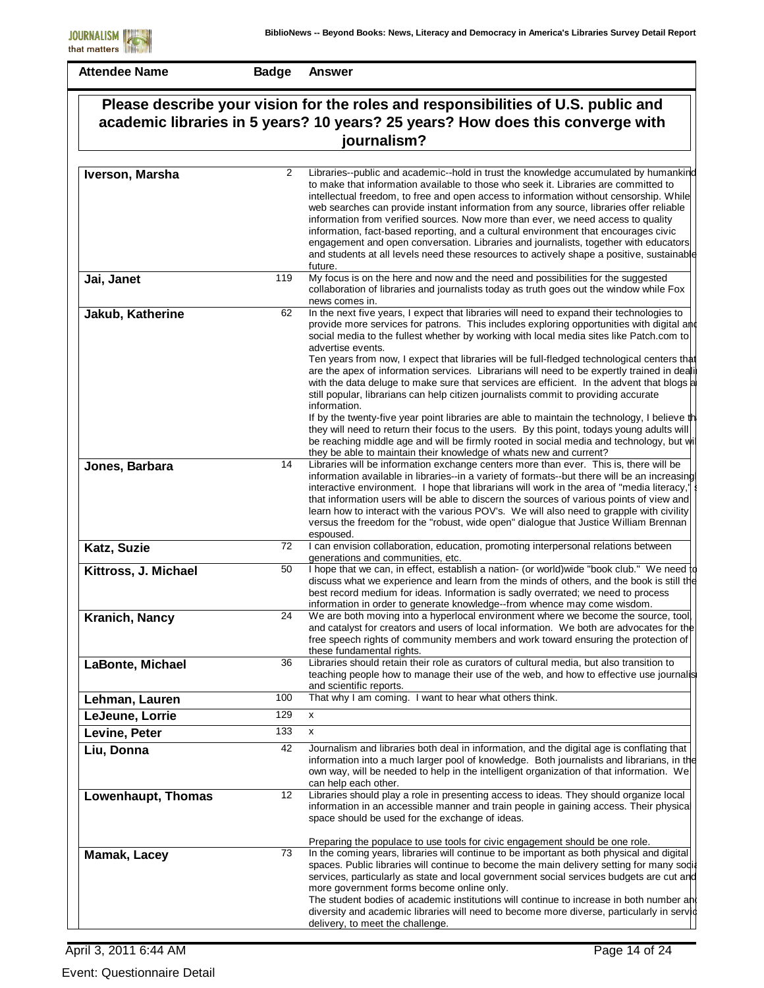|                      |                                                                                               | Please describe your vision for the roles and responsibilities of U.S. public and                                                                                                                                                                                                                                                                                                                                                                                                                                                                                                                                                                                                                                                          |  |
|----------------------|-----------------------------------------------------------------------------------------------|--------------------------------------------------------------------------------------------------------------------------------------------------------------------------------------------------------------------------------------------------------------------------------------------------------------------------------------------------------------------------------------------------------------------------------------------------------------------------------------------------------------------------------------------------------------------------------------------------------------------------------------------------------------------------------------------------------------------------------------------|--|
|                      | academic libraries in 5 years? 10 years? 25 years? How does this converge with<br>journalism? |                                                                                                                                                                                                                                                                                                                                                                                                                                                                                                                                                                                                                                                                                                                                            |  |
|                      |                                                                                               |                                                                                                                                                                                                                                                                                                                                                                                                                                                                                                                                                                                                                                                                                                                                            |  |
| Iverson, Marsha      | $\overline{2}$                                                                                | Libraries--public and academic--hold in trust the knowledge accumulated by humankind<br>to make that information available to those who seek it. Libraries are committed to<br>intellectual freedom, to free and open access to information without censorship. While<br>web searches can provide instant information from any source, libraries offer reliable<br>information from verified sources. Now more than ever, we need access to quality<br>information, fact-based reporting, and a cultural environment that encourages civic<br>engagement and open conversation. Libraries and journalists, together with educators<br>and students at all levels need these resources to actively shape a positive, sustainable<br>future. |  |
| Jai, Janet           | 119                                                                                           | My focus is on the here and now and the need and possibilities for the suggested<br>collaboration of libraries and journalists today as truth goes out the window while Fox<br>news comes in.                                                                                                                                                                                                                                                                                                                                                                                                                                                                                                                                              |  |
| Jakub, Katherine     | 62                                                                                            | In the next five years, I expect that libraries will need to expand their technologies to<br>provide more services for patrons. This includes exploring opportunities with digital and<br>social media to the fullest whether by working with local media sites like Patch.com to<br>advertise events.<br>Ten years from now, I expect that libraries will be full-fledged technological centers that<br>are the apex of information services. Librarians will need to be expertly trained in deali<br>with the data deluge to make sure that services are efficient. In the advent that blogs a<br>still popular, librarians can help citizen journalists commit to providing accurate                                                    |  |
| Jones, Barbara       | 14                                                                                            | information.<br>If by the twenty-five year point libraries are able to maintain the technology, I believe the<br>they will need to return their focus to the users. By this point, todays young adults will<br>be reaching middle age and will be firmly rooted in social media and technology, but wil<br>they be able to maintain their knowledge of whats new and current?<br>Libraries will be information exchange centers more than ever. This is, there will be                                                                                                                                                                                                                                                                     |  |
|                      |                                                                                               | information available in libraries--in a variety of formats--but there will be an increasing<br>interactive environment. I hope that librarians will work in the area of "media literacy,"<br>that information users will be able to discern the sources of various points of view and<br>learn how to interact with the various POV's. We will also need to grapple with civility<br>versus the freedom for the "robust, wide open" dialogue that Justice William Brennan<br>espoused.                                                                                                                                                                                                                                                    |  |
| Katz, Suzie          | 72                                                                                            | I can envision collaboration, education, promoting interpersonal relations between<br>generations and communities, etc.                                                                                                                                                                                                                                                                                                                                                                                                                                                                                                                                                                                                                    |  |
| Kittross, J. Michael | 50                                                                                            | I hope that we can, in effect, establish a nation- (or world) wide "book club." We need to<br>discuss what we experience and learn from the minds of others, and the book is still the<br>best record medium for ideas. Information is sadly overrated; we need to process<br>information in order to generate knowledge--from whence may come wisdom.                                                                                                                                                                                                                                                                                                                                                                                     |  |
| Kranich, Nancy       | 24                                                                                            | We are both moving into a hyperlocal environment where we become the source, tool,<br>and catalyst for creators and users of local information. We both are advocates for the<br>free speech rights of community members and work toward ensuring the protection of<br>these fundamental rights.                                                                                                                                                                                                                                                                                                                                                                                                                                           |  |
| LaBonte, Michael     | 36                                                                                            | Libraries should retain their role as curators of cultural media, but also transition to<br>teaching people how to manage their use of the web, and how to effective use journalis<br>and scientific reports.                                                                                                                                                                                                                                                                                                                                                                                                                                                                                                                              |  |
| Lehman, Lauren       | 100                                                                                           | That why I am coming. I want to hear what others think.                                                                                                                                                                                                                                                                                                                                                                                                                                                                                                                                                                                                                                                                                    |  |
| LeJeune, Lorrie      | 129                                                                                           | x                                                                                                                                                                                                                                                                                                                                                                                                                                                                                                                                                                                                                                                                                                                                          |  |
| Levine, Peter        | 133                                                                                           | X                                                                                                                                                                                                                                                                                                                                                                                                                                                                                                                                                                                                                                                                                                                                          |  |
| Liu, Donna           | 42                                                                                            | Journalism and libraries both deal in information, and the digital age is conflating that<br>information into a much larger pool of knowledge. Both journalists and librarians, in the<br>own way, will be needed to help in the intelligent organization of that information. We<br>can help each other.                                                                                                                                                                                                                                                                                                                                                                                                                                  |  |
| Lowenhaupt, Thomas   | 12                                                                                            | Libraries should play a role in presenting access to ideas. They should organize local<br>information in an accessible manner and train people in gaining access. Their physical<br>space should be used for the exchange of ideas.                                                                                                                                                                                                                                                                                                                                                                                                                                                                                                        |  |
| Mamak, Lacey         | 73                                                                                            | Preparing the populace to use tools for civic engagement should be one role.<br>In the coming years, libraries will continue to be important as both physical and digital<br>spaces. Public libraries will continue to become the main delivery setting for many sodia<br>services, particularly as state and local government social services budgets are cut and<br>more government forms become online only.<br>The student bodies of academic institutions will continue to increase in both number and<br>diversity and academic libraries will need to become more diverse, particularly in servid<br>delivery, to meet the challenge.                                                                                               |  |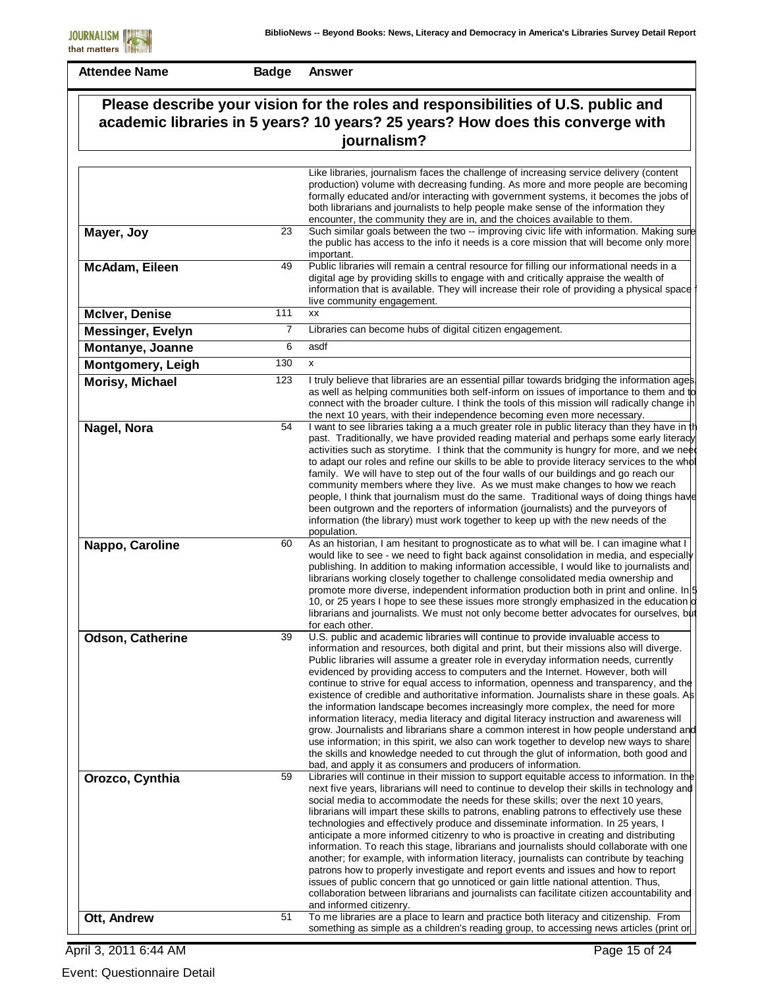**Badge Answer**

| Please describe your vision for the roles and responsibilities of U.S. public and<br>academic libraries in 5 years? 10 years? 25 years? How does this converge with |                                                                                                                                                                                                                                                                                                                                                                                                                                                                                                                                                                                                                                                                                                                                                                                                                                                                                                                                                                                                                                                                                                                                               |  |
|---------------------------------------------------------------------------------------------------------------------------------------------------------------------|-----------------------------------------------------------------------------------------------------------------------------------------------------------------------------------------------------------------------------------------------------------------------------------------------------------------------------------------------------------------------------------------------------------------------------------------------------------------------------------------------------------------------------------------------------------------------------------------------------------------------------------------------------------------------------------------------------------------------------------------------------------------------------------------------------------------------------------------------------------------------------------------------------------------------------------------------------------------------------------------------------------------------------------------------------------------------------------------------------------------------------------------------|--|
|                                                                                                                                                                     | journalism?                                                                                                                                                                                                                                                                                                                                                                                                                                                                                                                                                                                                                                                                                                                                                                                                                                                                                                                                                                                                                                                                                                                                   |  |
|                                                                                                                                                                     |                                                                                                                                                                                                                                                                                                                                                                                                                                                                                                                                                                                                                                                                                                                                                                                                                                                                                                                                                                                                                                                                                                                                               |  |
|                                                                                                                                                                     | Like libraries, journalism faces the challenge of increasing service delivery (content<br>production) volume with decreasing funding. As more and more people are becoming<br>formally educated and/or interacting with government systems, it becomes the jobs of<br>both librarians and journalists to help people make sense of the information they<br>encounter, the community they are in, and the choices available to them.                                                                                                                                                                                                                                                                                                                                                                                                                                                                                                                                                                                                                                                                                                           |  |
|                                                                                                                                                                     | Such similar goals between the two -- improving civic life with information. Making sure<br>the public has access to the info it needs is a core mission that will become only more<br>important.                                                                                                                                                                                                                                                                                                                                                                                                                                                                                                                                                                                                                                                                                                                                                                                                                                                                                                                                             |  |
|                                                                                                                                                                     | Public libraries will remain a central resource for filling our informational needs in a<br>digital age by providing skills to engage with and critically appraise the wealth of<br>information that is available. They will increase their role of providing a physical space<br>live community engagement.                                                                                                                                                                                                                                                                                                                                                                                                                                                                                                                                                                                                                                                                                                                                                                                                                                  |  |
| 111                                                                                                                                                                 | XX                                                                                                                                                                                                                                                                                                                                                                                                                                                                                                                                                                                                                                                                                                                                                                                                                                                                                                                                                                                                                                                                                                                                            |  |
| 7                                                                                                                                                                   | Libraries can become hubs of digital citizen engagement.                                                                                                                                                                                                                                                                                                                                                                                                                                                                                                                                                                                                                                                                                                                                                                                                                                                                                                                                                                                                                                                                                      |  |
| 6                                                                                                                                                                   | asdf                                                                                                                                                                                                                                                                                                                                                                                                                                                                                                                                                                                                                                                                                                                                                                                                                                                                                                                                                                                                                                                                                                                                          |  |
| 130                                                                                                                                                                 | X                                                                                                                                                                                                                                                                                                                                                                                                                                                                                                                                                                                                                                                                                                                                                                                                                                                                                                                                                                                                                                                                                                                                             |  |
| 123                                                                                                                                                                 | I truly believe that libraries are an essential pillar towards bridging the information ages.<br>as well as helping communities both self-inform on issues of importance to them and to<br>connect with the broader culture. I think the tools of this mission will radically change in<br>the next 10 years, with their independence becoming even more necessary.                                                                                                                                                                                                                                                                                                                                                                                                                                                                                                                                                                                                                                                                                                                                                                           |  |
| 54                                                                                                                                                                  | I want to see libraries taking a a much greater role in public literacy than they have in the<br>past. Traditionally, we have provided reading material and perhaps some early literacy<br>activities such as storytime. I think that the community is hungry for more, and we need<br>to adapt our roles and refine our skills to be able to provide literacy services to the whol<br>family. We will have to step out of the four walls of our buildings and go reach our<br>community members where they live. As we must make changes to how we reach<br>people, I think that journalism must do the same. Traditional ways of doing things have<br>been outgrown and the reporters of information (journalists) and the purveyors of<br>information (the library) must work together to keep up with the new needs of the<br>population.                                                                                                                                                                                                                                                                                                 |  |
| 60                                                                                                                                                                  | As an historian, I am hesitant to prognosticate as to what will be. I can imagine what I<br>would like to see - we need to fight back against consolidation in media, and especially<br>publishing. In addition to making information accessible, I would like to journalists and<br>librarians working closely together to challenge consolidated media ownership and<br>promote more diverse, independent information production both in print and online. In 5<br>10, or 25 years I hope to see these issues more strongly emphasized in the education of<br>librarians and journalists. We must not only become better advocates for ourselves, but<br>for each other.                                                                                                                                                                                                                                                                                                                                                                                                                                                                    |  |
| 39                                                                                                                                                                  | U.S. public and academic libraries will continue to provide invaluable access to<br>information and resources, both digital and print, but their missions also will diverge<br>Public libraries will assume a greater role in everyday information needs, currently<br>evidenced by providing access to computers and the Internet. However, both will<br>continue to strive for equal access to information, openness and transparency, and the<br>existence of credible and authoritative information. Journalists share in these goals. As<br>the information landscape becomes increasingly more complex, the need for more<br>information literacy, media literacy and digital literacy instruction and awareness will<br>grow. Journalists and librarians share a common interest in how people understand and<br>use information; in this spirit, we also can work together to develop new ways to share<br>the skills and knowledge needed to cut through the glut of information, both good and<br>bad, and apply it as consumers and producers of information.                                                                      |  |
| 59                                                                                                                                                                  | Libraries will continue in their mission to support equitable access to information. In the<br>next five years, librarians will need to continue to develop their skills in technology and<br>social media to accommodate the needs for these skills; over the next 10 years,<br>librarians will impart these skills to patrons, enabling patrons to effectively use these<br>technologies and effectively produce and disseminate information. In 25 years, I<br>anticipate a more informed citizenry to who is proactive in creating and distributing<br>information. To reach this stage, librarians and journalists should collaborate with one<br>another; for example, with information literacy, journalists can contribute by teaching<br>patrons how to properly investigate and report events and issues and how to report<br>issues of public concern that go unnoticed or gain little national attention. Thus,<br>collaboration between librarians and journalists can facilitate citizen accountability and<br>and informed citizenry.<br>To me libraries are a place to learn and practice both literacy and citizenship. From |  |
|                                                                                                                                                                     | 23<br>49<br>51                                                                                                                                                                                                                                                                                                                                                                                                                                                                                                                                                                                                                                                                                                                                                                                                                                                                                                                                                                                                                                                                                                                                |  |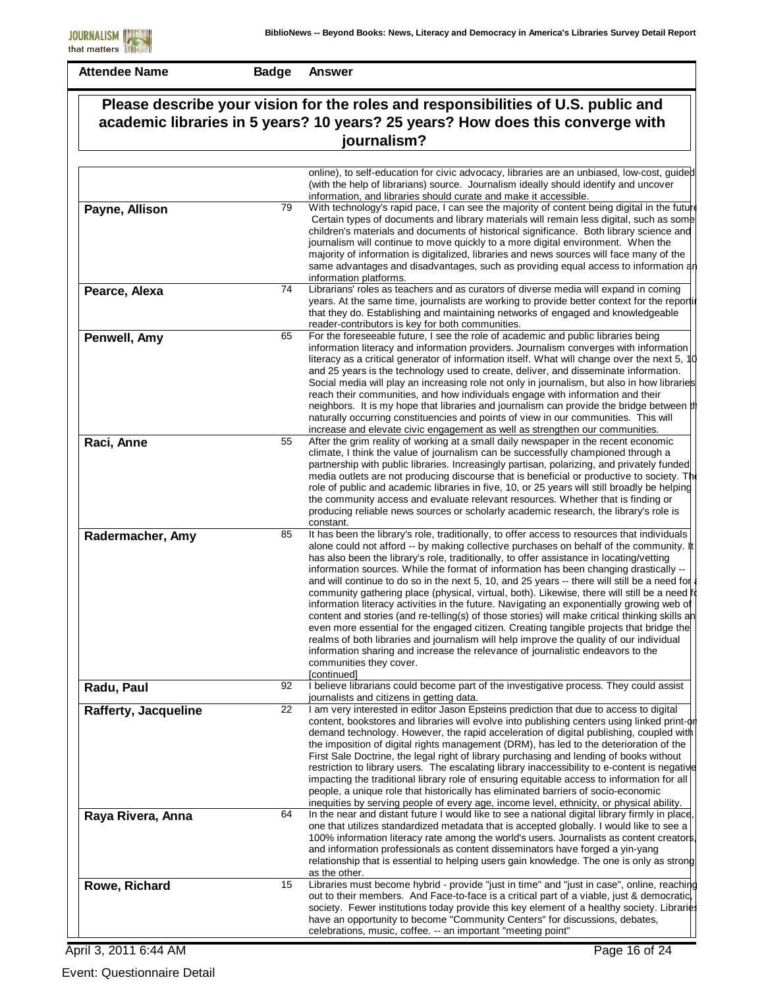**Badge Answer**

| Please describe your vision for the roles and responsibilities of U.S. public and<br>academic libraries in 5 years? 10 years? 25 years? How does this converge with<br>journalism? |    |                                                                                                                                                                                                                                                                                                                                                                                                                                                                                                                                                                                                                                                                                                                                                                                                                                                                                                                                                                                                                                                                                                   |
|------------------------------------------------------------------------------------------------------------------------------------------------------------------------------------|----|---------------------------------------------------------------------------------------------------------------------------------------------------------------------------------------------------------------------------------------------------------------------------------------------------------------------------------------------------------------------------------------------------------------------------------------------------------------------------------------------------------------------------------------------------------------------------------------------------------------------------------------------------------------------------------------------------------------------------------------------------------------------------------------------------------------------------------------------------------------------------------------------------------------------------------------------------------------------------------------------------------------------------------------------------------------------------------------------------|
|                                                                                                                                                                                    |    |                                                                                                                                                                                                                                                                                                                                                                                                                                                                                                                                                                                                                                                                                                                                                                                                                                                                                                                                                                                                                                                                                                   |
|                                                                                                                                                                                    |    | online), to self-education for civic advocacy, libraries are an unbiased, low-cost, guided<br>(with the help of librarians) source. Journalism ideally should identify and uncover<br>information, and libraries should curate and make it accessible.                                                                                                                                                                                                                                                                                                                                                                                                                                                                                                                                                                                                                                                                                                                                                                                                                                            |
| Payne, Allison                                                                                                                                                                     | 79 | With technology's rapid pace, I can see the majority of content being digital in the future<br>Certain types of documents and library materials will remain less digital, such as some<br>children's materials and documents of historical significance. Both library science and<br>journalism will continue to move quickly to a more digital environment. When the<br>majority of information is digitalized, libraries and news sources will face many of the<br>same advantages and disadvantages, such as providing equal access to information and<br>information platforms.                                                                                                                                                                                                                                                                                                                                                                                                                                                                                                               |
| Pearce, Alexa                                                                                                                                                                      | 74 | Librarians' roles as teachers and as curators of diverse media will expand in coming<br>years. At the same time, journalists are working to provide better context for the reportil<br>that they do. Establishing and maintaining networks of engaged and knowledgeable<br>reader-contributors is key for both communities.                                                                                                                                                                                                                                                                                                                                                                                                                                                                                                                                                                                                                                                                                                                                                                       |
| Penwell, Amy                                                                                                                                                                       | 65 | For the foreseeable future, I see the role of academic and public libraries being<br>information literacy and information providers. Journalism converges with information<br>literacy as a critical generator of information itself. What will change over the next 5, 10<br>and 25 years is the technology used to create, deliver, and disseminate information.<br>Social media will play an increasing role not only in journalism, but also in how libraries<br>reach their communities, and how individuals engage with information and their<br>neighbors. It is my hope that libraries and journalism can provide the bridge between the<br>naturally occurring constituencies and points of view in our communities. This will<br>increase and elevate civic engagement as well as strengthen our communities.                                                                                                                                                                                                                                                                           |
| Raci, Anne                                                                                                                                                                         | 55 | After the grim reality of working at a small daily newspaper in the recent economic<br>climate, I think the value of journalism can be successfully championed through a<br>partnership with public libraries. Increasingly partisan, polarizing, and privately funded<br>media outlets are not producing discourse that is beneficial or productive to society. The<br>role of public and academic libraries in five, 10, or 25 years will still broadly be helping<br>the community access and evaluate relevant resources. Whether that is finding or<br>producing reliable news sources or scholarly academic research, the library's role is<br>constant.                                                                                                                                                                                                                                                                                                                                                                                                                                    |
| Radermacher, Amy                                                                                                                                                                   | 85 | It has been the library's role, traditionally, to offer access to resources that individuals<br>alone could not afford -- by making collective purchases on behalf of the community. It<br>has also been the library's role, traditionally, to offer assistance in locating/vetting<br>information sources. While the format of information has been changing drastically --<br>and will continue to do so in the next 5, 10, and 25 years -- there will still be a need for a<br>community gathering place (physical, virtual, both). Likewise, there will still be a need for<br>information literacy activities in the future. Navigating an exponentially growing web of<br>content and stories (and re-telling(s) of those stories) will make critical thinking skills an<br>even more essential for the engaged citizen. Creating tangible projects that bridge the<br>realms of both libraries and journalism will help improve the quality of our individual<br>information sharing and increase the relevance of journalistic endeavors to the<br>communities they cover.<br>[continued] |
| Radu, Paul                                                                                                                                                                         | 92 | I believe librarians could become part of the investigative process. They could assist<br>journalists and citizens in getting data.                                                                                                                                                                                                                                                                                                                                                                                                                                                                                                                                                                                                                                                                                                                                                                                                                                                                                                                                                               |
| <b>Rafferty, Jacqueline</b>                                                                                                                                                        | 22 | I am very interested in editor Jason Epsteins prediction that due to access to digital<br>content, bookstores and libraries will evolve into publishing centers using linked print-or<br>demand technology. However, the rapid acceleration of digital publishing, coupled with<br>the imposition of digital rights management (DRM), has led to the deterioration of the<br>First Sale Doctrine, the legal right of library purchasing and lending of books without<br>restriction to library users. The escalating library inaccessibility to e-content is negative<br>impacting the traditional library role of ensuring equitable access to information for all<br>people, a unique role that historically has eliminated barriers of socio-economic<br>inequities by serving people of every age, income level, ethnicity, or physical ability.                                                                                                                                                                                                                                              |
| Raya Rivera, Anna                                                                                                                                                                  | 64 | In the near and distant future I would like to see a national digital library firmly in place.<br>one that utilizes standardized metadata that is accepted globally. I would like to see a<br>100% information literacy rate among the world's users. Journalists as content creators,<br>and information professionals as content disseminators have forged a yin-yang<br>relationship that is essential to helping users gain knowledge. The one is only as strong<br>as the other.                                                                                                                                                                                                                                                                                                                                                                                                                                                                                                                                                                                                             |
| Rowe, Richard                                                                                                                                                                      | 15 | Libraries must become hybrid - provide "just in time" and "just in case", online, reaching<br>out to their members. And Face-to-face is a critical part of a viable, just & democratic<br>society. Fewer institutions today provide this key element of a healthy society. Libraries<br>have an opportunity to become "Community Centers" for discussions, debates,<br>celebrations, music, coffee. -- an important "meeting point"                                                                                                                                                                                                                                                                                                                                                                                                                                                                                                                                                                                                                                                               |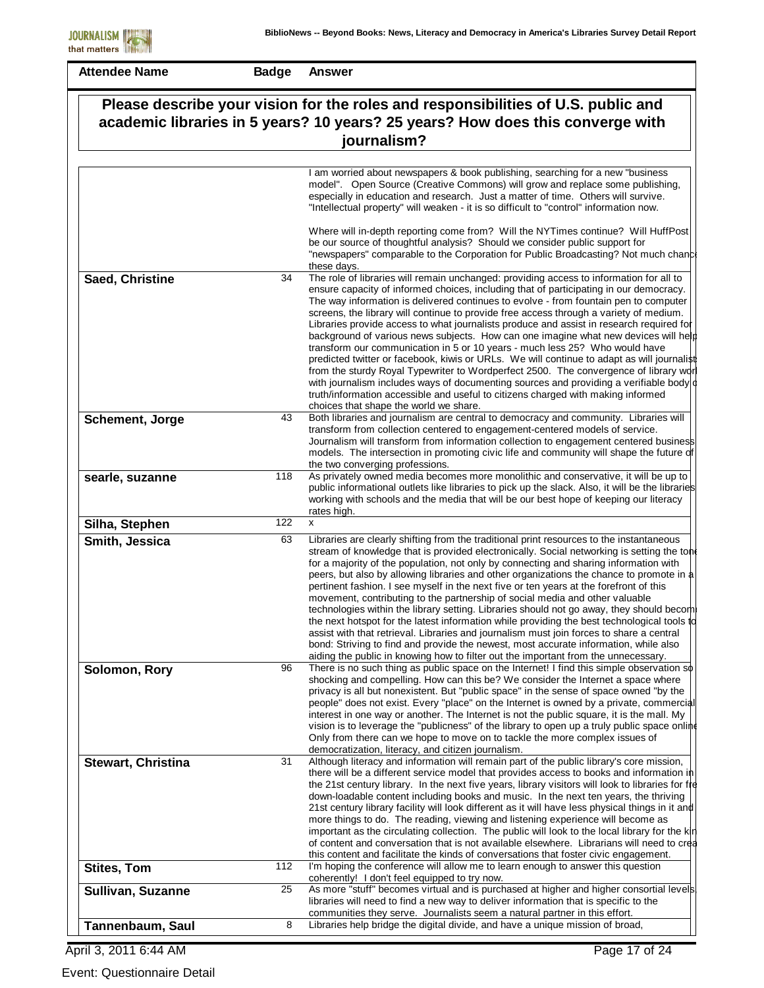| <b>Attendee Name</b>                                                                                                                                                               | <b>Badge</b> | <b>Answer</b>                                                                                                                                                                                                                                                                                                                                                                                                                                                                                                                                                                                                                                                                                                                                                                                                                                                                                                                                                                                                               |  |
|------------------------------------------------------------------------------------------------------------------------------------------------------------------------------------|--------------|-----------------------------------------------------------------------------------------------------------------------------------------------------------------------------------------------------------------------------------------------------------------------------------------------------------------------------------------------------------------------------------------------------------------------------------------------------------------------------------------------------------------------------------------------------------------------------------------------------------------------------------------------------------------------------------------------------------------------------------------------------------------------------------------------------------------------------------------------------------------------------------------------------------------------------------------------------------------------------------------------------------------------------|--|
| Please describe your vision for the roles and responsibilities of U.S. public and<br>academic libraries in 5 years? 10 years? 25 years? How does this converge with<br>journalism? |              |                                                                                                                                                                                                                                                                                                                                                                                                                                                                                                                                                                                                                                                                                                                                                                                                                                                                                                                                                                                                                             |  |
|                                                                                                                                                                                    |              |                                                                                                                                                                                                                                                                                                                                                                                                                                                                                                                                                                                                                                                                                                                                                                                                                                                                                                                                                                                                                             |  |
|                                                                                                                                                                                    |              | I am worried about newspapers & book publishing, searching for a new "business<br>model". Open Source (Creative Commons) will grow and replace some publishing,<br>especially in education and research. Just a matter of time. Others will survive.<br>"Intellectual property" will weaken - it is so difficult to "control" information now.<br>Where will in-depth reporting come from? Will the NYTimes continue? Will HuffPost<br>be our source of thoughtful analysis? Should we consider public support for                                                                                                                                                                                                                                                                                                                                                                                                                                                                                                          |  |
|                                                                                                                                                                                    |              | "newspapers" comparable to the Corporation for Public Broadcasting? Not much chance<br>these days.                                                                                                                                                                                                                                                                                                                                                                                                                                                                                                                                                                                                                                                                                                                                                                                                                                                                                                                          |  |
| Saed, Christine                                                                                                                                                                    | 34           | The role of libraries will remain unchanged: providing access to information for all to<br>ensure capacity of informed choices, including that of participating in our democracy.<br>The way information is delivered continues to evolve - from fountain pen to computer<br>screens, the library will continue to provide free access through a variety of medium.<br>Libraries provide access to what journalists produce and assist in research required for<br>background of various news subjects. How can one imagine what new devices will help                                                                                                                                                                                                                                                                                                                                                                                                                                                                      |  |
|                                                                                                                                                                                    |              | transform our communication in 5 or 10 years - much less 25? Who would have<br>predicted twitter or facebook, kiwis or URLs. We will continue to adapt as will journalist<br>from the sturdy Royal Typewriter to Wordperfect 2500. The convergence of library wor<br>with journalism includes ways of documenting sources and providing a verifiable body $\vert \phi \vert$<br>truth/information accessible and useful to citizens charged with making informed<br>choices that shape the world we share.                                                                                                                                                                                                                                                                                                                                                                                                                                                                                                                  |  |
| Schement, Jorge                                                                                                                                                                    | 43           | Both libraries and journalism are central to democracy and community. Libraries will<br>transform from collection centered to engagement-centered models of service.<br>Journalism will transform from information collection to engagement centered business<br>models. The intersection in promoting civic life and community will shape the future of<br>the two converging professions.                                                                                                                                                                                                                                                                                                                                                                                                                                                                                                                                                                                                                                 |  |
| searle, suzanne                                                                                                                                                                    | 118          | As privately owned media becomes more monolithic and conservative, it will be up to<br>public informational outlets like libraries to pick up the slack. Also, it will be the libraries<br>working with schools and the media that will be our best hope of keeping our literacy<br>rates high.                                                                                                                                                                                                                                                                                                                                                                                                                                                                                                                                                                                                                                                                                                                             |  |
| Silha, Stephen                                                                                                                                                                     | 122          | X                                                                                                                                                                                                                                                                                                                                                                                                                                                                                                                                                                                                                                                                                                                                                                                                                                                                                                                                                                                                                           |  |
| Smith, Jessica                                                                                                                                                                     | 63           | Libraries are clearly shifting from the traditional print resources to the instantaneous<br>stream of knowledge that is provided electronically. Social networking is setting the tone<br>for a majority of the population, not only by connecting and sharing information with<br>peers, but also by allowing libraries and other organizations the chance to promote in a<br>pertinent fashion. I see myself in the next five or ten years at the forefront of this<br>movement, contributing to the partnership of social media and other valuable<br>technologies within the library setting. Libraries should not go away, they should become<br>the next hotspot for the latest information while providing the best technological tools to<br>assist with that retrieval. Libraries and journalism must join forces to share a central<br>bond: Striving to find and provide the newest, most accurate information, while also<br>aiding the public in knowing how to filter out the important from the unnecessary. |  |
| Solomon, Rory                                                                                                                                                                      | 96           | There is no such thing as public space on the Internet! I find this simple observation so<br>shocking and compelling. How can this be? We consider the Internet a space where<br>privacy is all but nonexistent. But "public space" in the sense of space owned "by the<br>people" does not exist. Every "place" on the Internet is owned by a private, commercial<br>interest in one way or another. The Internet is not the public square, it is the mall. My<br>vision is to leverage the "publicness" of the library to open up a truly public space onlind<br>Only from there can we hope to move on to tackle the more complex issues of<br>democratization, literacy, and citizen journalism.                                                                                                                                                                                                                                                                                                                        |  |
| <b>Stewart, Christina</b>                                                                                                                                                          | 31           | Although literacy and information will remain part of the public library's core mission,<br>there will be a different service model that provides access to books and information in<br>the 21st century library. In the next five years, library visitors will look to libraries for fte<br>down-loadable content including books and music. In the next ten years, the thriving<br>21st century library facility will look different as it will have less physical things in it and<br>more things to do. The reading, viewing and listening experience will become as<br>important as the circulating collection. The public will look to the local library for the kin<br>of content and conversation that is not available elsewhere. Librarians will need to crea<br>this content and facilitate the kinds of conversations that foster civic engagement.                                                                                                                                                             |  |
| <b>Stites, Tom</b>                                                                                                                                                                 | 112          | I'm hoping the conference will allow me to learn enough to answer this question<br>coherently! I don't feel equipped to try now.                                                                                                                                                                                                                                                                                                                                                                                                                                                                                                                                                                                                                                                                                                                                                                                                                                                                                            |  |
| Sullivan, Suzanne                                                                                                                                                                  | 25           | As more "stuff" becomes virtual and is purchased at higher and higher consortial levels.<br>libraries will need to find a new way to deliver information that is specific to the<br>communities they serve. Journalists seem a natural partner in this effort.                                                                                                                                                                                                                                                                                                                                                                                                                                                                                                                                                                                                                                                                                                                                                              |  |
| Tannenbaum, Saul                                                                                                                                                                   | 8            | Libraries help bridge the digital divide, and have a unique mission of broad,                                                                                                                                                                                                                                                                                                                                                                                                                                                                                                                                                                                                                                                                                                                                                                                                                                                                                                                                               |  |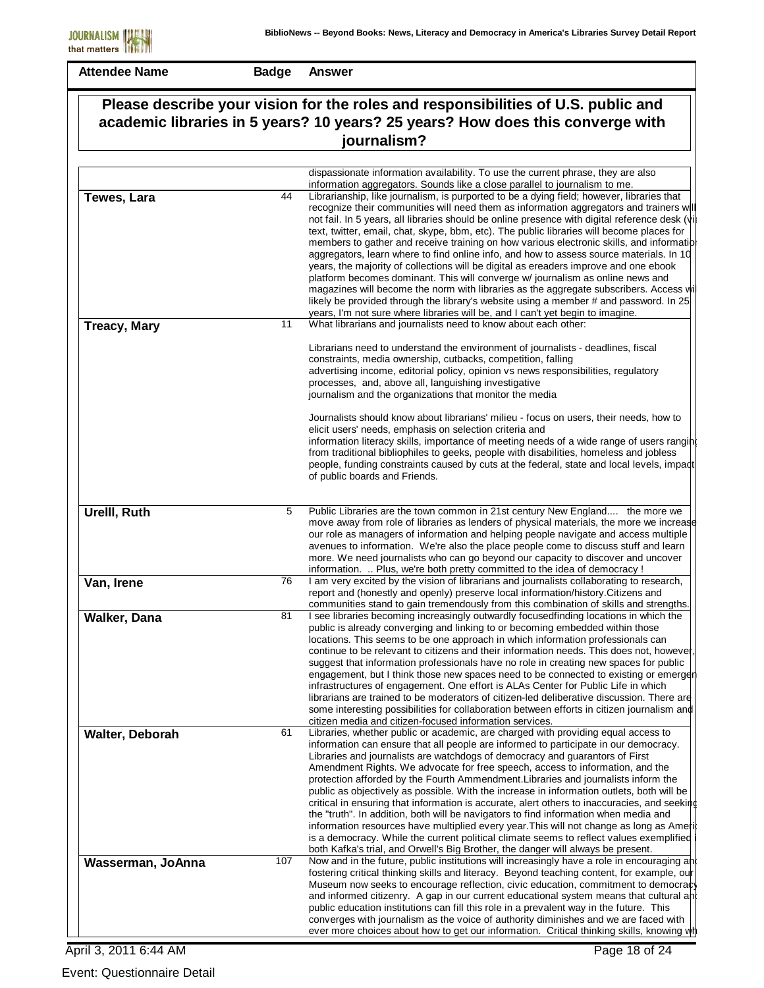**Badge Answer**

|                     |     | Please describe your vision for the roles and responsibilities of U.S. public and<br>academic libraries in 5 years? 10 years? 25 years? How does this converge with                                                                                                                                                                                                                                                                                                                                                                                                                                                                                                                                                                                                                                                                                                                                                                                                                                                       |
|---------------------|-----|---------------------------------------------------------------------------------------------------------------------------------------------------------------------------------------------------------------------------------------------------------------------------------------------------------------------------------------------------------------------------------------------------------------------------------------------------------------------------------------------------------------------------------------------------------------------------------------------------------------------------------------------------------------------------------------------------------------------------------------------------------------------------------------------------------------------------------------------------------------------------------------------------------------------------------------------------------------------------------------------------------------------------|
| journalism?         |     |                                                                                                                                                                                                                                                                                                                                                                                                                                                                                                                                                                                                                                                                                                                                                                                                                                                                                                                                                                                                                           |
|                     |     |                                                                                                                                                                                                                                                                                                                                                                                                                                                                                                                                                                                                                                                                                                                                                                                                                                                                                                                                                                                                                           |
|                     |     | dispassionate information availability. To use the current phrase, they are also<br>information aggregators. Sounds like a close parallel to journalism to me.                                                                                                                                                                                                                                                                                                                                                                                                                                                                                                                                                                                                                                                                                                                                                                                                                                                            |
| Tewes, Lara         | 44  | Librarianship, like journalism, is purported to be a dying field; however, libraries that<br>recognize their communities will need them as information aggregators and trainers will<br>not fail. In 5 years, all libraries should be online presence with digital reference desk (vi<br>text, twitter, email, chat, skype, bbm, etc). The public libraries will become places for<br>members to gather and receive training on how various electronic skills, and information<br>aggregators, learn where to find online info, and how to assess source materials. In 10<br>years, the majority of collections will be digital as ereaders improve and one ebook<br>platform becomes dominant. This will converge w/ journalism as online news and<br>magazines will become the norm with libraries as the aggregate subscribers. Access will<br>likely be provided through the library's website using a member # and password. In 25<br>years, I'm not sure where libraries will be, and I can't yet begin to imagine. |
| <b>Treacy, Mary</b> | 11  | What librarians and journalists need to know about each other:                                                                                                                                                                                                                                                                                                                                                                                                                                                                                                                                                                                                                                                                                                                                                                                                                                                                                                                                                            |
|                     |     | Librarians need to understand the environment of journalists - deadlines, fiscal<br>constraints, media ownership, cutbacks, competition, falling<br>advertising income, editorial policy, opinion vs news responsibilities, regulatory<br>processes, and, above all, languishing investigative<br>journalism and the organizations that monitor the media                                                                                                                                                                                                                                                                                                                                                                                                                                                                                                                                                                                                                                                                 |
|                     |     | Journalists should know about librarians' milieu - focus on users, their needs, how to<br>elicit users' needs, emphasis on selection criteria and<br>information literacy skills, importance of meeting needs of a wide range of users ranging<br>from traditional bibliophiles to geeks, people with disabilities, homeless and jobless<br>people, funding constraints caused by cuts at the federal, state and local levels, impact<br>of public boards and Friends.                                                                                                                                                                                                                                                                                                                                                                                                                                                                                                                                                    |
| Urelll, Ruth        | 5   | Public Libraries are the town common in 21st century New England the more we<br>move away from role of libraries as lenders of physical materials, the more we increase<br>our role as managers of information and helping people navigate and access multiple<br>avenues to information. We're also the place people come to discuss stuff and learn<br>more. We need journalists who can go beyond our capacity to discover and uncover<br>information.  Plus, we're both pretty committed to the idea of democracy !                                                                                                                                                                                                                                                                                                                                                                                                                                                                                                   |
| Van, Irene          | 76  | I am very excited by the vision of librarians and journalists collaborating to research,<br>report and (honestly and openly) preserve local information/history. Citizens and<br>communities stand to gain tremendously from this combination of skills and strengths.                                                                                                                                                                                                                                                                                                                                                                                                                                                                                                                                                                                                                                                                                                                                                    |
| Walker, Dana        | 81  | I see libraries becoming increasingly outwardly focusedfinding locations in which the<br>public is already converging and linking to or becoming embedded within those<br>locations. This seems to be one approach in which information professionals can<br>continue to be relevant to citizens and their information needs. This does not, however,<br>suggest that information professionals have no role in creating new spaces for public<br>engagement, but I think those new spaces need to be connected to existing or emerger<br>infrastructures of engagement. One effort is ALAs Center for Public Life in which<br>librarians are trained to be moderators of citizen-led deliberative discussion. There are<br>some interesting possibilities for collaboration between efforts in citizen journalism and<br>citizen media and citizen-focused information services.                                                                                                                                         |
| Walter, Deborah     | 61  | Libraries, whether public or academic, are charged with providing equal access to<br>information can ensure that all people are informed to participate in our democracy.<br>Libraries and journalists are watchdogs of democracy and guarantors of First<br>Amendment Rights. We advocate for free speech, access to information, and the<br>protection afforded by the Fourth Ammendment. Libraries and journalists inform the<br>public as objectively as possible. With the increase in information outlets, both will be<br>critical in ensuring that information is accurate, alert others to inaccuracies, and seeking<br>the "truth". In addition, both will be navigators to find information when media and<br>information resources have multiplied every year. This will not change as long as Americ<br>is a democracy. While the current political climate seems to reflect values exemplified<br>both Kafka's trial, and Orwell's Big Brother, the danger will always be present.                          |
| Wasserman, JoAnna   | 107 | Now and in the future, public institutions will increasingly have a role in encouraging and<br>fostering critical thinking skills and literacy. Beyond teaching content, for example, our<br>Museum now seeks to encourage reflection, civic education, commitment to democracy<br>and informed citizenry. A gap in our current educational system means that cultural and<br>public education institutions can fill this role in a prevalent way in the future. This<br>converges with journalism as the voice of authority diminishes and we are faced with<br>ever more choices about how to get our information. Critical thinking skills, knowing wh                                                                                                                                                                                                                                                                                                                                                                 |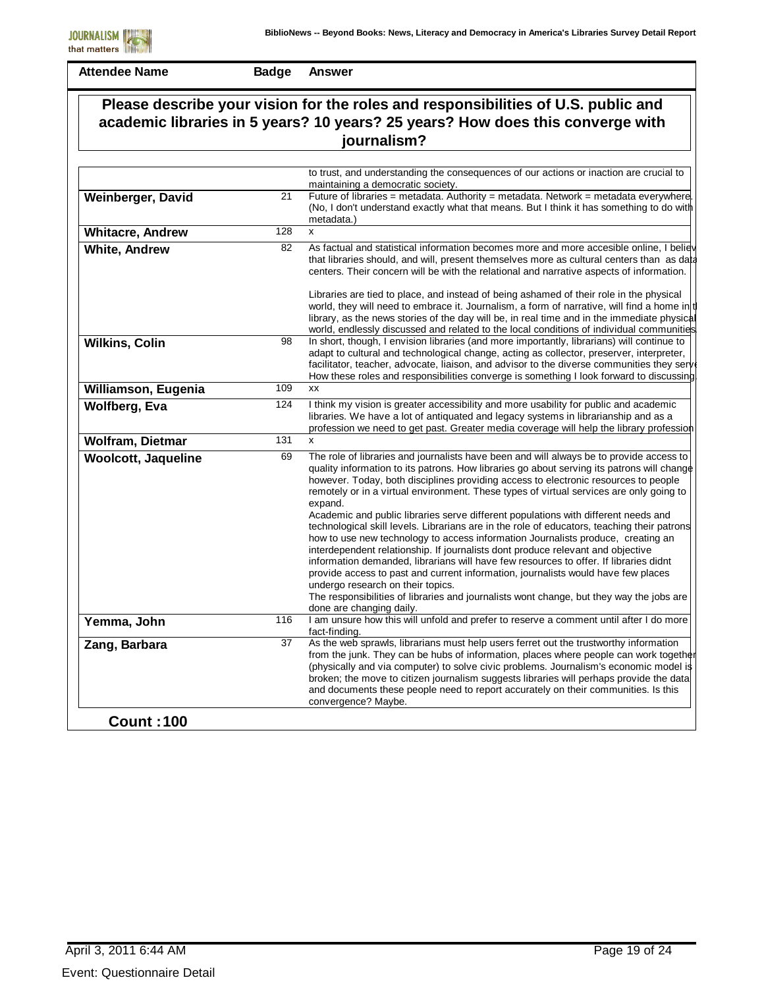| Please describe your vision for the roles and responsibilities of U.S. public and<br>academic libraries in 5 years? 10 years? 25 years? How does this converge with<br>journalism? |     |                                                                                                                                                                                                                                                                                                                                                                                                                                                                                                                                                                                                                                                                                                                                                                                                                                                                                                                                                                                                                                                                                           |
|------------------------------------------------------------------------------------------------------------------------------------------------------------------------------------|-----|-------------------------------------------------------------------------------------------------------------------------------------------------------------------------------------------------------------------------------------------------------------------------------------------------------------------------------------------------------------------------------------------------------------------------------------------------------------------------------------------------------------------------------------------------------------------------------------------------------------------------------------------------------------------------------------------------------------------------------------------------------------------------------------------------------------------------------------------------------------------------------------------------------------------------------------------------------------------------------------------------------------------------------------------------------------------------------------------|
|                                                                                                                                                                                    |     |                                                                                                                                                                                                                                                                                                                                                                                                                                                                                                                                                                                                                                                                                                                                                                                                                                                                                                                                                                                                                                                                                           |
|                                                                                                                                                                                    |     | to trust, and understanding the consequences of our actions or inaction are crucial to<br>maintaining a democratic society.                                                                                                                                                                                                                                                                                                                                                                                                                                                                                                                                                                                                                                                                                                                                                                                                                                                                                                                                                               |
| Weinberger, David                                                                                                                                                                  | 21  | Future of libraries = metadata. Authority = metadata. Network = metadata everywhere.<br>(No, I don't understand exactly what that means. But I think it has something to do with<br>metadata.)                                                                                                                                                                                                                                                                                                                                                                                                                                                                                                                                                                                                                                                                                                                                                                                                                                                                                            |
| <b>Whitacre, Andrew</b>                                                                                                                                                            | 128 | X                                                                                                                                                                                                                                                                                                                                                                                                                                                                                                                                                                                                                                                                                                                                                                                                                                                                                                                                                                                                                                                                                         |
| <b>White, Andrew</b>                                                                                                                                                               | 82  | As factual and statistical information becomes more and more accesible online, I believ<br>that libraries should, and will, present themselves more as cultural centers than as data<br>centers. Their concern will be with the relational and narrative aspects of information.                                                                                                                                                                                                                                                                                                                                                                                                                                                                                                                                                                                                                                                                                                                                                                                                          |
|                                                                                                                                                                                    |     | Libraries are tied to place, and instead of being ashamed of their role in the physical<br>world, they will need to embrace it. Journalism, a form of narrative, will find a home in t<br>library, as the news stories of the day will be, in real time and in the immediate physical<br>world, endlessly discussed and related to the local conditions of individual communities                                                                                                                                                                                                                                                                                                                                                                                                                                                                                                                                                                                                                                                                                                         |
| <b>Wilkins, Colin</b>                                                                                                                                                              | 98  | In short, though, I envision libraries (and more importantly, librarians) will continue to<br>adapt to cultural and technological change, acting as collector, preserver, interpreter,<br>facilitator, teacher, advocate, liaison, and advisor to the diverse communities they serv<br>How these roles and responsibilities converge is something I look forward to discussing                                                                                                                                                                                                                                                                                                                                                                                                                                                                                                                                                                                                                                                                                                            |
| Williamson, Eugenia                                                                                                                                                                | 109 | xx                                                                                                                                                                                                                                                                                                                                                                                                                                                                                                                                                                                                                                                                                                                                                                                                                                                                                                                                                                                                                                                                                        |
| <b>Wolfberg, Eva</b>                                                                                                                                                               | 124 | I think my vision is greater accessibility and more usability for public and academic<br>libraries. We have a lot of antiquated and legacy systems in librarianship and as a<br>profession we need to get past. Greater media coverage will help the library profession                                                                                                                                                                                                                                                                                                                                                                                                                                                                                                                                                                                                                                                                                                                                                                                                                   |
| Wolfram, Dietmar                                                                                                                                                                   | 131 | x                                                                                                                                                                                                                                                                                                                                                                                                                                                                                                                                                                                                                                                                                                                                                                                                                                                                                                                                                                                                                                                                                         |
| <b>Woolcott, Jaqueline</b>                                                                                                                                                         | 69  | The role of libraries and journalists have been and will always be to provide access to<br>quality information to its patrons. How libraries go about serving its patrons will change<br>however. Today, both disciplines providing access to electronic resources to people<br>remotely or in a virtual environment. These types of virtual services are only going to<br>expand.<br>Academic and public libraries serve different populations with different needs and<br>technological skill levels. Librarians are in the role of educators, teaching their patrons<br>how to use new technology to access information Journalists produce, creating an<br>interdependent relationship. If journalists dont produce relevant and objective<br>information demanded, librarians will have few resources to offer. If libraries didnt<br>provide access to past and current information, journalists would have few places<br>undergo research on their topics.<br>The responsibilities of libraries and journalists wont change, but they way the jobs are<br>done are changing daily. |
| Yemma, John                                                                                                                                                                        | 116 | I am unsure how this will unfold and prefer to reserve a comment until after I do more<br>fact-finding.                                                                                                                                                                                                                                                                                                                                                                                                                                                                                                                                                                                                                                                                                                                                                                                                                                                                                                                                                                                   |
| Zang, Barbara                                                                                                                                                                      | 37  | As the web sprawls, librarians must help users ferret out the trustworthy information<br>from the junk. They can be hubs of information, places where people can work together<br>(physically and via computer) to solve civic problems. Journalism's economic model is<br>broken; the move to citizen journalism suggests libraries will perhaps provide the data<br>and documents these people need to report accurately on their communities. Is this<br>convergence? Maybe.                                                                                                                                                                                                                                                                                                                                                                                                                                                                                                                                                                                                           |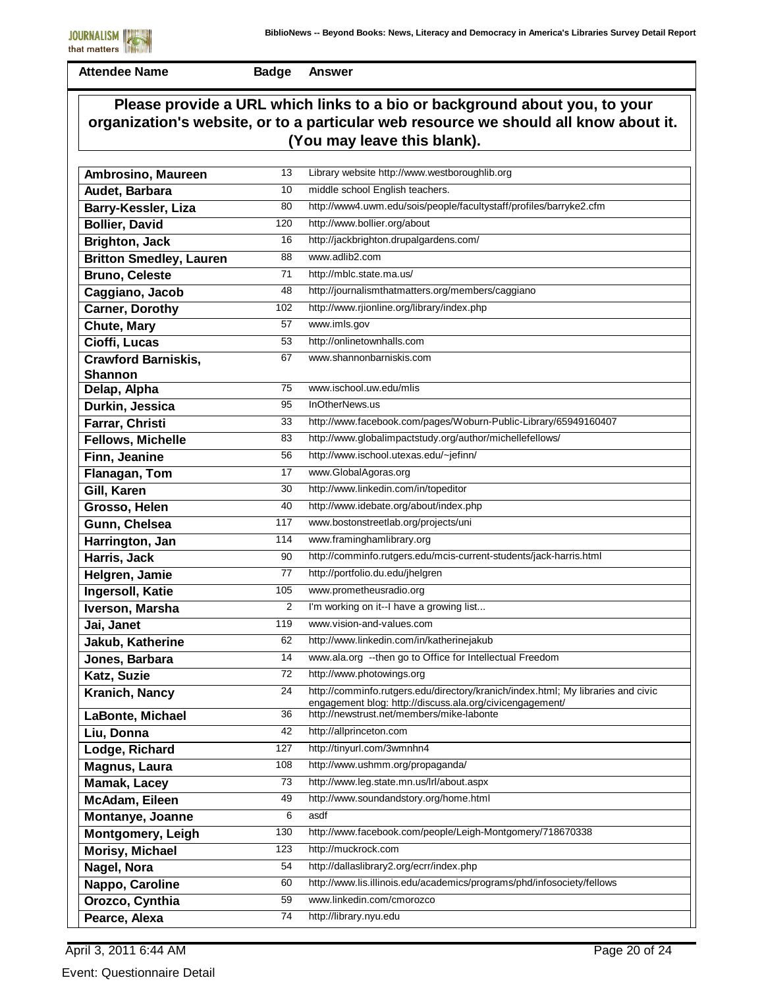

**Badge Answer**

### **Please provide a URL which links to a bio or background about you, to your organization's website, or to a particular web resource we should all know about it. (You may leave this blank).**

| 10<br>middle school English teachers.<br>Audet, Barbara<br>http://www4.uwm.edu/sois/people/facultystaff/profiles/barryke2.cfm<br>80<br>Barry-Kessler, Liza<br>http://www.bollier.org/about<br><b>Bollier, David</b><br>120<br>http://jackbrighton.drupalgardens.com/<br>16<br><b>Brighton, Jack</b><br>www.adlib2.com<br>88<br><b>Britton Smedley, Lauren</b><br>71<br>http://mblc.state.ma.us/<br><b>Bruno, Celeste</b><br>http://journalismthatmatters.org/members/caggiano<br>48<br>Caggiano, Jacob<br>http://www.rjionline.org/library/index.php<br>102<br><b>Carner, Dorothy</b><br>57<br>www.imls.gov<br><b>Chute, Mary</b><br>http://onlinetownhalls.com<br>Cioffi, Lucas<br>53<br>www.shannonbarniskis.com<br><b>Crawford Barniskis,</b><br>67<br><b>Shannon</b><br>75<br>www.ischool.uw.edu/mlis<br>Delap, Alpha<br>InOtherNews.us<br>95<br>Durkin, Jessica<br>33<br>http://www.facebook.com/pages/Woburn-Public-Library/65949160407<br>Farrar, Christi<br>http://www.globalimpactstudy.org/author/michellefellows/<br>Fellows, Michelle<br>83<br>http://www.ischool.utexas.edu/~jefinn/<br>Finn, Jeanine<br>56<br>www.GlobalAgoras.org<br>17<br>Flanagan, Tom<br>http://www.linkedin.com/in/topeditor<br>30<br>Gill, Karen<br>http://www.idebate.org/about/index.php<br>40<br>Grosso, Helen<br>www.bostonstreetlab.org/projects/uni<br>Gunn, Chelsea<br>117<br>114<br>www.framinghamlibrary.org<br>Harrington, Jan<br>http://comminfo.rutgers.edu/mcis-current-students/jack-harris.html<br>90<br>Harris, Jack<br>http://portfolio.du.edu/jhelgren<br>Helgren, Jamie<br>77<br>www.prometheusradio.org<br>105<br>Ingersoll, Katie<br>I'm working on it--I have a growing list<br>2<br>Iverson, Marsha<br>119<br>www.vision-and-values.com<br>Jai, Janet<br>http://www.linkedin.com/in/katherinejakub<br>62<br>Jakub, Katherine<br>www.ala.org --then go to Office for Intellectual Freedom<br>14<br>Jones, Barbara<br>http://www.photowings.org<br>72<br>Katz, Suzie<br>http://comminfo.rutgers.edu/directory/kranich/index.html; My libraries and civic<br>24<br>Kranich, Nancy<br>engagement blog: http://discuss.ala.org/civicengagement/<br>36<br>http://newstrust.net/members/mike-labonte<br>LaBonte, Michael<br>42<br>http://allprinceton.com<br>Liu, Donna<br>http://tinyurl.com/3wmnhn4<br>127<br>Lodge, Richard<br>http://www.ushmm.org/propaganda/<br>108<br>Magnus, Laura<br>http://www.leg.state.mn.us/lrl/about.aspx<br><b>Mamak, Lacey</b><br>73<br>http://www.soundandstory.org/home.html<br>49<br>McAdam, Eileen<br>6<br>asdf<br>Montanye, Joanne<br>http://www.facebook.com/people/Leigh-Montgomery/718670338<br>130<br><b>Montgomery, Leigh</b> | Ambrosino, Maureen | 13 | Library website http://www.westboroughlib.org |
|-----------------------------------------------------------------------------------------------------------------------------------------------------------------------------------------------------------------------------------------------------------------------------------------------------------------------------------------------------------------------------------------------------------------------------------------------------------------------------------------------------------------------------------------------------------------------------------------------------------------------------------------------------------------------------------------------------------------------------------------------------------------------------------------------------------------------------------------------------------------------------------------------------------------------------------------------------------------------------------------------------------------------------------------------------------------------------------------------------------------------------------------------------------------------------------------------------------------------------------------------------------------------------------------------------------------------------------------------------------------------------------------------------------------------------------------------------------------------------------------------------------------------------------------------------------------------------------------------------------------------------------------------------------------------------------------------------------------------------------------------------------------------------------------------------------------------------------------------------------------------------------------------------------------------------------------------------------------------------------------------------------------------------------------------------------------------------------------------------------------------------------------------------------------------------------------------------------------------------------------------------------------------------------------------------------------------------------------------------------------------------------------------------------------------------------------------------------------------------------------------------------------------------------------------------------------------------------------------------------------------------------------------------------------------------|--------------------|----|-----------------------------------------------|
|                                                                                                                                                                                                                                                                                                                                                                                                                                                                                                                                                                                                                                                                                                                                                                                                                                                                                                                                                                                                                                                                                                                                                                                                                                                                                                                                                                                                                                                                                                                                                                                                                                                                                                                                                                                                                                                                                                                                                                                                                                                                                                                                                                                                                                                                                                                                                                                                                                                                                                                                                                                                                                                                             |                    |    |                                               |
|                                                                                                                                                                                                                                                                                                                                                                                                                                                                                                                                                                                                                                                                                                                                                                                                                                                                                                                                                                                                                                                                                                                                                                                                                                                                                                                                                                                                                                                                                                                                                                                                                                                                                                                                                                                                                                                                                                                                                                                                                                                                                                                                                                                                                                                                                                                                                                                                                                                                                                                                                                                                                                                                             |                    |    |                                               |
|                                                                                                                                                                                                                                                                                                                                                                                                                                                                                                                                                                                                                                                                                                                                                                                                                                                                                                                                                                                                                                                                                                                                                                                                                                                                                                                                                                                                                                                                                                                                                                                                                                                                                                                                                                                                                                                                                                                                                                                                                                                                                                                                                                                                                                                                                                                                                                                                                                                                                                                                                                                                                                                                             |                    |    |                                               |
|                                                                                                                                                                                                                                                                                                                                                                                                                                                                                                                                                                                                                                                                                                                                                                                                                                                                                                                                                                                                                                                                                                                                                                                                                                                                                                                                                                                                                                                                                                                                                                                                                                                                                                                                                                                                                                                                                                                                                                                                                                                                                                                                                                                                                                                                                                                                                                                                                                                                                                                                                                                                                                                                             |                    |    |                                               |
|                                                                                                                                                                                                                                                                                                                                                                                                                                                                                                                                                                                                                                                                                                                                                                                                                                                                                                                                                                                                                                                                                                                                                                                                                                                                                                                                                                                                                                                                                                                                                                                                                                                                                                                                                                                                                                                                                                                                                                                                                                                                                                                                                                                                                                                                                                                                                                                                                                                                                                                                                                                                                                                                             |                    |    |                                               |
|                                                                                                                                                                                                                                                                                                                                                                                                                                                                                                                                                                                                                                                                                                                                                                                                                                                                                                                                                                                                                                                                                                                                                                                                                                                                                                                                                                                                                                                                                                                                                                                                                                                                                                                                                                                                                                                                                                                                                                                                                                                                                                                                                                                                                                                                                                                                                                                                                                                                                                                                                                                                                                                                             |                    |    |                                               |
|                                                                                                                                                                                                                                                                                                                                                                                                                                                                                                                                                                                                                                                                                                                                                                                                                                                                                                                                                                                                                                                                                                                                                                                                                                                                                                                                                                                                                                                                                                                                                                                                                                                                                                                                                                                                                                                                                                                                                                                                                                                                                                                                                                                                                                                                                                                                                                                                                                                                                                                                                                                                                                                                             |                    |    |                                               |
|                                                                                                                                                                                                                                                                                                                                                                                                                                                                                                                                                                                                                                                                                                                                                                                                                                                                                                                                                                                                                                                                                                                                                                                                                                                                                                                                                                                                                                                                                                                                                                                                                                                                                                                                                                                                                                                                                                                                                                                                                                                                                                                                                                                                                                                                                                                                                                                                                                                                                                                                                                                                                                                                             |                    |    |                                               |
|                                                                                                                                                                                                                                                                                                                                                                                                                                                                                                                                                                                                                                                                                                                                                                                                                                                                                                                                                                                                                                                                                                                                                                                                                                                                                                                                                                                                                                                                                                                                                                                                                                                                                                                                                                                                                                                                                                                                                                                                                                                                                                                                                                                                                                                                                                                                                                                                                                                                                                                                                                                                                                                                             |                    |    |                                               |
|                                                                                                                                                                                                                                                                                                                                                                                                                                                                                                                                                                                                                                                                                                                                                                                                                                                                                                                                                                                                                                                                                                                                                                                                                                                                                                                                                                                                                                                                                                                                                                                                                                                                                                                                                                                                                                                                                                                                                                                                                                                                                                                                                                                                                                                                                                                                                                                                                                                                                                                                                                                                                                                                             |                    |    |                                               |
|                                                                                                                                                                                                                                                                                                                                                                                                                                                                                                                                                                                                                                                                                                                                                                                                                                                                                                                                                                                                                                                                                                                                                                                                                                                                                                                                                                                                                                                                                                                                                                                                                                                                                                                                                                                                                                                                                                                                                                                                                                                                                                                                                                                                                                                                                                                                                                                                                                                                                                                                                                                                                                                                             |                    |    |                                               |
|                                                                                                                                                                                                                                                                                                                                                                                                                                                                                                                                                                                                                                                                                                                                                                                                                                                                                                                                                                                                                                                                                                                                                                                                                                                                                                                                                                                                                                                                                                                                                                                                                                                                                                                                                                                                                                                                                                                                                                                                                                                                                                                                                                                                                                                                                                                                                                                                                                                                                                                                                                                                                                                                             |                    |    |                                               |
|                                                                                                                                                                                                                                                                                                                                                                                                                                                                                                                                                                                                                                                                                                                                                                                                                                                                                                                                                                                                                                                                                                                                                                                                                                                                                                                                                                                                                                                                                                                                                                                                                                                                                                                                                                                                                                                                                                                                                                                                                                                                                                                                                                                                                                                                                                                                                                                                                                                                                                                                                                                                                                                                             |                    |    |                                               |
|                                                                                                                                                                                                                                                                                                                                                                                                                                                                                                                                                                                                                                                                                                                                                                                                                                                                                                                                                                                                                                                                                                                                                                                                                                                                                                                                                                                                                                                                                                                                                                                                                                                                                                                                                                                                                                                                                                                                                                                                                                                                                                                                                                                                                                                                                                                                                                                                                                                                                                                                                                                                                                                                             |                    |    |                                               |
|                                                                                                                                                                                                                                                                                                                                                                                                                                                                                                                                                                                                                                                                                                                                                                                                                                                                                                                                                                                                                                                                                                                                                                                                                                                                                                                                                                                                                                                                                                                                                                                                                                                                                                                                                                                                                                                                                                                                                                                                                                                                                                                                                                                                                                                                                                                                                                                                                                                                                                                                                                                                                                                                             |                    |    |                                               |
|                                                                                                                                                                                                                                                                                                                                                                                                                                                                                                                                                                                                                                                                                                                                                                                                                                                                                                                                                                                                                                                                                                                                                                                                                                                                                                                                                                                                                                                                                                                                                                                                                                                                                                                                                                                                                                                                                                                                                                                                                                                                                                                                                                                                                                                                                                                                                                                                                                                                                                                                                                                                                                                                             |                    |    |                                               |
|                                                                                                                                                                                                                                                                                                                                                                                                                                                                                                                                                                                                                                                                                                                                                                                                                                                                                                                                                                                                                                                                                                                                                                                                                                                                                                                                                                                                                                                                                                                                                                                                                                                                                                                                                                                                                                                                                                                                                                                                                                                                                                                                                                                                                                                                                                                                                                                                                                                                                                                                                                                                                                                                             |                    |    |                                               |
|                                                                                                                                                                                                                                                                                                                                                                                                                                                                                                                                                                                                                                                                                                                                                                                                                                                                                                                                                                                                                                                                                                                                                                                                                                                                                                                                                                                                                                                                                                                                                                                                                                                                                                                                                                                                                                                                                                                                                                                                                                                                                                                                                                                                                                                                                                                                                                                                                                                                                                                                                                                                                                                                             |                    |    |                                               |
|                                                                                                                                                                                                                                                                                                                                                                                                                                                                                                                                                                                                                                                                                                                                                                                                                                                                                                                                                                                                                                                                                                                                                                                                                                                                                                                                                                                                                                                                                                                                                                                                                                                                                                                                                                                                                                                                                                                                                                                                                                                                                                                                                                                                                                                                                                                                                                                                                                                                                                                                                                                                                                                                             |                    |    |                                               |
|                                                                                                                                                                                                                                                                                                                                                                                                                                                                                                                                                                                                                                                                                                                                                                                                                                                                                                                                                                                                                                                                                                                                                                                                                                                                                                                                                                                                                                                                                                                                                                                                                                                                                                                                                                                                                                                                                                                                                                                                                                                                                                                                                                                                                                                                                                                                                                                                                                                                                                                                                                                                                                                                             |                    |    |                                               |
|                                                                                                                                                                                                                                                                                                                                                                                                                                                                                                                                                                                                                                                                                                                                                                                                                                                                                                                                                                                                                                                                                                                                                                                                                                                                                                                                                                                                                                                                                                                                                                                                                                                                                                                                                                                                                                                                                                                                                                                                                                                                                                                                                                                                                                                                                                                                                                                                                                                                                                                                                                                                                                                                             |                    |    |                                               |
|                                                                                                                                                                                                                                                                                                                                                                                                                                                                                                                                                                                                                                                                                                                                                                                                                                                                                                                                                                                                                                                                                                                                                                                                                                                                                                                                                                                                                                                                                                                                                                                                                                                                                                                                                                                                                                                                                                                                                                                                                                                                                                                                                                                                                                                                                                                                                                                                                                                                                                                                                                                                                                                                             |                    |    |                                               |
|                                                                                                                                                                                                                                                                                                                                                                                                                                                                                                                                                                                                                                                                                                                                                                                                                                                                                                                                                                                                                                                                                                                                                                                                                                                                                                                                                                                                                                                                                                                                                                                                                                                                                                                                                                                                                                                                                                                                                                                                                                                                                                                                                                                                                                                                                                                                                                                                                                                                                                                                                                                                                                                                             |                    |    |                                               |
|                                                                                                                                                                                                                                                                                                                                                                                                                                                                                                                                                                                                                                                                                                                                                                                                                                                                                                                                                                                                                                                                                                                                                                                                                                                                                                                                                                                                                                                                                                                                                                                                                                                                                                                                                                                                                                                                                                                                                                                                                                                                                                                                                                                                                                                                                                                                                                                                                                                                                                                                                                                                                                                                             |                    |    |                                               |
|                                                                                                                                                                                                                                                                                                                                                                                                                                                                                                                                                                                                                                                                                                                                                                                                                                                                                                                                                                                                                                                                                                                                                                                                                                                                                                                                                                                                                                                                                                                                                                                                                                                                                                                                                                                                                                                                                                                                                                                                                                                                                                                                                                                                                                                                                                                                                                                                                                                                                                                                                                                                                                                                             |                    |    |                                               |
|                                                                                                                                                                                                                                                                                                                                                                                                                                                                                                                                                                                                                                                                                                                                                                                                                                                                                                                                                                                                                                                                                                                                                                                                                                                                                                                                                                                                                                                                                                                                                                                                                                                                                                                                                                                                                                                                                                                                                                                                                                                                                                                                                                                                                                                                                                                                                                                                                                                                                                                                                                                                                                                                             |                    |    |                                               |
|                                                                                                                                                                                                                                                                                                                                                                                                                                                                                                                                                                                                                                                                                                                                                                                                                                                                                                                                                                                                                                                                                                                                                                                                                                                                                                                                                                                                                                                                                                                                                                                                                                                                                                                                                                                                                                                                                                                                                                                                                                                                                                                                                                                                                                                                                                                                                                                                                                                                                                                                                                                                                                                                             |                    |    |                                               |
|                                                                                                                                                                                                                                                                                                                                                                                                                                                                                                                                                                                                                                                                                                                                                                                                                                                                                                                                                                                                                                                                                                                                                                                                                                                                                                                                                                                                                                                                                                                                                                                                                                                                                                                                                                                                                                                                                                                                                                                                                                                                                                                                                                                                                                                                                                                                                                                                                                                                                                                                                                                                                                                                             |                    |    |                                               |
|                                                                                                                                                                                                                                                                                                                                                                                                                                                                                                                                                                                                                                                                                                                                                                                                                                                                                                                                                                                                                                                                                                                                                                                                                                                                                                                                                                                                                                                                                                                                                                                                                                                                                                                                                                                                                                                                                                                                                                                                                                                                                                                                                                                                                                                                                                                                                                                                                                                                                                                                                                                                                                                                             |                    |    |                                               |
|                                                                                                                                                                                                                                                                                                                                                                                                                                                                                                                                                                                                                                                                                                                                                                                                                                                                                                                                                                                                                                                                                                                                                                                                                                                                                                                                                                                                                                                                                                                                                                                                                                                                                                                                                                                                                                                                                                                                                                                                                                                                                                                                                                                                                                                                                                                                                                                                                                                                                                                                                                                                                                                                             |                    |    |                                               |
|                                                                                                                                                                                                                                                                                                                                                                                                                                                                                                                                                                                                                                                                                                                                                                                                                                                                                                                                                                                                                                                                                                                                                                                                                                                                                                                                                                                                                                                                                                                                                                                                                                                                                                                                                                                                                                                                                                                                                                                                                                                                                                                                                                                                                                                                                                                                                                                                                                                                                                                                                                                                                                                                             |                    |    |                                               |
|                                                                                                                                                                                                                                                                                                                                                                                                                                                                                                                                                                                                                                                                                                                                                                                                                                                                                                                                                                                                                                                                                                                                                                                                                                                                                                                                                                                                                                                                                                                                                                                                                                                                                                                                                                                                                                                                                                                                                                                                                                                                                                                                                                                                                                                                                                                                                                                                                                                                                                                                                                                                                                                                             |                    |    |                                               |
|                                                                                                                                                                                                                                                                                                                                                                                                                                                                                                                                                                                                                                                                                                                                                                                                                                                                                                                                                                                                                                                                                                                                                                                                                                                                                                                                                                                                                                                                                                                                                                                                                                                                                                                                                                                                                                                                                                                                                                                                                                                                                                                                                                                                                                                                                                                                                                                                                                                                                                                                                                                                                                                                             |                    |    |                                               |
|                                                                                                                                                                                                                                                                                                                                                                                                                                                                                                                                                                                                                                                                                                                                                                                                                                                                                                                                                                                                                                                                                                                                                                                                                                                                                                                                                                                                                                                                                                                                                                                                                                                                                                                                                                                                                                                                                                                                                                                                                                                                                                                                                                                                                                                                                                                                                                                                                                                                                                                                                                                                                                                                             |                    |    |                                               |
|                                                                                                                                                                                                                                                                                                                                                                                                                                                                                                                                                                                                                                                                                                                                                                                                                                                                                                                                                                                                                                                                                                                                                                                                                                                                                                                                                                                                                                                                                                                                                                                                                                                                                                                                                                                                                                                                                                                                                                                                                                                                                                                                                                                                                                                                                                                                                                                                                                                                                                                                                                                                                                                                             |                    |    |                                               |
|                                                                                                                                                                                                                                                                                                                                                                                                                                                                                                                                                                                                                                                                                                                                                                                                                                                                                                                                                                                                                                                                                                                                                                                                                                                                                                                                                                                                                                                                                                                                                                                                                                                                                                                                                                                                                                                                                                                                                                                                                                                                                                                                                                                                                                                                                                                                                                                                                                                                                                                                                                                                                                                                             |                    |    |                                               |
|                                                                                                                                                                                                                                                                                                                                                                                                                                                                                                                                                                                                                                                                                                                                                                                                                                                                                                                                                                                                                                                                                                                                                                                                                                                                                                                                                                                                                                                                                                                                                                                                                                                                                                                                                                                                                                                                                                                                                                                                                                                                                                                                                                                                                                                                                                                                                                                                                                                                                                                                                                                                                                                                             |                    |    |                                               |
|                                                                                                                                                                                                                                                                                                                                                                                                                                                                                                                                                                                                                                                                                                                                                                                                                                                                                                                                                                                                                                                                                                                                                                                                                                                                                                                                                                                                                                                                                                                                                                                                                                                                                                                                                                                                                                                                                                                                                                                                                                                                                                                                                                                                                                                                                                                                                                                                                                                                                                                                                                                                                                                                             |                    |    |                                               |
|                                                                                                                                                                                                                                                                                                                                                                                                                                                                                                                                                                                                                                                                                                                                                                                                                                                                                                                                                                                                                                                                                                                                                                                                                                                                                                                                                                                                                                                                                                                                                                                                                                                                                                                                                                                                                                                                                                                                                                                                                                                                                                                                                                                                                                                                                                                                                                                                                                                                                                                                                                                                                                                                             |                    |    |                                               |
| 123<br>http://muckrock.com<br>Morisy, Michael                                                                                                                                                                                                                                                                                                                                                                                                                                                                                                                                                                                                                                                                                                                                                                                                                                                                                                                                                                                                                                                                                                                                                                                                                                                                                                                                                                                                                                                                                                                                                                                                                                                                                                                                                                                                                                                                                                                                                                                                                                                                                                                                                                                                                                                                                                                                                                                                                                                                                                                                                                                                                               |                    |    |                                               |
| http://dallaslibrary2.org/ecrr/index.php<br>54<br>Nagel, Nora                                                                                                                                                                                                                                                                                                                                                                                                                                                                                                                                                                                                                                                                                                                                                                                                                                                                                                                                                                                                                                                                                                                                                                                                                                                                                                                                                                                                                                                                                                                                                                                                                                                                                                                                                                                                                                                                                                                                                                                                                                                                                                                                                                                                                                                                                                                                                                                                                                                                                                                                                                                                               |                    |    |                                               |
| http://www.lis.illinois.edu/academics/programs/phd/infosociety/fellows<br>60<br>Nappo, Caroline                                                                                                                                                                                                                                                                                                                                                                                                                                                                                                                                                                                                                                                                                                                                                                                                                                                                                                                                                                                                                                                                                                                                                                                                                                                                                                                                                                                                                                                                                                                                                                                                                                                                                                                                                                                                                                                                                                                                                                                                                                                                                                                                                                                                                                                                                                                                                                                                                                                                                                                                                                             |                    |    |                                               |
| www.linkedin.com/cmorozco<br>59<br>Orozco, Cynthia                                                                                                                                                                                                                                                                                                                                                                                                                                                                                                                                                                                                                                                                                                                                                                                                                                                                                                                                                                                                                                                                                                                                                                                                                                                                                                                                                                                                                                                                                                                                                                                                                                                                                                                                                                                                                                                                                                                                                                                                                                                                                                                                                                                                                                                                                                                                                                                                                                                                                                                                                                                                                          |                    |    |                                               |
| http://library.nyu.edu<br>74<br>Pearce, Alexa                                                                                                                                                                                                                                                                                                                                                                                                                                                                                                                                                                                                                                                                                                                                                                                                                                                                                                                                                                                                                                                                                                                                                                                                                                                                                                                                                                                                                                                                                                                                                                                                                                                                                                                                                                                                                                                                                                                                                                                                                                                                                                                                                                                                                                                                                                                                                                                                                                                                                                                                                                                                                               |                    |    |                                               |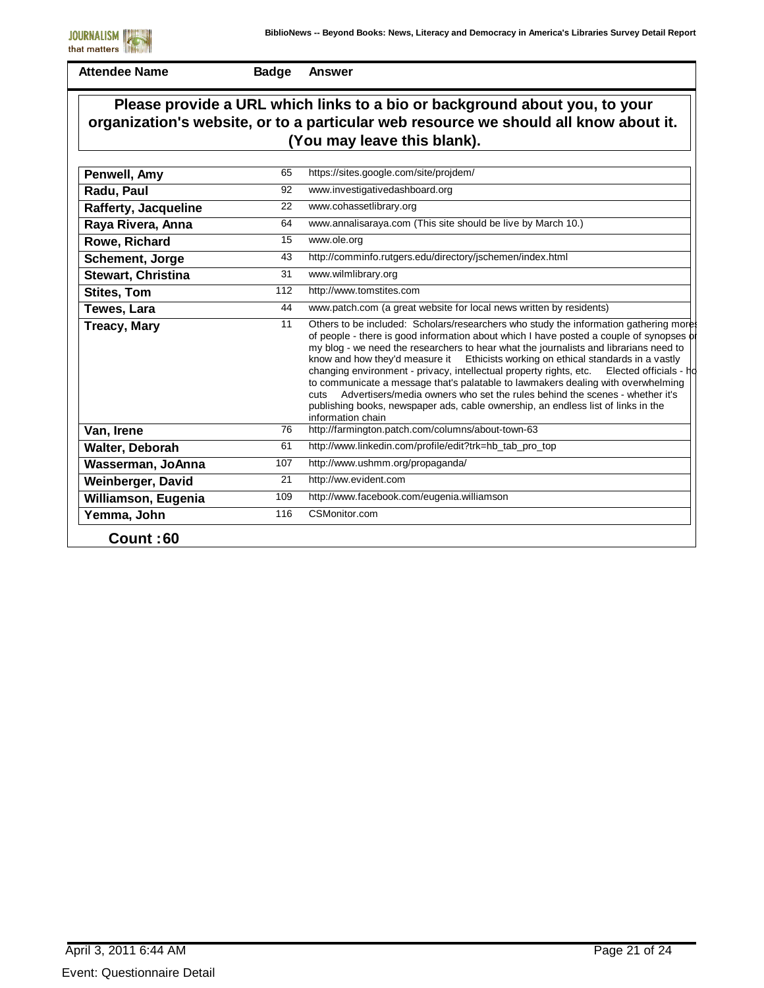

**Badge Answer**

### **Please provide a URL which links to a bio or background about you, to your organization's website, or to a particular web resource we should all know about it. (You may leave this blank).**

| Penwell, Amy              | 65  | https://sites.google.com/site/projdem/                                                                                                                                                                                                                                                                                                                                                                                                                                                                                                                                                                                                                                                                                                                    |
|---------------------------|-----|-----------------------------------------------------------------------------------------------------------------------------------------------------------------------------------------------------------------------------------------------------------------------------------------------------------------------------------------------------------------------------------------------------------------------------------------------------------------------------------------------------------------------------------------------------------------------------------------------------------------------------------------------------------------------------------------------------------------------------------------------------------|
| Radu, Paul                | 92  | www.investigativedashboard.org                                                                                                                                                                                                                                                                                                                                                                                                                                                                                                                                                                                                                                                                                                                            |
| Rafferty, Jacqueline      | 22  | www.cohassetlibrary.org                                                                                                                                                                                                                                                                                                                                                                                                                                                                                                                                                                                                                                                                                                                                   |
| Raya Rivera, Anna         | 64  | www.annalisaraya.com (This site should be live by March 10.)                                                                                                                                                                                                                                                                                                                                                                                                                                                                                                                                                                                                                                                                                              |
| Rowe, Richard             | 15  | www.ole.org                                                                                                                                                                                                                                                                                                                                                                                                                                                                                                                                                                                                                                                                                                                                               |
| Schement, Jorge           | 43  | http://comminfo.rutgers.edu/directory/jschemen/index.html                                                                                                                                                                                                                                                                                                                                                                                                                                                                                                                                                                                                                                                                                                 |
| <b>Stewart, Christina</b> | 31  | www.wilmlibrary.org                                                                                                                                                                                                                                                                                                                                                                                                                                                                                                                                                                                                                                                                                                                                       |
| <b>Stites, Tom</b>        | 112 | http://www.tomstites.com                                                                                                                                                                                                                                                                                                                                                                                                                                                                                                                                                                                                                                                                                                                                  |
| Tewes, Lara               | 44  | www.patch.com (a great website for local news written by residents)                                                                                                                                                                                                                                                                                                                                                                                                                                                                                                                                                                                                                                                                                       |
| <b>Treacy, Mary</b>       | 11  | Others to be included: Scholars/researchers who study the information gathering more<br>of people - there is good information about which I have posted a couple of synopses of<br>my blog - we need the researchers to hear what the journalists and librarians need to<br>know and how they'd measure it Ethicists working on ethical standards in a vastly<br>changing environment - privacy, intellectual property rights, etc.<br>Elected officials - hd<br>to communicate a message that's palatable to lawmakers dealing with overwhelming<br>Advertisers/media owners who set the rules behind the scenes - whether it's<br><b>cuts</b><br>publishing books, newspaper ads, cable ownership, an endless list of links in the<br>information chain |
| Van, Irene                | 76  | http://farmington.patch.com/columns/about-town-63                                                                                                                                                                                                                                                                                                                                                                                                                                                                                                                                                                                                                                                                                                         |
| Walter, Deborah           | 61  | http://www.linkedin.com/profile/edit?trk=hb_tab_pro_top                                                                                                                                                                                                                                                                                                                                                                                                                                                                                                                                                                                                                                                                                                   |
| Wasserman, JoAnna         | 107 | http://www.ushmm.org/propaganda/                                                                                                                                                                                                                                                                                                                                                                                                                                                                                                                                                                                                                                                                                                                          |
| Weinberger, David         | 21  | http://ww.evident.com                                                                                                                                                                                                                                                                                                                                                                                                                                                                                                                                                                                                                                                                                                                                     |
| Williamson, Eugenia       | 109 | http://www.facebook.com/eugenia.williamson                                                                                                                                                                                                                                                                                                                                                                                                                                                                                                                                                                                                                                                                                                                |
| Yemma, John               | 116 | CSMonitor.com                                                                                                                                                                                                                                                                                                                                                                                                                                                                                                                                                                                                                                                                                                                                             |
| Count:60                  |     |                                                                                                                                                                                                                                                                                                                                                                                                                                                                                                                                                                                                                                                                                                                                                           |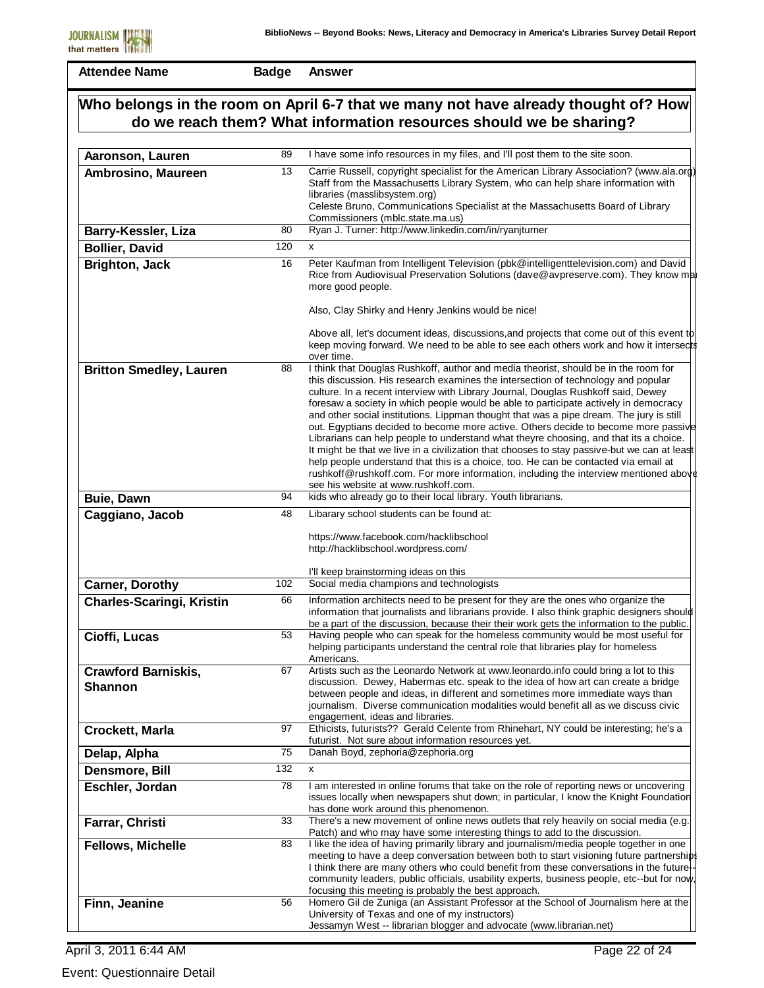**Badge Answer**

# **Who belongs in the room on April 6-7 that we many not have already thought of? How do we reach them? What information resources should we be sharing?**

| Aaronson, Lauren                             | 89  | I have some info resources in my files, and I'll post them to the site soon.                                                                                                                                                                                                                                                                                                                                                                                                                                                                                                                                                                                                                                                                                                                                                                                                                                                                                        |
|----------------------------------------------|-----|---------------------------------------------------------------------------------------------------------------------------------------------------------------------------------------------------------------------------------------------------------------------------------------------------------------------------------------------------------------------------------------------------------------------------------------------------------------------------------------------------------------------------------------------------------------------------------------------------------------------------------------------------------------------------------------------------------------------------------------------------------------------------------------------------------------------------------------------------------------------------------------------------------------------------------------------------------------------|
| Ambrosino, Maureen                           | 13  | Carrie Russell, copyright specialist for the American Library Association? (www.ala.org)<br>Staff from the Massachusetts Library System, who can help share information with<br>libraries (masslibsystem.org)<br>Celeste Bruno, Communications Specialist at the Massachusetts Board of Library<br>Commissioners (mblc.state.ma.us)                                                                                                                                                                                                                                                                                                                                                                                                                                                                                                                                                                                                                                 |
| Barry-Kessler, Liza                          | 80  | Ryan J. Turner: http://www.linkedin.com/in/ryanjturner                                                                                                                                                                                                                                                                                                                                                                                                                                                                                                                                                                                                                                                                                                                                                                                                                                                                                                              |
| <b>Bollier, David</b>                        | 120 | x                                                                                                                                                                                                                                                                                                                                                                                                                                                                                                                                                                                                                                                                                                                                                                                                                                                                                                                                                                   |
| <b>Brighton, Jack</b>                        | 16  | Peter Kaufman from Intelligent Television (pbk@intelligenttelevision.com) and David<br>Rice from Audiovisual Preservation Solutions (dave@avpreserve.com). They know ma<br>more good people.                                                                                                                                                                                                                                                                                                                                                                                                                                                                                                                                                                                                                                                                                                                                                                        |
|                                              |     | Also, Clay Shirky and Henry Jenkins would be nice!<br>Above all, let's document ideas, discussions, and projects that come out of this event to<br>keep moving forward. We need to be able to see each others work and how it intersects                                                                                                                                                                                                                                                                                                                                                                                                                                                                                                                                                                                                                                                                                                                            |
| <b>Britton Smedley, Lauren</b>               | 88  | over time.<br>I think that Douglas Rushkoff, author and media theorist, should be in the room for<br>this discussion. His research examines the intersection of technology and popular<br>culture. In a recent interview with Library Journal, Douglas Rushkoff said, Dewey<br>foresaw a society in which people would be able to participate actively in democracy<br>and other social institutions. Lippman thought that was a pipe dream. The jury is still<br>out. Egyptians decided to become more active. Others decide to become more passive<br>Librarians can help people to understand what theyre choosing, and that its a choice.<br>It might be that we live in a civilization that chooses to stay passive-but we can at least<br>help people understand that this is a choice, too. He can be contacted via email at<br>rushkoff@rushkoff.com. For more information, including the interview mentioned above<br>see his website at www.rushkoff.com. |
| <b>Buie, Dawn</b>                            | 94  | kids who already go to their local library. Youth librarians.                                                                                                                                                                                                                                                                                                                                                                                                                                                                                                                                                                                                                                                                                                                                                                                                                                                                                                       |
| Caggiano, Jacob                              | 48  | Libarary school students can be found at:                                                                                                                                                                                                                                                                                                                                                                                                                                                                                                                                                                                                                                                                                                                                                                                                                                                                                                                           |
|                                              |     | https://www.facebook.com/hacklibschool<br>http://hacklibschool.wordpress.com/<br>I'll keep brainstorming ideas on this                                                                                                                                                                                                                                                                                                                                                                                                                                                                                                                                                                                                                                                                                                                                                                                                                                              |
| <b>Carner, Dorothy</b>                       | 102 | Social media champions and technologists                                                                                                                                                                                                                                                                                                                                                                                                                                                                                                                                                                                                                                                                                                                                                                                                                                                                                                                            |
| <b>Charles-Scaringi, Kristin</b>             | 66  | Information architects need to be present for they are the ones who organize the<br>information that journalists and librarians provide. I also think graphic designers should<br>be a part of the discussion, because their their work gets the information to the public.                                                                                                                                                                                                                                                                                                                                                                                                                                                                                                                                                                                                                                                                                         |
| Cioffi, Lucas                                | 53  | Having people who can speak for the homeless community would be most useful for<br>helping participants understand the central role that libraries play for homeless<br>Americans.                                                                                                                                                                                                                                                                                                                                                                                                                                                                                                                                                                                                                                                                                                                                                                                  |
| <b>Crawford Barniskis,</b><br><b>Shannon</b> | 67  | Artists such as the Leonardo Network at www.leonardo.info could bring a lot to this<br>discussion. Dewey, Habermas etc. speak to the idea of how art can create a bridge<br>between people and ideas, in different and sometimes more immediate ways than<br>journalism. Diverse communication modalities would benefit all as we discuss civic<br>engagement, ideas and libraries.                                                                                                                                                                                                                                                                                                                                                                                                                                                                                                                                                                                 |
| Crockett, Marla                              | 97  | Ethicists, futurists?? Gerald Celente from Rhinehart, NY could be interesting; he's a<br>futurist. Not sure about information resources yet.                                                                                                                                                                                                                                                                                                                                                                                                                                                                                                                                                                                                                                                                                                                                                                                                                        |
| Delap, Alpha                                 | 75  | Danah Boyd, zephoria@zephoria.org                                                                                                                                                                                                                                                                                                                                                                                                                                                                                                                                                                                                                                                                                                                                                                                                                                                                                                                                   |
| Densmore, Bill                               | 132 | x                                                                                                                                                                                                                                                                                                                                                                                                                                                                                                                                                                                                                                                                                                                                                                                                                                                                                                                                                                   |
| Eschler, Jordan                              | 78  | I am interested in online forums that take on the role of reporting news or uncovering<br>issues locally when newspapers shut down; in particular, I know the Knight Foundation<br>has done work around this phenomenon.                                                                                                                                                                                                                                                                                                                                                                                                                                                                                                                                                                                                                                                                                                                                            |
| Farrar, Christi                              | 33  | There's a new movement of online news outlets that rely heavily on social media (e.g.                                                                                                                                                                                                                                                                                                                                                                                                                                                                                                                                                                                                                                                                                                                                                                                                                                                                               |
| <b>Fellows, Michelle</b>                     | 83  | Patch) and who may have some interesting things to add to the discussion.<br>I like the idea of having primarily library and journalism/media people together in one<br>meeting to have a deep conversation between both to start visioning future partnerships<br>I think there are many others who could benefit from these conversations in the future-<br>community leaders, public officials, usability experts, business people, etc--but for now,<br>focusing this meeting is probably the best approach.                                                                                                                                                                                                                                                                                                                                                                                                                                                    |
| Finn, Jeanine                                | 56  | Homero Gil de Zuniga (an Assistant Professor at the School of Journalism here at the<br>University of Texas and one of my instructors)<br>Jessamyn West -- librarian blogger and advocate (www.librarian.net)                                                                                                                                                                                                                                                                                                                                                                                                                                                                                                                                                                                                                                                                                                                                                       |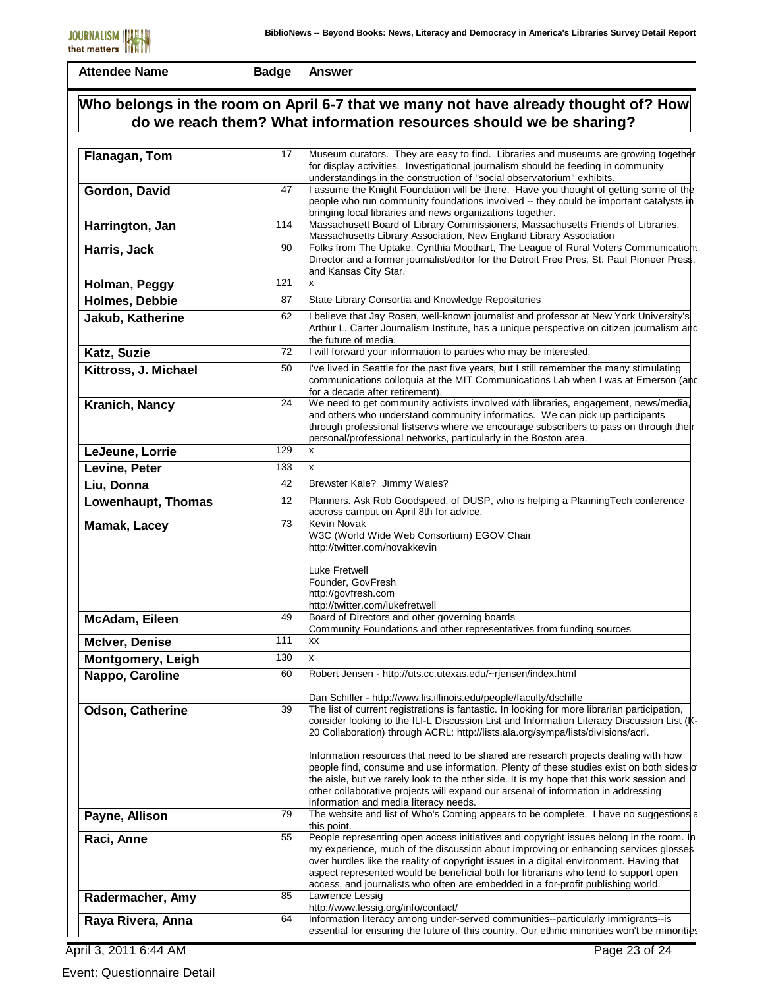**Badge Answer**

# **Who belongs in the room on April 6-7 that we many not have already thought of? How do we reach them? What information resources should we be sharing?**

| Flanagan, Tom         | 17  | Museum curators. They are easy to find. Libraries and museums are growing together<br>for display activities. Investigational journalism should be feeding in community<br>understandings in the construction of "social observatorium" exhibits.                                                                                                                                                                                                    |
|-----------------------|-----|------------------------------------------------------------------------------------------------------------------------------------------------------------------------------------------------------------------------------------------------------------------------------------------------------------------------------------------------------------------------------------------------------------------------------------------------------|
| Gordon, David         | 47  | I assume the Knight Foundation will be there. Have you thought of getting some of the<br>people who run community foundations involved -- they could be important catalysts in<br>bringing local libraries and news organizations together.                                                                                                                                                                                                          |
| Harrington, Jan       | 114 | Massachusett Board of Library Commissioners, Massachusetts Friends of Libraries,<br>Massachusetts Library Association, New England Library Association                                                                                                                                                                                                                                                                                               |
| Harris, Jack          | 90  | Folks from The Uptake. Cynthia Moothart, The League of Rural Voters Communication<br>Director and a former journalist/editor for the Detroit Free Pres, St. Paul Pioneer Press,<br>and Kansas City Star.                                                                                                                                                                                                                                             |
| Holman, Peggy         | 121 | X                                                                                                                                                                                                                                                                                                                                                                                                                                                    |
| <b>Holmes, Debbie</b> | 87  | State Library Consortia and Knowledge Repositories                                                                                                                                                                                                                                                                                                                                                                                                   |
| Jakub, Katherine      | 62  | I believe that Jay Rosen, well-known journalist and professor at New York University's<br>Arthur L. Carter Journalism Institute, has a unique perspective on citizen journalism and<br>the future of media.                                                                                                                                                                                                                                          |
| Katz, Suzie           | 72  | I will forward your information to parties who may be interested.                                                                                                                                                                                                                                                                                                                                                                                    |
| Kittross, J. Michael  | 50  | I've lived in Seattle for the past five years, but I still remember the many stimulating<br>communications colloquia at the MIT Communications Lab when I was at Emerson (and<br>for a decade after retirement).                                                                                                                                                                                                                                     |
| Kranich, Nancy        | 24  | We need to get community activists involved with libraries, engagement, news/media,<br>and others who understand community informatics. We can pick up participants<br>through professional listservs where we encourage subscribers to pass on through their<br>personal/professional networks, particularly in the Boston area.                                                                                                                    |
| LeJeune, Lorrie       | 129 | X                                                                                                                                                                                                                                                                                                                                                                                                                                                    |
| Levine, Peter         | 133 | X                                                                                                                                                                                                                                                                                                                                                                                                                                                    |
| Liu, Donna            | 42  | Brewster Kale? Jimmy Wales?                                                                                                                                                                                                                                                                                                                                                                                                                          |
| Lowenhaupt, Thomas    | 12  | Planners. Ask Rob Goodspeed, of DUSP, who is helping a PlanningTech conference<br>accross camput on April 8th for advice.<br><b>Kevin Novak</b>                                                                                                                                                                                                                                                                                                      |
| Mamak, Lacey          | 73  | W3C (World Wide Web Consortium) EGOV Chair<br>http://twitter.com/novakkevin<br>Luke Fretwell<br>Founder, GovFresh<br>http://govfresh.com<br>http://twitter.com/lukefretwell                                                                                                                                                                                                                                                                          |
| McAdam, Eileen        | 49  | Board of Directors and other governing boards<br>Community Foundations and other representatives from funding sources                                                                                                                                                                                                                                                                                                                                |
| <b>McIver, Denise</b> | 111 | XX                                                                                                                                                                                                                                                                                                                                                                                                                                                   |
| Montgomery, Leigh     | 130 | X                                                                                                                                                                                                                                                                                                                                                                                                                                                    |
| Nappo, Caroline       | 60  | Robert Jensen - http://uts.cc.utexas.edu/~rjensen/index.html                                                                                                                                                                                                                                                                                                                                                                                         |
|                       |     | Dan Schiller - http://www.lis.illinois.edu/people/faculty/dschille                                                                                                                                                                                                                                                                                                                                                                                   |
| Odson, Catherine      | 39  | The list of current registrations is fantastic. In looking for more librarian participation,<br>consider looking to the ILI-L Discussion List and Information Literacy Discussion List (K<br>20 Collaboration) through ACRL: http://lists.ala.org/sympa/lists/divisions/acrl.                                                                                                                                                                        |
|                       |     | Information resources that need to be shared are research projects dealing with how<br>people find, consume and use information. Plenty of these studies exist on both sides of<br>the aisle, but we rarely look to the other side. It is my hope that this work session and<br>other collaborative projects will expand our arsenal of information in addressing<br>information and media literacy needs.                                           |
| Payne, Allison        | 79  | The website and list of Who's Coming appears to be complete. I have no suggestions<br>this point.                                                                                                                                                                                                                                                                                                                                                    |
| Raci, Anne            | 55  | People representing open access initiatives and copyright issues belong in the room. In<br>my experience, much of the discussion about improving or enhancing services glosses<br>over hurdles like the reality of copyright issues in a digital environment. Having that<br>aspect represented would be beneficial both for librarians who tend to support open<br>access, and journalists who often are embedded in a for-profit publishing world. |
| Radermacher, Amy      | 85  | Lawrence Lessig<br>http://www.lessig.org/info/contact/                                                                                                                                                                                                                                                                                                                                                                                               |
| Raya Rivera, Anna     | 64  | Information literacy among under-served communities--particularly immigrants--is<br>essential for ensuring the future of this country. Our ethnic minorities won't be minorities                                                                                                                                                                                                                                                                     |

April 3, 2011 6:44 AM

Event: Questionnaire Detail